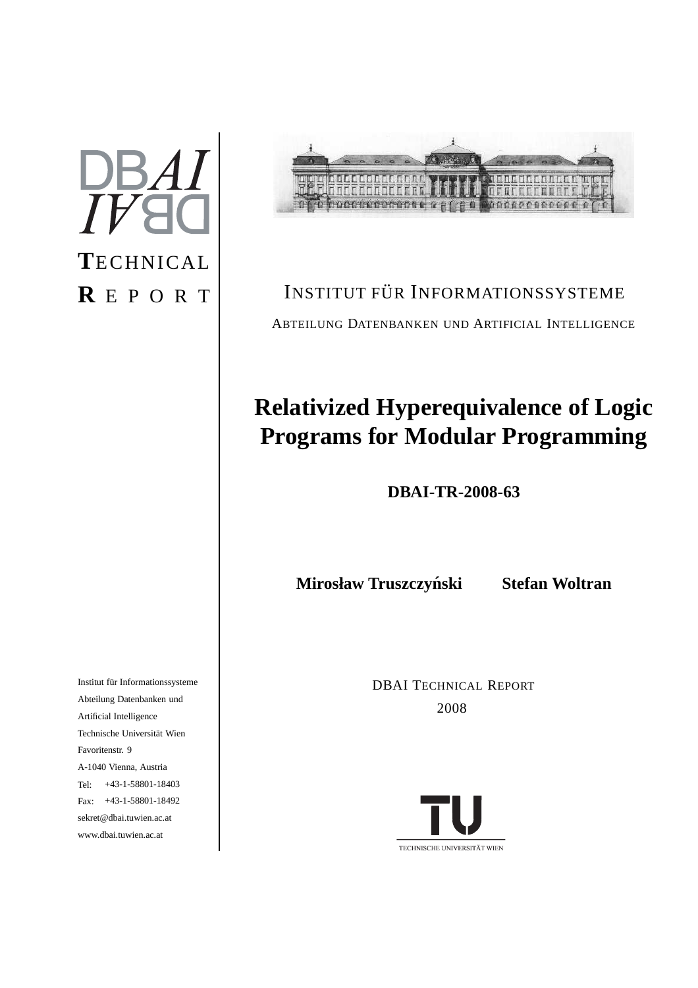# $DBAI$  $I\,$ **T**ECHNICAL **R** E P O R T

in de la companya de la compa<br>La companya de la companya de la compa **OFFICEFFFFFFF** a poeterocecer e e e ce a ODDERCERCER 伯

## INSTITUT FÜR INFORMATIONSSYSTEME ABTEILUNG DATENBANKEN UND ARTIFICIAL INTELLIGENCE

## **Relativized Hyperequivalence of Logic Programs for Modular Programming**

**DBAI-TR-2008-63**

**Mirosław Truszczynski Stefan Woltran ´**

DBAI TECHNICAL REPORT 2008



Institut für Informationssysteme Abteilung Datenbanken und Artificial Intelligence Technische Universität Wien Favoritenstr. 9 A-1040 Vienna, Austria Tel: +43-1-58801-18403 Fax: +43-1-58801-18492 sekret@dbai.tuwien.ac.at www.dbai.tuwien.ac.at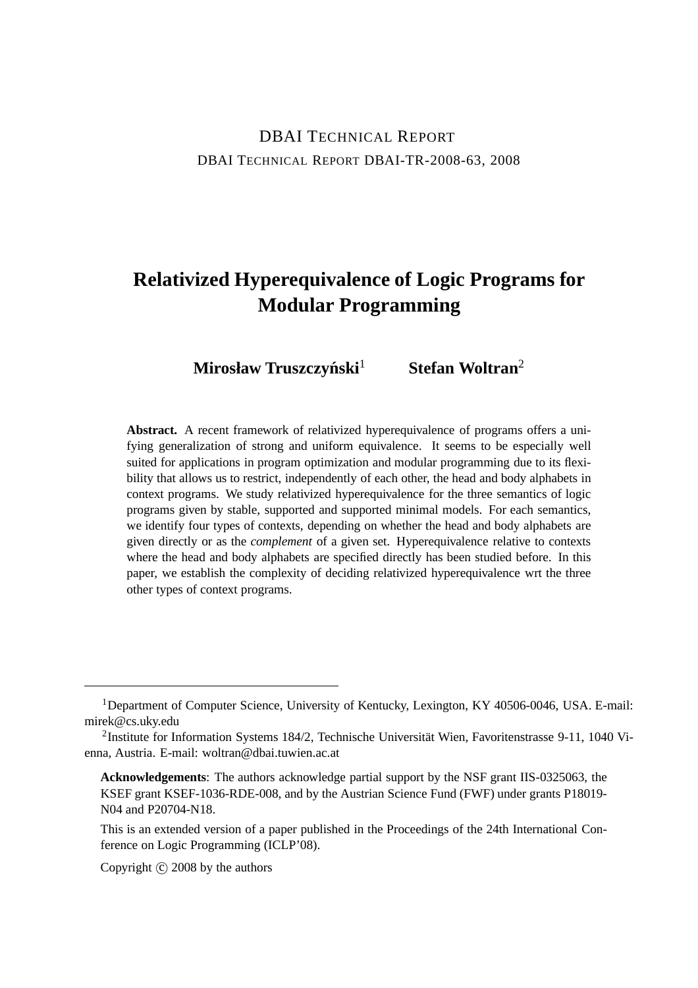## DBAI TECHNICAL REPORT DBAI TECHNICAL REPORT DBAI-TR-2008-63, 2008

## **Relativized Hyperequivalence of Logic Programs for Modular Programming**

 $M$ **irosław Truszczyński**<sup>1</sup> **Stefan Woltran**<sup>2</sup>

**Abstract.** A recent framework of relativized hyperequivalence of programs offers a unifying generalization of strong and uniform equivalence. It seems to be especially well suited for applications in program optimization and modular programming due to its flexibility that allows us to restrict, independently of each other, the head and body alphabets in context programs. We study relativized hyperequivalence for the three semantics of logic programs given by stable, supported and supported minimal models. For each semantics, we identify four types of contexts, depending on whether the head and body alphabets are given directly or as the *complement* of a given set. Hyperequivalence relative to contexts where the head and body alphabets are specified directly has been studied before. In this paper, we establish the complexity of deciding relativized hyperequivalence wrt the three other types of context programs.

Copyright  $\odot$  2008 by the authors

<sup>&</sup>lt;sup>1</sup>Department of Computer Science, University of Kentucky, Lexington, KY 40506-0046, USA. E-mail: mirek@cs.uky.edu

<sup>&</sup>lt;sup>2</sup>Institute for Information Systems 184/2, Technische Universität Wien, Favoritenstrasse 9-11, 1040 Vienna, Austria. E-mail: woltran@dbai.tuwien.ac.at

**Acknowledgements**: The authors acknowledge partial support by the NSF grant IIS-0325063, the KSEF grant KSEF-1036-RDE-008, and by the Austrian Science Fund (FWF) under grants P18019- N04 and P20704-N18.

This is an extended version of a paper published in the Proceedings of the 24th International Conference on Logic Programming (ICLP'08).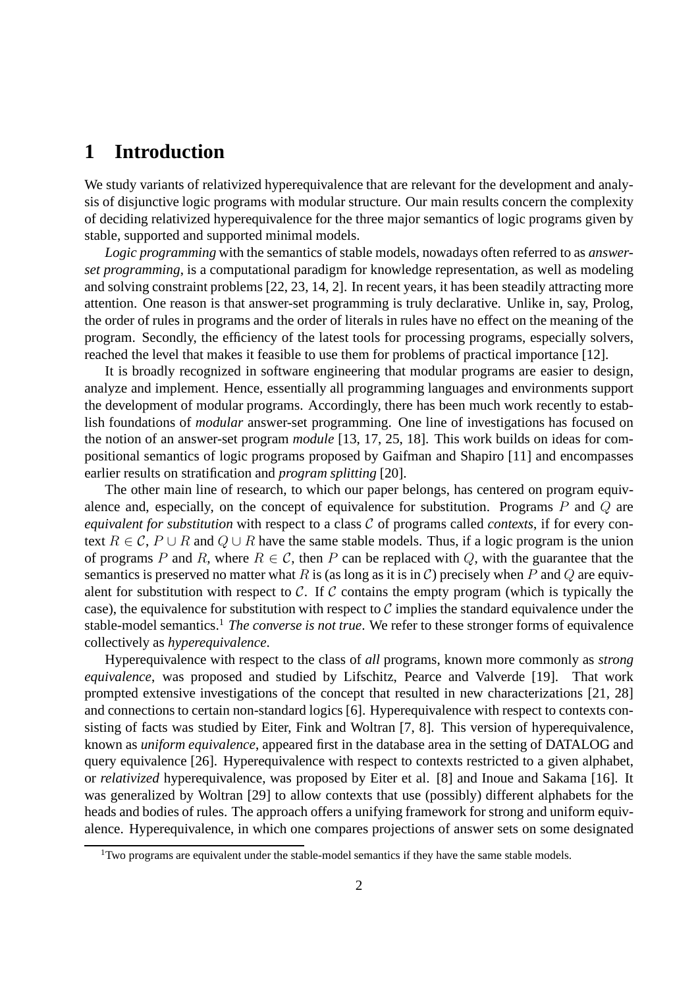## **1 Introduction**

We study variants of relativized hyperequivalence that are relevant for the development and analysis of disjunctive logic programs with modular structure. Our main results concern the complexity of deciding relativized hyperequivalence for the three major semantics of logic programs given by stable, supported and supported minimal models.

*Logic programming* with the semantics of stable models, nowadays often referred to as *answerset programming*, is a computational paradigm for knowledge representation, as well as modeling and solving constraint problems [22, 23, 14, 2]. In recent years, it has been steadily attracting more attention. One reason is that answer-set programming is truly declarative. Unlike in, say, Prolog, the order of rules in programs and the order of literals in rules have no effect on the meaning of the program. Secondly, the efficiency of the latest tools for processing programs, especially solvers, reached the level that makes it feasible to use them for problems of practical importance [12].

It is broadly recognized in software engineering that modular programs are easier to design, analyze and implement. Hence, essentially all programming languages and environments support the development of modular programs. Accordingly, there has been much work recently to establish foundations of *modular* answer-set programming. One line of investigations has focused on the notion of an answer-set program *module* [13, 17, 25, 18]. This work builds on ideas for compositional semantics of logic programs proposed by Gaifman and Shapiro [11] and encompasses earlier results on stratification and *program splitting* [20].

The other main line of research, to which our paper belongs, has centered on program equivalence and, especially, on the concept of equivalence for substitution. Programs  $P$  and  $Q$  are *equivalent for substitution* with respect to a class C of programs called *contexts*, if for every context  $R \in \mathcal{C}$ ,  $P \cup R$  and  $Q \cup R$  have the same stable models. Thus, if a logic program is the union of programs P and R, where  $R \in \mathcal{C}$ , then P can be replaced with Q, with the guarantee that the semantics is preserved no matter what R is (as long as it is in C) precisely when P and Q are equivalent for substitution with respect to  $\mathcal C$ . If  $\mathcal C$  contains the empty program (which is typically the case), the equivalence for substitution with respect to  $\mathcal C$  implies the standard equivalence under the stable-model semantics.<sup>1</sup> *The converse is not true*. We refer to these stronger forms of equivalence collectively as *hyperequivalence*.

Hyperequivalence with respect to the class of *all* programs, known more commonly as *strong equivalence*, was proposed and studied by Lifschitz, Pearce and Valverde [19]. That work prompted extensive investigations of the concept that resulted in new characterizations [21, 28] and connections to certain non-standard logics [6]. Hyperequivalence with respect to contexts consisting of facts was studied by Eiter, Fink and Woltran [7, 8]. This version of hyperequivalence, known as *uniform equivalence*, appeared first in the database area in the setting of DATALOG and query equivalence [26]. Hyperequivalence with respect to contexts restricted to a given alphabet, or *relativized* hyperequivalence, was proposed by Eiter et al. [8] and Inoue and Sakama [16]. It was generalized by Woltran [29] to allow contexts that use (possibly) different alphabets for the heads and bodies of rules. The approach offers a unifying framework for strong and uniform equivalence. Hyperequivalence, in which one compares projections of answer sets on some designated

<sup>&</sup>lt;sup>1</sup>Two programs are equivalent under the stable-model semantics if they have the same stable models.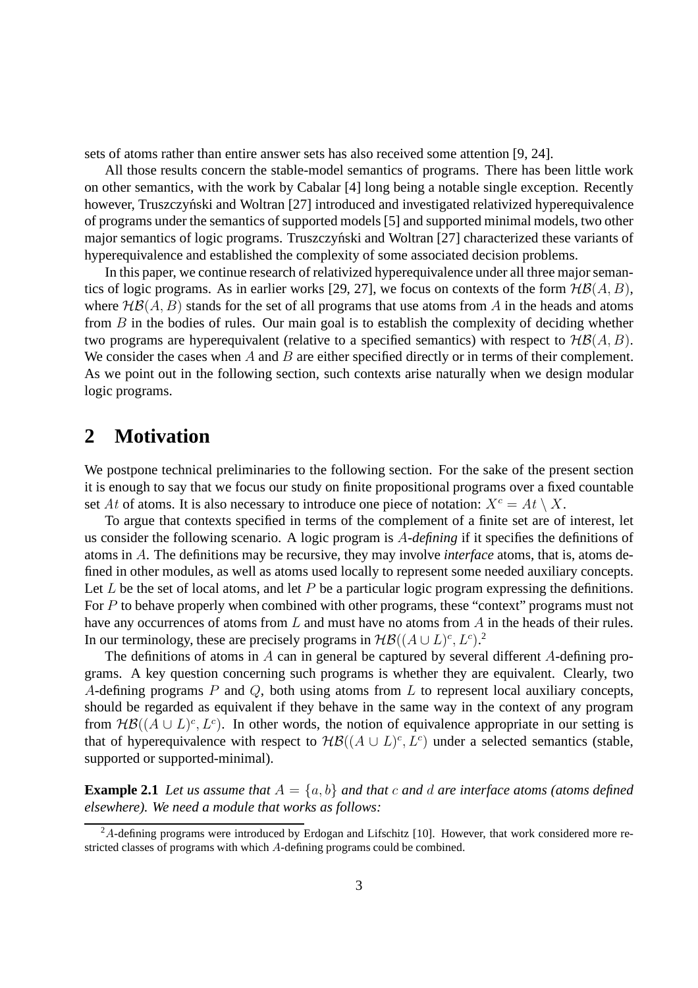sets of atoms rather than entire answer sets has also received some attention [9, 24].

All those results concern the stable-model semantics of programs. There has been little work on other semantics, with the work by Cabalar [4] long being a notable single exception. Recently however, Truszczyński and Woltran [27] introduced and investigated relativized hyperequivalence of programs under the semantics of supported models [5] and supported minimal models, two other major semantics of logic programs. Truszczyński and Woltran [27] characterized these variants of hyperequivalence and established the complexity of some associated decision problems.

In this paper, we continue research of relativized hyperequivalence under all three major semantics of logic programs. As in earlier works [29, 27], we focus on contexts of the form  $H\mathcal{B}(A, B)$ , where  $H\mathcal{B}(A, B)$  stands for the set of all programs that use atoms from A in the heads and atoms from  $B$  in the bodies of rules. Our main goal is to establish the complexity of deciding whether two programs are hyperequivalent (relative to a specified semantics) with respect to  $H\mathcal{B}(A, B)$ . We consider the cases when  $A$  and  $B$  are either specified directly or in terms of their complement. As we point out in the following section, such contexts arise naturally when we design modular logic programs.

## **2 Motivation**

We postpone technical preliminaries to the following section. For the sake of the present section it is enough to say that we focus our study on finite propositional programs over a fixed countable set At of atoms. It is also necessary to introduce one piece of notation:  $X^c = At \setminus X$ .

To argue that contexts specified in terms of the complement of a finite set are of interest, let us consider the following scenario. A logic program is A*-defining* if it specifies the definitions of atoms in A. The definitions may be recursive, they may involve *interface* atoms, that is, atoms defined in other modules, as well as atoms used locally to represent some needed auxiliary concepts. Let L be the set of local atoms, and let P be a particular logic program expressing the definitions. For P to behave properly when combined with other programs, these "context" programs must not have any occurrences of atoms from  $L$  and must have no atoms from  $A$  in the heads of their rules. In our terminology, these are precisely programs in  $H\mathcal{B}((A\cup L)^c, L^c)$ .<sup>2</sup>

The definitions of atoms in A can in general be captured by several different A-defining programs. A key question concerning such programs is whether they are equivalent. Clearly, two A-defining programs  $P$  and  $Q$ , both using atoms from  $L$  to represent local auxiliary concepts, should be regarded as equivalent if they behave in the same way in the context of any program from  $H\mathcal{B}((A\cup L)^c, L^c)$ . In other words, the notion of equivalence appropriate in our setting is that of hyperequivalence with respect to  $H\mathcal{B}((A \cup L)^c, L^c)$  under a selected semantics (stable, supported or supported-minimal).

**Example 2.1** Let us assume that  $A = \{a, b\}$  and that c and d are interface atoms (atoms defined *elsewhere). We need a module that works as follows:*

 $2A$ -defining programs were introduced by Erdogan and Lifschitz [10]. However, that work considered more restricted classes of programs with which A-defining programs could be combined.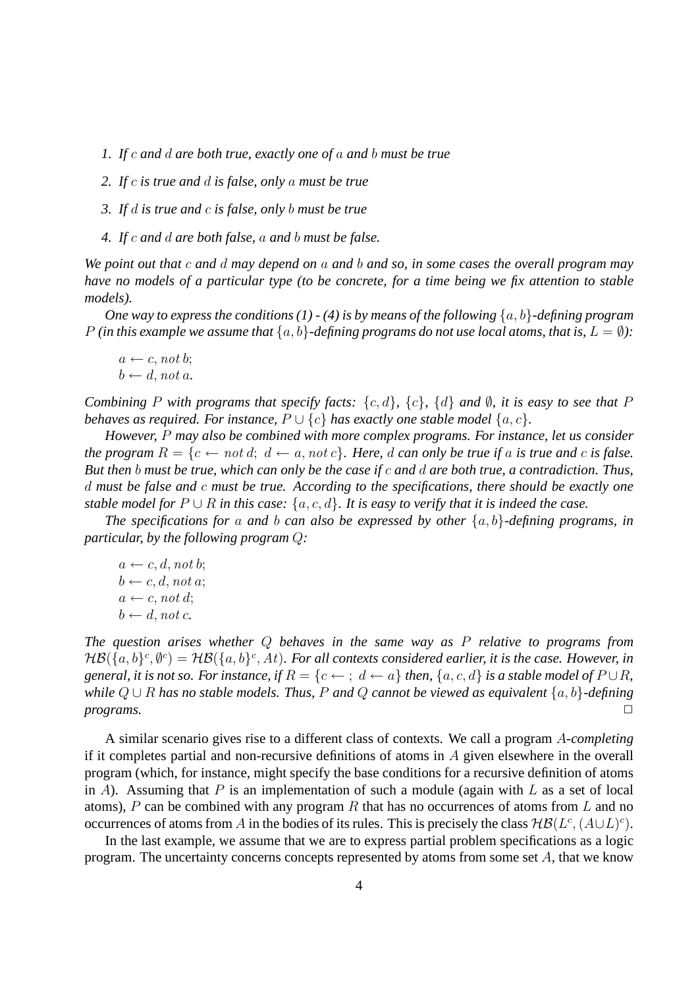- *1. If* c *and* d *are both true, exactly one of* a *and* b *must be true*
- *2. If* c *is true and* d *is false, only* a *must be true*
- *3. If* d *is true and* c *is false, only* b *must be true*
- *4. If* c *and* d *are both false,* a *and* b *must be false.*

*We point out that* c *and* d *may depend on* a *and* b *and so, in some cases the overall program may have no models of a particular type (to be concrete, for a time being we fix attention to stable models).*

*One way to express the conditions (1) - (4) is by means of the following*  $\{a, b\}$ *-defining program* P *(in this example we assume that*  $\{a, b\}$ -defining programs do not use local atoms, that is,  $L = \emptyset$ ):

 $a \leftarrow c$ , not b;  $b \leftarrow d$ , not a.

*Combining* P *with programs that specify facts:* {c, d}*,* {c}*,* {d} *and* ∅*, it is easy to see that* P *behaves as required. For instance,*  $P \cup \{c\}$  *has exactly one stable model*  $\{a, c\}$ *.* 

*However,* P *may also be combined with more complex programs. For instance, let us consider the program*  $R = \{c \leftarrow not d; d \leftarrow a, not c\}$ *. Here, d can only be true if a is true and c is false. But then* b *must be true, which can only be the case if* c *and* d *are both true, a contradiction. Thus,* d *must be false and* c *must be true. According to the specifications, there should be exactly one stable model for*  $P \cup R$  *in this case:*  $\{a, c, d\}$ *. It is easy to verify that it is indeed the case.* 

*The specifications for* a *and* b *can also be expressed by other* {a, b}*-defining programs, in particular, by the following program* Q*:*

 $a \leftarrow c, d, not b;$  $b \leftarrow c, d, \text{not } a;$  $a \leftarrow c$ , not d;  $b \leftarrow d$ , not c.

*The question arises whether* Q *behaves in the same way as* P *relative to programs from*  ${\cal HB}(\{a,b\}^c,\emptyset^c)={\cal HB}(\{a,b\}^c,At)$ . For all contexts considered earlier, it is the case. However, in *general, it is not so. For instance, if*  $R = \{c \leftarrow j : d \leftarrow a\}$  *then,*  $\{a, c, d\}$  *is a stable model of*  $P \cup R$ *, while* Q ∪ R *has no stable models. Thus,* P *and* Q *cannot be viewed as equivalent* {a, b}*-defining* **programs.** □

A similar scenario gives rise to a different class of contexts. We call a program A*-completing* if it completes partial and non-recursive definitions of atoms in  $A$  given elsewhere in the overall program (which, for instance, might specify the base conditions for a recursive definition of atoms in A). Assuming that P is an implementation of such a module (again with L as a set of local atoms), P can be combined with any program R that has no occurrences of atoms from L and no occurrences of atoms from A in the bodies of its rules. This is precisely the class  $H\mathcal{B}(L^c, (A\cup L)^c)$ .

In the last example, we assume that we are to express partial problem specifications as a logic program. The uncertainty concerns concepts represented by atoms from some set A, that we know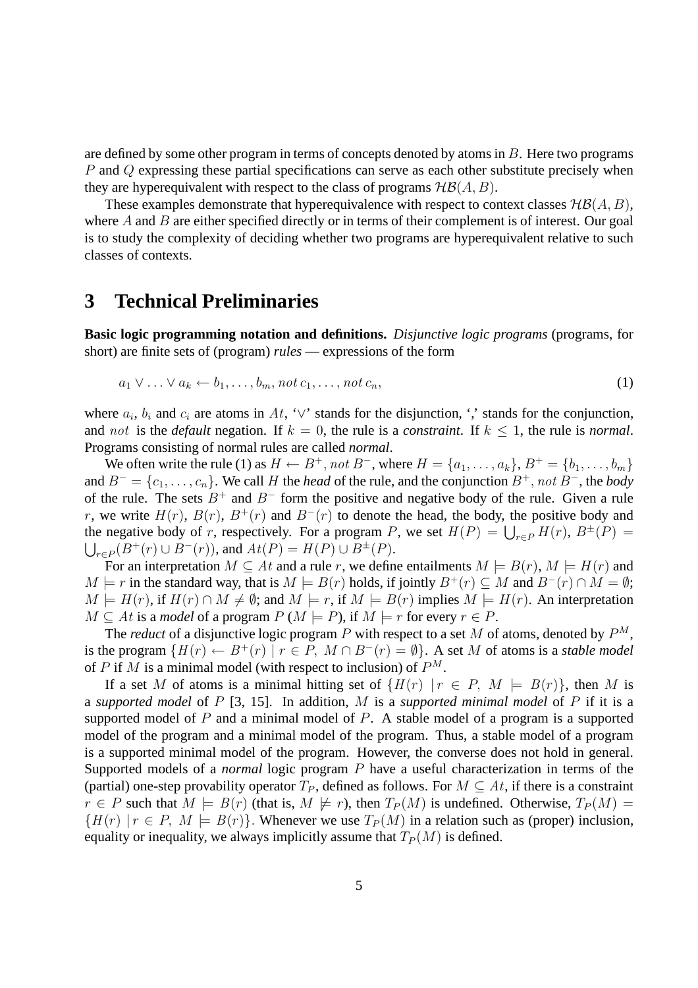are defined by some other program in terms of concepts denoted by atoms in  $B$ . Here two programs P and Q expressing these partial specifications can serve as each other substitute precisely when they are hyperequivalent with respect to the class of programs  $H\mathcal{B}(A, B)$ .

These examples demonstrate that hyperequivalence with respect to context classes  $H\mathcal{B}(A, B)$ , where  $A$  and  $B$  are either specified directly or in terms of their complement is of interest. Our goal is to study the complexity of deciding whether two programs are hyperequivalent relative to such classes of contexts.

### **3 Technical Preliminaries**

**Basic logic programming notation and definitions.** *Disjunctive logic programs* (programs, for short) are finite sets of (program) *rules* — expressions of the form

$$
a_1 \vee \ldots \vee a_k \leftarrow b_1, \ldots, b_m, \text{not } c_1, \ldots, \text{not } c_n,\tag{1}
$$

where  $a_i$ ,  $b_i$  and  $c_i$  are atoms in At, ' $\vee$ ' stands for the disjunction, ',' stands for the conjunction, and not is the *default* negation. If  $k = 0$ , the rule is a *constraint*. If  $k \le 1$ , the rule is *normal*. Programs consisting of normal rules are called *normal*.

We often write the rule (1) as  $H \leftarrow B^+$ , not  $B^-$ , where  $H = \{a_1, \ldots, a_k\}$ ,  $B^+ = \{b_1, \ldots, b_m\}$ and  $B^- = \{c_1, \ldots, c_n\}$ . We call H the *head* of the rule, and the conjunction  $B^+$ , not  $B^-$ , the *body* of the rule. The sets  $B^+$  and  $B^-$  form the positive and negative body of the rule. Given a rule r, we write  $H(r)$ ,  $B(r)$ ,  $B^{+}(r)$  and  $B^{-}(r)$  to denote the head, the body, the positive body and the negative body of r, respectively. For a program P, we set  $H(P) = \bigcup_{r \in P} H(r)$ ,  $B^{\pm}(P) =$  $\bigcup_{r\in P}(B^+(r)\cup B^-(r))$ , and  $At(P) = H(P)\cup B^{\pm}(P)$ .

For an interpretation  $M \subseteq At$  and a rule r, we define entailments  $M \models B(r)$ ,  $M \models H(r)$  and  $M \models r$  in the standard way, that is  $M \models B(r)$  holds, if jointly  $B^+(r) \subseteq M$  and  $B^-(r) \cap M = \emptyset$ ;  $M \models H(r)$ , if  $H(r) \cap M \neq \emptyset$ ; and  $M \models r$ , if  $M \models B(r)$  implies  $M \models H(r)$ . An interpretation  $M \subseteq At$  is a *model* of a program  $P(M \models P)$ , if  $M \models r$  for every  $r \in P$ .

The *reduct* of a disjunctive logic program P with respect to a set M of atoms, denoted by  $P^M$ , is the program  $\{H(r) \leftarrow B^+(r) \mid r \in P$ ,  $M \cap B^-(r) = \emptyset\}$ . A set M of atoms is a *stable model* of P if M is a minimal model (with respect to inclusion) of  $P^M$ .

If a set M of atoms is a minimal hitting set of  $\{H(r) | r \in P, M \models B(r)\}\$ , then M is a *supported model* of P [3, 15]. In addition, M is a *supported minimal model* of P if it is a supported model of  $P$  and a minimal model of  $P$ . A stable model of a program is a supported model of the program and a minimal model of the program. Thus, a stable model of a program is a supported minimal model of the program. However, the converse does not hold in general. Supported models of a *normal* logic program P have a useful characterization in terms of the (partial) one-step provability operator  $T_P$ , defined as follows. For  $M \subseteq At$ , if there is a constraint  $r \in P$  such that  $M \models B(r)$  (that is,  $M \not\models r$ ), then  $T_P(M)$  is undefined. Otherwise,  $T_P(M) =$  ${H(r) | r \in P, M \models B(r)}$ . Whenever we use  $T_P(M)$  in a relation such as (proper) inclusion, equality or inequality, we always implicitly assume that  $T_P(M)$  is defined.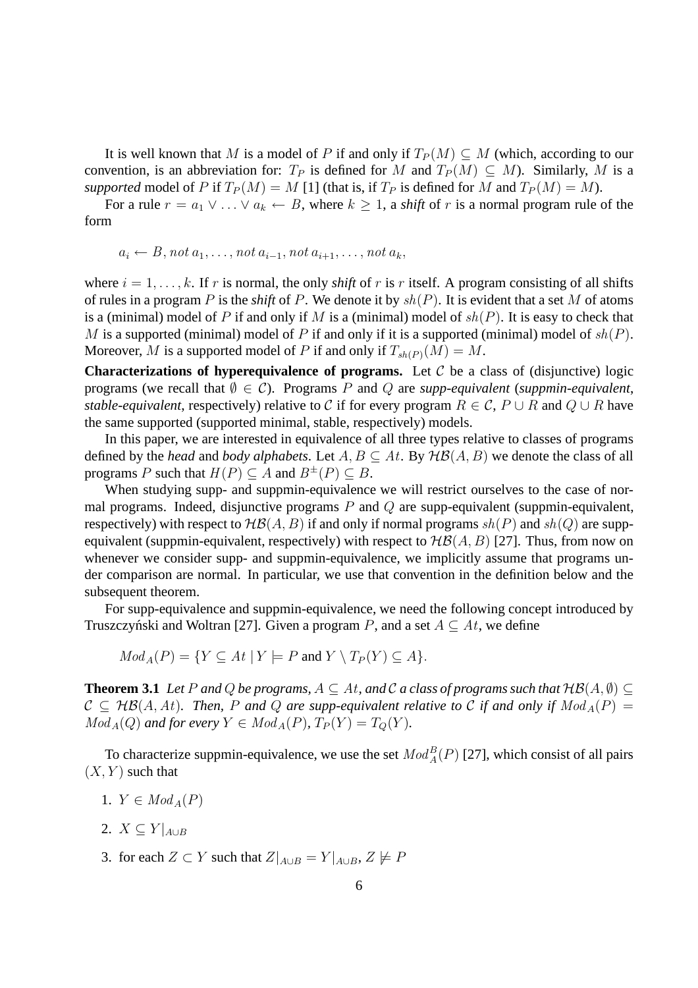It is well known that M is a model of P if and only if  $T_P(M) \subseteq M$  (which, according to our convention, is an abbreviation for:  $T_P$  is defined for M and  $T_P(M) \subseteq M$ ). Similarly, M is a *supported* model of P if  $T_P(M) = M$  [1] (that is, if  $T_P$  is defined for M and  $T_P(M) = M$ ).

For a rule  $r = a_1 \vee \ldots \vee a_k \leftarrow B$ , where  $k \geq 1$ , a *shift* of r is a normal program rule of the form

$$
a_i \leftarrow B, not a_1, \ldots, not a_{i-1}, not a_{i+1}, \ldots, not a_k,
$$

where  $i = 1, \ldots, k$ . If r is normal, the only *shift* of r is r itself. A program consisting of all shifts of rules in a program P is the *shift* of P. We denote it by  $sh(P)$ . It is evident that a set M of atoms is a (minimal) model of P if and only if M is a (minimal) model of  $sh(P)$ . It is easy to check that M is a supported (minimal) model of P if and only if it is a supported (minimal) model of  $sh(P)$ . Moreover, M is a supported model of P if and only if  $T_{sh(P)}(M) = M$ .

**Characterizations of hyperequivalence of programs.** Let  $C$  be a class of (disjunctive) logic programs (we recall that  $\emptyset \in \mathcal{C}$ ). Programs P and Q are *supp-equivalent* (*suppmin-equivalent*, *stable-equivalent*, respectively) relative to C if for every program  $R \in \mathcal{C}$ ,  $P \cup R$  and  $Q \cup R$  have the same supported (supported minimal, stable, respectively) models.

In this paper, we are interested in equivalence of all three types relative to classes of programs defined by the *head* and *body alphabets*. Let  $A, B \subseteq At$ . By  $H\mathcal{B}(A, B)$  we denote the class of all programs P such that  $H(P) \subseteq A$  and  $B^{\pm}(P) \subseteq B$ .

When studying supp- and suppmin-equivalence we will restrict ourselves to the case of normal programs. Indeed, disjunctive programs  $P$  and  $Q$  are supp-equivalent (suppmin-equivalent, respectively) with respect to  $H\mathcal{B}(A, B)$  if and only if normal programs  $sh(P)$  and  $sh(Q)$  are suppequivalent (suppmin-equivalent, respectively) with respect to  $H\mathcal{B}(A, B)$  [27]. Thus, from now on whenever we consider supp- and suppmin-equivalence, we implicitly assume that programs under comparison are normal. In particular, we use that convention in the definition below and the subsequent theorem.

For supp-equivalence and suppmin-equivalence, we need the following concept introduced by Truszczyński and Woltran [27]. Given a program P, and a set  $A \subseteq At$ , we define

$$
Mod_A(P) = \{ Y \subseteq At \mid Y \models P \text{ and } Y \setminus T_P(Y) \subseteq A \}.
$$

**Theorem 3.1** *Let* P and Q *be programs,*  $A \subseteq At$ , and C a class of programs such that  $H\mathcal{B}(A, \emptyset) \subseteq$  $C \subseteq H\mathcal{B}(A,At)$ . Then, P and Q are supp-equivalent relative to C if and only if  $Mod_A(P) =$  $Mod_A(Q)$  *and for every*  $Y \in Mod_A(P)$ ,  $T_P(Y) = T_Q(Y)$ *.* 

To characterize suppmin-equivalence, we use the set  $Mod_A^B(P)$  [27], which consist of all pairs  $(X, Y)$  such that

- 1.  $Y \in Mod_A(P)$
- 2.  $X \subseteq Y|_{A\cup B}$
- 3. for each  $Z \subset Y$  such that  $Z|_{A\cup B} = Y|_{A\cup B}$ ,  $Z \not\models P$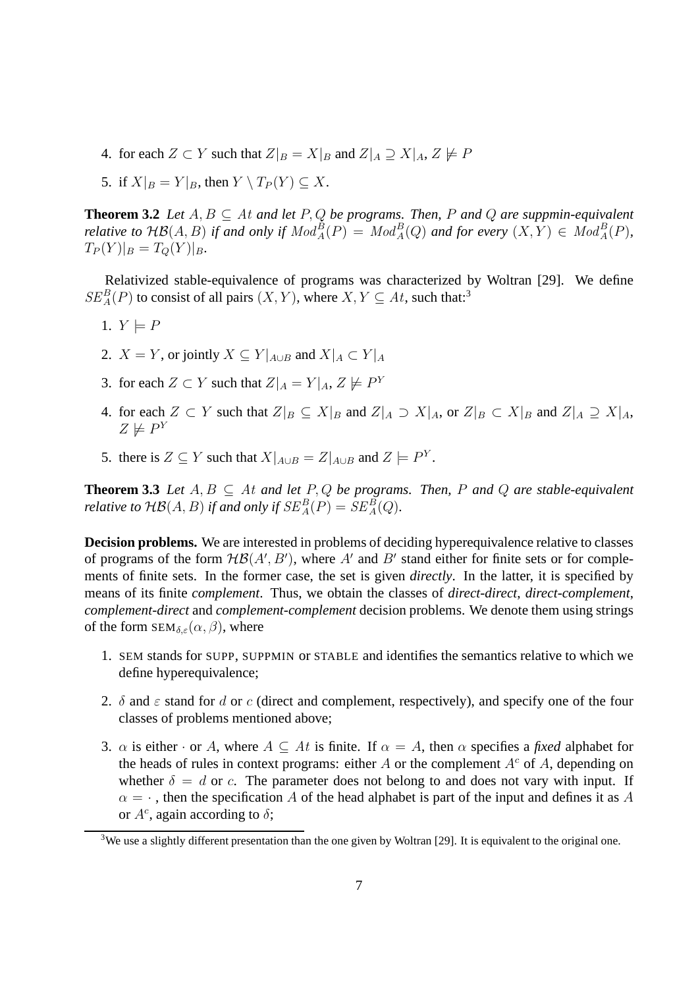- 4. for each  $Z \subset Y$  such that  $Z|_B = X|_B$  and  $Z|_A \supseteq X|_A$ ,  $Z \not\models P$
- 5. if  $X|_B = Y|_B$ , then  $Y \setminus T_P(Y) \subset X$ .

**Theorem 3.2** *Let*  $A, B \subseteq A$ *t* and let  $P, Q$  be programs. Then, P and Q are suppmin-equivalent *relative to*  $H\mathcal{B}(A, B)$  *if and only if*  $Mod_A^B(P) = Mod_A^B(Q)$  *and for every*  $(X, Y) \in Mod_A^B(P)$ *,*  $T_P(Y)|_B = T_Q(Y)|_B.$ 

Relativized stable-equivalence of programs was characterized by Woltran [29]. We define  $SE_A^B(P)$  to consist of all pairs  $(X, Y)$ , where  $X, Y \subseteq At$ , such that:<sup>3</sup>

- 1.  $Y \models P$
- 2.  $X = Y$ , or jointly  $X \subseteq Y|_{A\cup B}$  and  $X|_A \subset Y|_A$
- 3. for each  $Z \subset Y$  such that  $Z|_A = Y|_A, Z \not\models P^Y$
- 4. for each  $Z \subset Y$  such that  $Z|_B \subseteq X|_B$  and  $Z|_A \supset X|_A$ , or  $Z|_B \subset X|_B$  and  $Z|_A \supseteq X|_A$ ,  $Z \not\models P^Y$
- 5. there is  $Z \subseteq Y$  such that  $X|_{A \cup B} = Z|_{A \cup B}$  and  $Z \models P^Y$ .

**Theorem 3.3** *Let*  $A, B \subseteq A$ *t and let*  $P, Q$  *be programs. Then,*  $P$  *and*  $Q$  *are stable-equivalent relative to*  $\mathcal{H}\mathcal{B}(A, B)$  *if and only if*  $SE_A^B(P) = SE_A^B(Q)$ *.* 

**Decision problems.** We are interested in problems of deciding hyperequivalence relative to classes of programs of the form  $H\mathcal{B}(A',B')$ , where A' and B' stand either for finite sets or for complements of finite sets. In the former case, the set is given *directly*. In the latter, it is specified by means of its finite *complement*. Thus, we obtain the classes of *direct-direct*, *direct-complement*, *complement-direct* and *complement-complement* decision problems. We denote them using strings of the form  $SEM_{\delta,\varepsilon}(\alpha,\beta)$ , where

- 1. SEM stands for SUPP, SUPPMIN or STABLE and identifies the semantics relative to which we define hyperequivalence;
- 2.  $\delta$  and  $\varepsilon$  stand for d or c (direct and complement, respectively), and specify one of the four classes of problems mentioned above;
- 3.  $\alpha$  is either · or A, where  $A \subseteq At$  is finite. If  $\alpha = A$ , then  $\alpha$  specifies a *fixed* alphabet for the heads of rules in context programs: either A or the complement  $A<sup>c</sup>$  of A, depending on whether  $\delta = d$  or c. The parameter does not belong to and does not vary with input. If  $\alpha = \cdot$ , then the specification A of the head alphabet is part of the input and defines it as A or  $A^c$ , again according to  $\delta$ ;

<sup>&</sup>lt;sup>3</sup>We use a slightly different presentation than the one given by Woltran [29]. It is equivalent to the original one.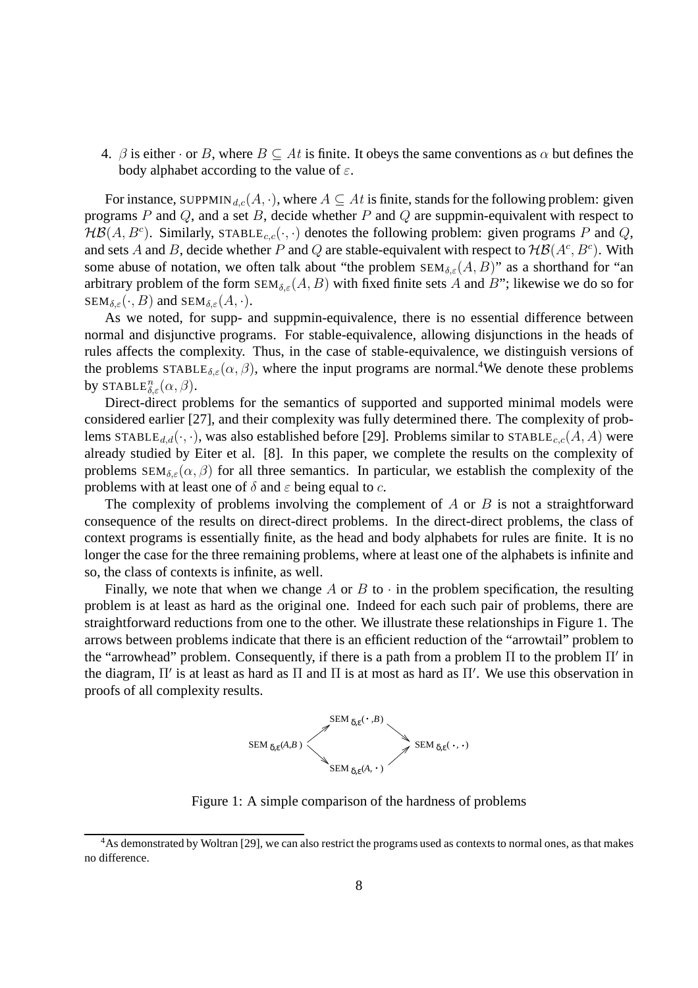4.  $\beta$  is either  $\cdot$  or B, where  $B \subseteq At$  is finite. It obeys the same conventions as  $\alpha$  but defines the body alphabet according to the value of  $\varepsilon$ .

For instance, SUPPMIN<sub>d,c</sub>(A, ·), where  $A \subseteq At$  is finite, stands for the following problem: given programs  $P$  and  $Q$ , and a set  $B$ , decide whether  $P$  and  $Q$  are suppmin-equivalent with respect to  $H\mathcal{B}(A, B^c)$ . Similarly, STABLE<sub>c,c</sub>( $\cdot, \cdot$ ) denotes the following problem: given programs P and Q, and sets A and B, decide whether P and Q are stable-equivalent with respect to  $H\mathcal{B}(A^c, B^c)$ . With some abuse of notation, we often talk about "the problem  $SEM_{\delta,\varepsilon}(A, B)$ " as a shorthand for "an arbitrary problem of the form  $SEM_{\delta,\varepsilon}(A, B)$  with fixed finite sets A and B"; likewise we do so for  $SEM_{\delta,\varepsilon}(\cdot, B)$  and  $SEM_{\delta,\varepsilon}(A, \cdot)$ .

As we noted, for supp- and suppmin-equivalence, there is no essential difference between normal and disjunctive programs. For stable-equivalence, allowing disjunctions in the heads of rules affects the complexity. Thus, in the case of stable-equivalence, we distinguish versions of the problems  $STABLE_{\delta,\varepsilon}(\alpha,\beta)$ , where the input programs are normal.<sup>4</sup>We denote these problems by  $\texttt{STABLE}_{\delta,\varepsilon}^n(\alpha,\beta)$ .

Direct-direct problems for the semantics of supported and supported minimal models were considered earlier [27], and their complexity was fully determined there. The complexity of problems STABLE<sub>d,d</sub>( $\cdot$ , $\cdot$ ), was also established before [29]. Problems similar to STABLE<sub>c,c</sub>(A, A) were already studied by Eiter et al. [8]. In this paper, we complete the results on the complexity of problems  $SEM_{\delta,\varepsilon}(\alpha,\beta)$  for all three semantics. In particular, we establish the complexity of the problems with at least one of  $\delta$  and  $\varepsilon$  being equal to c.

The complexity of problems involving the complement of  $A$  or  $B$  is not a straightforward consequence of the results on direct-direct problems. In the direct-direct problems, the class of context programs is essentially finite, as the head and body alphabets for rules are finite. It is no longer the case for the three remaining problems, where at least one of the alphabets is infinite and so, the class of contexts is infinite, as well.

Finally, we note that when we change A or B to  $\cdot$  in the problem specification, the resulting problem is at least as hard as the original one. Indeed for each such pair of problems, there are straightforward reductions from one to the other. We illustrate these relationships in Figure 1. The arrows between problems indicate that there is an efficient reduction of the "arrowtail" problem to the "arrowhead" problem. Consequently, if there is a path from a problem Π to the problem Π′ in the diagram, Π′ is at least as hard as Π and Π is at most as hard as Π′ . We use this observation in proofs of all complexity results.



Figure 1: A simple comparison of the hardness of problems

<sup>&</sup>lt;sup>4</sup>As demonstrated by Woltran [29], we can also restrict the programs used as contexts to normal ones, as that makes no difference.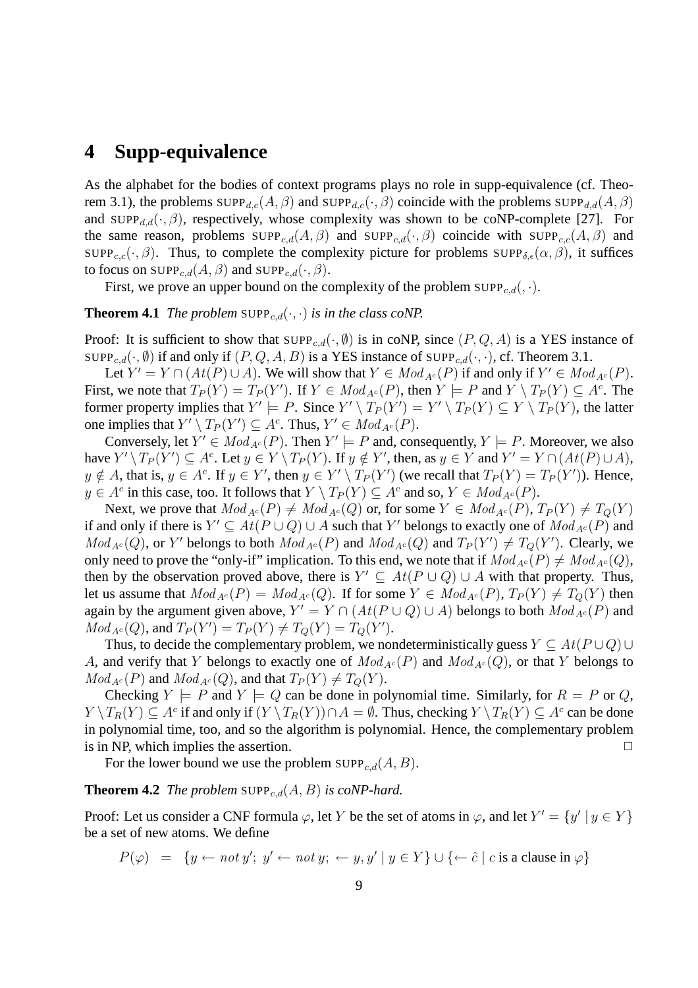## **4 Supp-equivalence**

As the alphabet for the bodies of context programs plays no role in supp-equivalence (cf. Theorem 3.1), the problems  $\text{SUPP}_{d,c}(A, \beta)$  and  $\text{SUPP}_{d,c}(\cdot, \beta)$  coincide with the problems  $\text{SUPP}_{d,d}(A, \beta)$ and SUPP<sub>d,d</sub>( $\cdot$ , $\beta$ ), respectively, whose complexity was shown to be coNP-complete [27]. For the same reason, problems  $\text{SUPP}_{c,d}(A, \beta)$  and  $\text{SUPP}_{c,d}(\cdot, \beta)$  coincide with  $\text{SUPP}_{c,c}(A, \beta)$  and SUPP<sub>c,c</sub>( $\cdot$ ,  $\beta$ ). Thus, to complete the complexity picture for problems SUPP<sub>δ, $\epsilon(\alpha, \beta)$ </sub>, it suffices to focus on  $\text{SUPP}_{c,d}(A, \beta)$  and  $\text{SUPP}_{c,d}(., \beta)$ .

First, we prove an upper bound on the complexity of the problem  $\text{SUPP}_{c,d}(, \cdot)$ .

#### **Theorem 4.1** *The problem* SUPP<sub>c,d</sub>( $\cdot$ , $\cdot$ ) *is in the class coNP.*

Proof: It is sufficient to show that  $\text{SUPP}_{c,d}(\cdot, \emptyset)$  is in coNP, since  $(P, Q, A)$  is a YES instance of SUPP<sub>c,d</sub>( $\cdot$ ,  $\emptyset$ ) if and only if  $(P, Q, A, B)$  is a YES instance of SUPP<sub>c,d</sub>( $\cdot$ , $\cdot$ ), cf. Theorem 3.1.

Let  $Y' = Y \cap (At(P) \cup A)$ . We will show that  $Y \in Mod_{A^c}(P)$  if and only if  $Y' \in Mod_{A^c}(P)$ . First, we note that  $T_P(Y) = T_P(Y')$ . If  $Y \in Mod_{A^c}(P)$ , then  $Y \models P$  and  $Y \setminus T_P(Y) \subseteq A^c$ . The former property implies that  $Y' \models P$ . Since  $Y' \setminus T_P(Y') = Y' \setminus T_P(Y) \subseteq Y \setminus T_P(Y)$ , the latter one implies that  $Y' \setminus T_P(Y') \subseteq A^c$ . Thus,  $Y' \in Mod_{A^c}(P)$ .

Conversely, let  $Y' \in Mod_{A^c}(P)$ . Then  $Y' \models P$  and, consequently,  $Y \models P$ . Moreover, we also have  $Y' \setminus T_P(Y') \subseteq A^c$ . Let  $y \in Y \setminus T_P(Y)$ . If  $y \notin Y'$ , then, as  $y \in Y$  and  $Y' = Y \cap (At(P) \cup A)$ ,  $y \notin A$ , that is,  $y \in A^c$ . If  $y \in Y'$ , then  $y \in Y' \setminus T_P(Y')$  (we recall that  $T_P(Y) = T_P(Y')$ ). Hence,  $y \in A^c$  in this case, too. It follows that  $Y \setminus T_P(Y) \subseteq A^c$  and so,  $Y \in Mod_{A^c}(P)$ .

Next, we prove that  $Mod_{A^c}(P) \neq Mod_{A^c}(Q)$  or, for some  $Y \in Mod_{A^c}(P)$ ,  $T_P(Y) \neq T_Q(Y)$ if and only if there is  $Y' \subseteq At(P \cup Q) \cup A$  such that Y' belongs to exactly one of  $Mod_{A^c}(P)$  and  $Mod_{A^c}(Q)$ , or Y' belongs to both  $Mod_{A^c}(P)$  and  $Mod_{A^c}(Q)$  and  $T_P(Y') \neq T_Q(Y')$ . Clearly, we only need to prove the "only-if" implication. To this end, we note that if  $Mod_{A^c}(P) \neq Mod_{A^c}(Q)$ , then by the observation proved above, there is  $Y' \subseteq At(P \cup Q) \cup A$  with that property. Thus, let us assume that  $Mod_{A^c}(P) = Mod_{A^c}(Q)$ . If for some  $Y \in Mod_{A^c}(P)$ ,  $T_P(Y) \neq T_Q(Y)$  then again by the argument given above,  $Y' = Y \cap (At(P \cup Q) \cup A)$  belongs to both  $Mod_{A^c}(P)$  and  $Mod_{A^c}(Q)$ , and  $T_P(Y') = T_P(Y) \neq T_Q(Y) = T_Q(Y')$ .

Thus, to decide the complementary problem, we nondeterministically guess  $Y \subseteq At(P \cup Q) \cup$ A, and verify that Y belongs to exactly one of  $Mod_{A^c}(P)$  and  $Mod_{A^c}(Q)$ , or that Y belongs to  $Mod_{A^c}(P)$  and  $Mod_{A^c}(Q)$ , and that  $T_P(Y) \neq T_Q(Y)$ .

Checking  $Y \models P$  and  $Y \models Q$  can be done in polynomial time. Similarly, for  $R = P$  or Q,  $Y \setminus T_R(Y) \subseteq A^c$  if and only if  $(Y \setminus T_R(Y)) \cap A = \emptyset$ . Thus, checking  $Y \setminus T_R(Y) \subseteq A^c$  can be done in polynomial time, too, and so the algorithm is polynomial. Hence, the complementary problem is in NP, which implies the assertion.  $\Box$ 

For the lower bound we use the problem  $\text{SUPP}_{c,d}(A, B)$ .

#### **Theorem 4.2** *The problem* SUPP<sub>c,d</sub> $(A, B)$  *is coNP-hard.*

Proof: Let us consider a CNF formula  $\varphi$ , let Y be the set of atoms in  $\varphi$ , and let  $Y' = \{y' \mid y \in Y\}$ be a set of new atoms. We define

$$
P(\varphi) = \{ y \leftarrow not \, y'; \, y' \leftarrow not \, y; \, \leftarrow y, y' \mid y \in Y \} \cup \{ \leftarrow \hat{c} \mid c \text{ is a clause in } \varphi \}
$$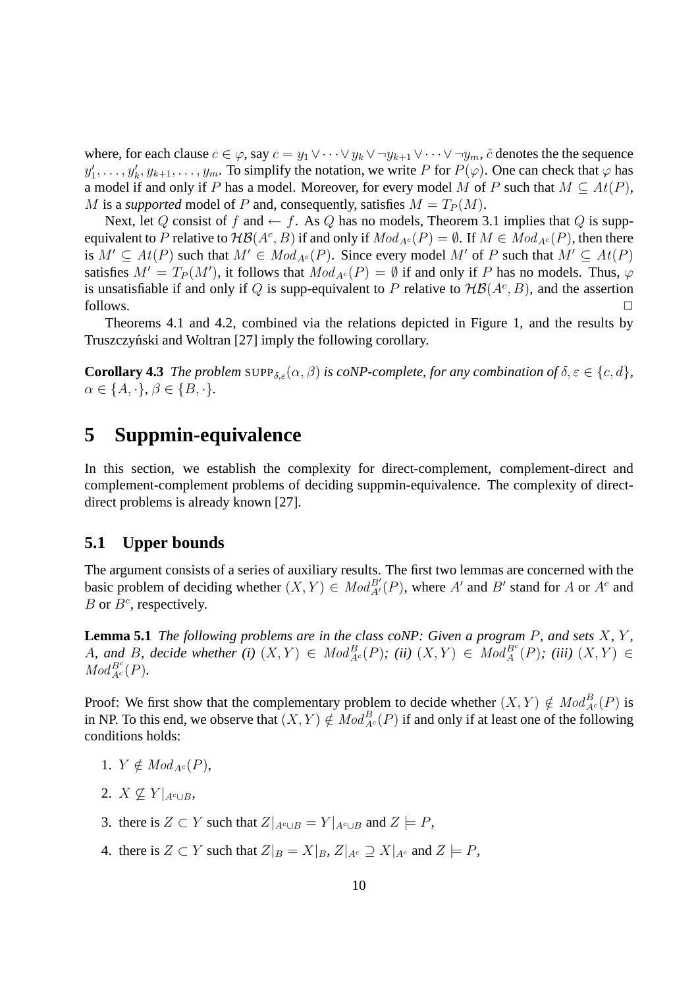where, for each clause  $c \in \varphi$ , say  $c = y_1 \vee \cdots \vee y_k \vee \neg y_{k+1} \vee \cdots \vee \neg y_m$ ,  $\hat{c}$  denotes the the sequence  $y'_1, \ldots, y'_k, y_{k+1}, \ldots, y_m$ . To simplify the notation, we write P for  $P(\varphi)$ . One can check that  $\varphi$  has a model if and only if P has a model. Moreover, for every model M of P such that  $M \subseteq At(P)$ , M is a *supported* model of P and, consequently, satisfies  $M = T_P(M)$ .

Next, let Q consist of f and  $\leftarrow$  f. As Q has no models, Theorem 3.1 implies that Q is suppequivalent to P relative to  $\mathcal{HB}(A^c, B)$  if and only if  $Mod_{A^c}(P) = \emptyset$ . If  $M \in Mod_{A^c}(P)$ , then there is  $M' \subseteq At(P)$  such that  $M' \in Mod_{A^c}(P)$ . Since every model M' of P such that  $M' \subseteq At(P)$ satisfies  $M' = T_P(M')$ , it follows that  $Mod_{A^c}(P) = \emptyset$  if and only if P has no models. Thus,  $\varphi$ is unsatisfiable if and only if Q is supp-equivalent to P relative to  $H\mathcal{B}(A^c, B)$ , and the assertion  $\Box$  follows.  $\Box$ 

Theorems 4.1 and 4.2, combined via the relations depicted in Figure 1, and the results by Truszczyński and Woltran [27] imply the following corollary.

**Corollary 4.3** *The problem* SUPP $_{\delta,\varepsilon}(\alpha,\beta)$  *is coNP-complete, for any combination of*  $\delta,\varepsilon \in \{c,d\}$ *,*  $\alpha \in \{A, \cdot\}, \beta \in \{B, \cdot\}.$ 

## **5 Suppmin-equivalence**

In this section, we establish the complexity for direct-complement, complement-direct and complement-complement problems of deciding suppmin-equivalence. The complexity of directdirect problems is already known [27].

#### **5.1 Upper bounds**

The argument consists of a series of auxiliary results. The first two lemmas are concerned with the basic problem of deciding whether  $(X, Y) \in Mod_{A'}^{B'}(P)$ , where A' and B' stand for A or A<sup>c</sup> and B or  $B^c$ , respectively.

**Lemma 5.1** *The following problems are in the class coNP: Given a program* P*, and sets* X*,* Y *,*  $A$ , and  $B$ , decide whether (i)  $(X,Y) \in Mod_{A^c}^B(P)$ ; (ii)  $(X,Y) \in Mod_A^{B^c}(P)$ ; (iii)  $(X,Y) \in$  $Mod_{A^c}^{B^c}(P)$ .

Proof: We first show that the complementary problem to decide whether  $(X, Y) \notin Mod_{A^c}^B(P)$  is in NP. To this end, we observe that  $(X, Y) \notin Mod_{A^c}^B(P)$  if and only if at least one of the following conditions holds:

- 1.  $Y \notin Mod_{A^c}(P)$ ,
- 2.  $X \not\subset Y|_{A^{c} \cup B}$
- 3. there is  $Z \subset Y$  such that  $Z|_{A^c \cup B} = Y|_{A^c \cup B}$  and  $Z \models P$ ,
- 4. there is  $Z \subset Y$  such that  $Z|_B = X|_B$ ,  $Z|_{A^c} \supseteq X|_{A^c}$  and  $Z \models P$ ,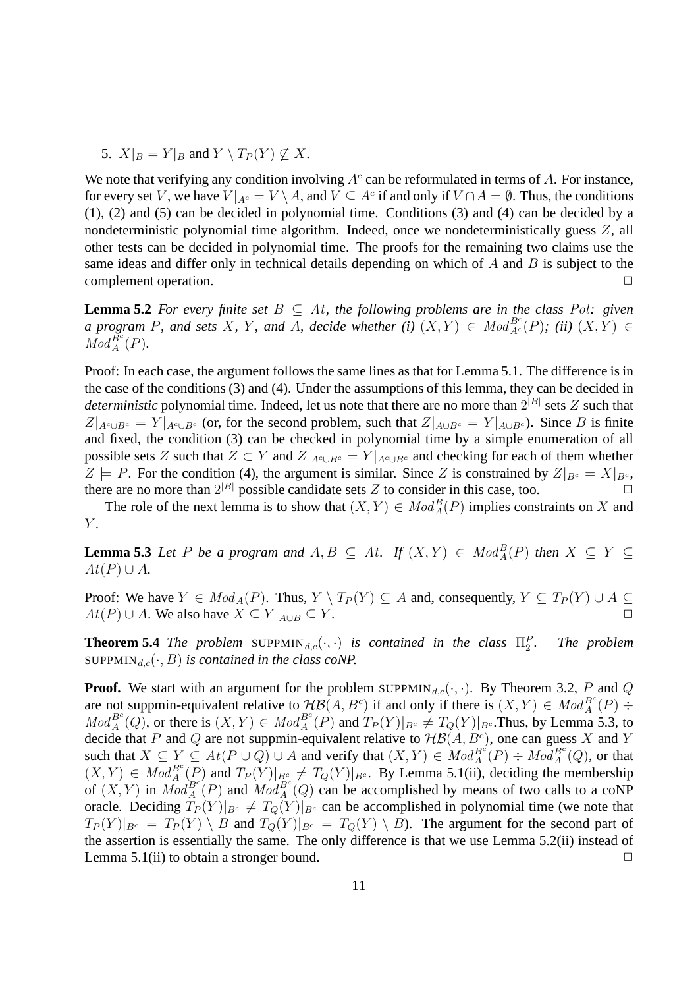5.  $X|_B = Y|_B$  and  $Y \setminus T_P(Y) \nsubseteq X$ .

We note that verifying any condition involving  $A^c$  can be reformulated in terms of A. For instance, for every set V, we have  $V|_{A^c} = V \setminus A$ , and  $V \subseteq A^c$  if and only if  $V \cap A = \emptyset$ . Thus, the conditions (1), (2) and (5) can be decided in polynomial time. Conditions (3) and (4) can be decided by a nondeterministic polynomial time algorithm. Indeed, once we nondeterministically guess Z, all other tests can be decided in polynomial time. The proofs for the remaining two claims use the same ideas and differ only in technical details depending on which of  $A$  and  $B$  is subject to the complement operation.

**Lemma 5.2** *For every finite set*  $B \subseteq At$ *, the following problems are in the class Pol: given a* program P, and sets X, Y, and A, decide whether (i)  $(X,Y) \in Mod_{A^c}^{B^c}(P)$ ; (ii)  $(X,Y) \in$  $Mod_A^{B^c}(P)$ .

Proof: In each case, the argument follows the same lines as that for Lemma 5.1. The difference is in the case of the conditions (3) and (4). Under the assumptions of this lemma, they can be decided in *deterministic* polynomial time. Indeed, let us note that there are no more than  $2^{|B|}$  sets  $Z$  such that  $Z|_{A\cup B^c} = Y|_{A\cup B^c}$  (or, for the second problem, such that  $Z|_{A\cup B^c} = Y|_{A\cup B^c}$ ). Since B is finite and fixed, the condition (3) can be checked in polynomial time by a simple enumeration of all possible sets Z such that  $Z \subset Y$  and  $Z|_{A^c \cup B^c} = Y|_{A^c \cup B^c}$  and checking for each of them whether  $Z \models P$ . For the condition (4), the argument is similar. Since Z is constrained by  $Z|_{B^c} = X|_{B^c}$ , there are no more than  $2^{|B|}$  possible candidate sets Z to consider in this case, too.

The role of the next lemma is to show that  $(X, Y) \in Mod_A^B(P)$  implies constraints on X and  $Y$ .

**Lemma 5.3** *Let* P *be a program and*  $A, B \subseteq At$ . *If*  $(X, Y) \in Mod_A^B(P)$  *then*  $X \subseteq Y \subseteq$  $At(P) \cup A$ .

Proof: We have  $Y \in Mod_A(P)$ . Thus,  $Y \setminus T_P(Y) \subseteq A$  and, consequently,  $Y \subseteq T_P(Y) \cup A \subseteq$  $At(P) \cup A$ . We also have  $X \subseteq Y|_{A \cup B} \subseteq Y$ .

**Theorem 5.4** *The problem* SUPPMIN<sub>d,c</sub>( $\cdot$ , $\cdot$ ) *is contained in the class*  $\Pi_2^F$ *. The problem* SUPPMIN<sub>d,c</sub> $(\cdot, B)$  *is contained in the class coNP.* 

**Proof.** We start with an argument for the problem SUPPMIN<sub>d,c</sub>( $\cdot$ , $\cdot$ ). By Theorem 3.2, P and Q are not suppmin-equivalent relative to  $\mathcal{HB}(A, B^c)$  if and only if there is  $(X, Y) \in Mod_A^{B^c}(P)$  ÷  $Mod_A^{B^c}(Q)$ , or there is  $(X, Y) \in Mod_A^{B^c}(P)$  and  $T_P(Y)|_{B^c} \neq T_Q(Y)|_{B^c}$ . Thus, by Lemma 5.3, to decide that P and Q are not suppmin-equivalent relative to  $H\mathcal{B}(A, B^c)$ , one can guess X and Y such that  $X \subseteq Y \subseteq At(P \cup Q) \cup A$  and verify that  $(X,Y) \in Mod_A^{B^c}(P) \div Mod_A^{B^c}(Q)$ , or that  $(X,Y) \in Mod_A^{Be}(\overline{P})$  and  $T_P(Y)|_{B^c} \neq T_Q(Y)|_{B^c}$ . By Lemma 5.1(ii), deciding the membership of  $(X, Y)$  in  $Mod_A^{Be}(P)$  and  $Mod_A^{Be}(Q)$  can be accomplished by means of two calls to a coNP oracle. Deciding  $T_P(Y)|_{B^c} \neq T_Q(Y)|_{B^c}$  can be accomplished in polynomial time (we note that  $T_P(Y)|_{B^c} = T_P(Y) \setminus B$  and  $T_Q(Y)|_{B^c} = T_Q(Y) \setminus B$ . The argument for the second part of the assertion is essentially the same. The only difference is that we use Lemma 5.2(ii) instead of Lemma 5.1(ii) to obtain a stronger bound.  $\Box$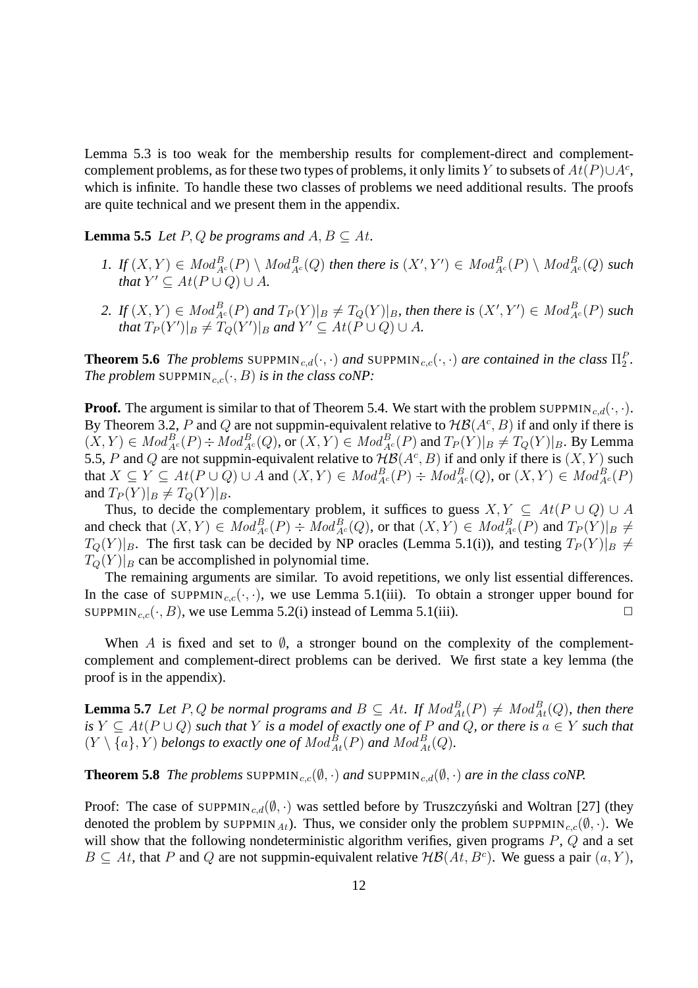Lemma 5.3 is too weak for the membership results for complement-direct and complementcomplement problems, as for these two types of problems, it only limits Y to subsets of  $At(P) \cup A^c$ , which is infinite. To handle these two classes of problems we need additional results. The proofs are quite technical and we present them in the appendix.

**Lemma 5.5** *Let*  $P$ ,  $Q$  *be programs and*  $A$ ,  $B \subseteq At$ *.* 

- 1. If  $(X,Y) \in Mod_{A^c}^B(P) \setminus Mod_{A^c}^B(Q)$  then there is  $(X',Y') \in Mod_{A^c}^B(P) \setminus Mod_{A^c}^B(Q)$  such *that*  $Y' \subseteq At(P \cup Q) \cup A$ *.*
- 2. If  $(X,Y) \in Mod_{A^c}^B(P)$  and  $T_P(Y)|_B \neq T_Q(Y)|_B$ , then there is  $(X',Y') \in Mod_{A^c}^B(P)$  such *that*  $T_P(Y')|_B \neq T_Q(Y')|_B$  and  $Y' \subseteq At(P \cup Q) \cup A$ .

**Theorem 5.6** *The problems* SUPPMIN<sub>c,d</sub>( $\cdot$ , $\cdot$ ) *and* SUPPMIN<sub>c,c</sub>( $\cdot$ , $\cdot$ ) *are contained in the class*  $\Pi_2^P$ . *The problem* SUPPMIN<sub>c,c</sub> $(\cdot, B)$  *is in the class coNP:* 

**Proof.** The argument is similar to that of Theorem 5.4. We start with the problem SUPPMIN<sub>c,d</sub>( $\cdot$ , $\cdot$ ). By Theorem 3.2, P and Q are not suppmin-equivalent relative to  $H\mathcal{B}(A^c, B)$  if and only if there is  $(X,Y) \in Mod_{A^c}^B(P) \div Mod_{A^c}^B(Q)$ , or  $(X,Y) \in Mod_{A^c}^B(P)$  and  $T_P(Y)|_B \neq T_Q(Y)|_B$ . By Lemma 5.5, P and Q are not suppmin-equivalent relative to  $H\mathcal{B}(A^c, B)$  if and only if there is  $(X, Y)$  such that  $X \subseteq Y \subseteq At(P \cup Q) \cup A$  and  $(X, Y) \in Mod_{A^c}^B(P) \div Mod_{A^c}^B(Q)$ , or  $(X, Y) \in Mod_{A^c}^B(P)$ and  $T_P(Y)|_B \neq T_Q(Y)|_B$ .

Thus, to decide the complementary problem, it suffices to guess  $X, Y \subseteq At(P \cup Q) \cup A$ and check that  $(X, Y) \in Mod_{A^c}^B(P) \div Mod_{A^c}^B(Q)$ , or that  $(X, Y) \in Mod_{A^c}^B(P)$  and  $T_P(Y)|_B \neq$  $T_Q(Y)|_B$ . The first task can be decided by NP oracles (Lemma 5.1(i)), and testing  $T_P(Y)|_B \neq$  $T_Q(Y)|_B$  can be accomplished in polynomial time.

The remaining arguments are similar. To avoid repetitions, we only list essential differences. In the case of SUPPMIN<sub>c,c</sub>( $\cdot$ , $\cdot$ ), we use Lemma 5.1(iii). To obtain a stronger upper bound for SUPPMIN<sub>c,c</sub>( $\cdot$ , *B*), we use Lemma 5.2(i) instead of Lemma 5.1(iii).

When A is fixed and set to  $\emptyset$ , a stronger bound on the complexity of the complementcomplement and complement-direct problems can be derived. We first state a key lemma (the proof is in the appendix).

**Lemma 5.7** Let P, Q be normal programs and  $B \subseteq At$ . If  $Mod_{At}^{B}(P) \neq Mod_{At}^{B}(Q)$ , then there  $\iint_S Y \subseteq At(P \cup Q)$  *such that* Y *is a model of exactly one of* P *and* Q, or *there is*  $a \in Y$  *such that*  $(Y \setminus \{a\}, Y)$  *belongs to exactly one of*  $Mod_{At}^{B}(P)$  *and*  $Mod_{At}^{B}(Q)$ *.* 

**Theorem 5.8** *The problems* SUPPMIN<sub>c,c</sub>( $\emptyset$ , ·) *and* SUPPMIN<sub>c,d</sub>( $\emptyset$ , ·) *are in the class coNP.* 

Proof: The case of SUPPMIN<sub>c,d</sub> $(\emptyset, \cdot)$  was settled before by Truszczyński and Woltran [27] (they denoted the problem by SUPPMIN<sub>At</sub>). Thus, we consider only the problem SUPPMIN<sub>c,c</sub>( $(\emptyset, \cdot)$ ). We will show that the following nondeterministic algorithm verifies, given programs  $P$ ,  $Q$  and a set  $B \subseteq At$ , that P and Q are not suppmin-equivalent relative  $H\mathcal{B}(At, B^c)$ . We guess a pair  $(a, Y)$ ,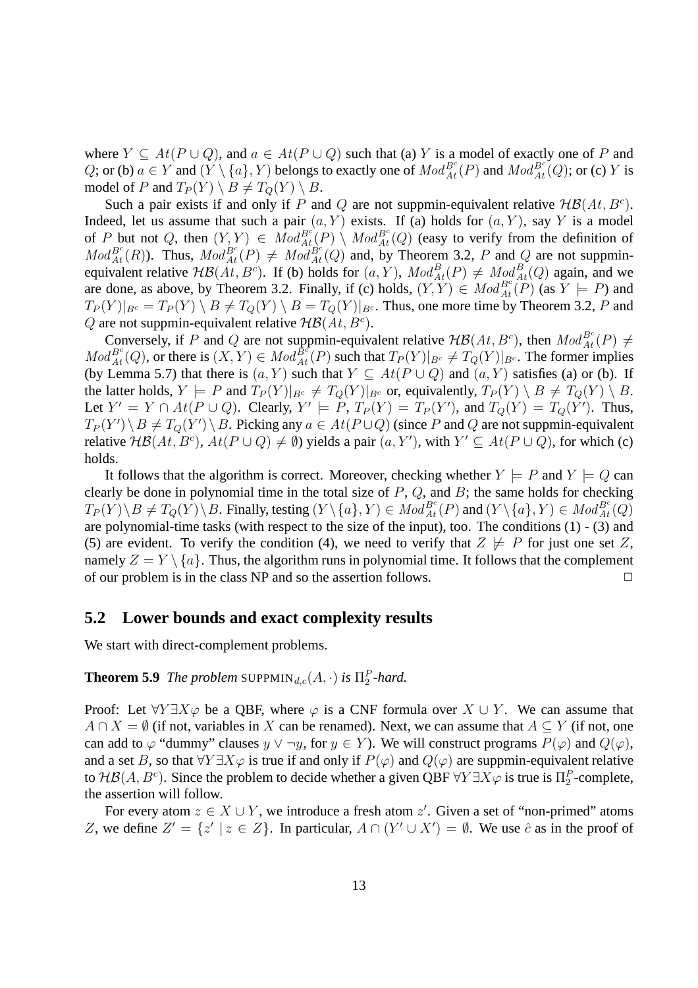where  $Y \subseteq At(P \cup Q)$ , and  $a \in At(P \cup Q)$  such that (a) Y is a model of exactly one of P and Q; or (b)  $a \in Y$  and  $(Y \setminus \{a\}, Y)$  belongs to exactly one of  $Mod_{At}^{B^c}(P)$  and  $Mod_{At}^{B^c}(Q)$ ; or (c) Y is model of P and  $T_P(Y) \setminus B \neq T_Q(Y) \setminus B$ .

Such a pair exists if and only if P and Q are not suppmin-equivalent relative  $H\mathcal{B}(At, B^c)$ . Indeed, let us assume that such a pair  $(a, Y)$  exists. If (a) holds for  $(a, Y)$ , say Y is a model of P but not Q, then  $(Y, Y) \in Mod_{At}^{B_c}(P) \setminus Mod_{At}^{B_c}(Q)$  (easy to verify from the definition of  $Mod_{At}^{B^c}(R)$ ). Thus,  $Mod_{At}^{B^c}(P) \neq Mod_{At}^{B^c}(Q)$  and, by Theorem 3.2, P and Q are not suppminequivalent relative  $H\mathcal{B}(At, B^c)$ . If (b) holds for  $(a, Y)$ ,  $Mod_{At}^B(P) \neq Mod_{At}^B(Q)$  again, and we are done, as above, by Theorem 3.2. Finally, if (c) holds,  $(Y, Y) \in Mod_{At}^{B^c}(\mathbb{P})$  (as  $Y \models P$ ) and  $T_P(Y)|_{B^c} = T_P(Y) \setminus B \neq T_Q(Y) \setminus B = T_Q(Y)|_{B^c}$ . Thus, one more time by Theorem 3.2, P and Q are not suppmin-equivalent relative  $H\mathcal{B}(At, B^c)$ .

Conversely, if P and Q are not suppmin-equivalent relative  $H\mathcal{B}(At, B^c)$ , then  $Mod_{At}^{B^c}(P) \neq$  $Mod_{At}^{B^c}(Q)$ , or there is  $(X, Y) \in Mod_{At}^{B^c}(P)$  such that  $T_P(Y)|_{B^c} \neq T_Q(Y)|_{B^c}$ . The former implies (by Lemma 5.7) that there is  $(a, Y)$  such that  $Y \subseteq At(P \cup Q)$  and  $(a, Y)$  satisfies (a) or (b). If the latter holds,  $Y \models P$  and  $T_P(Y)|_{B^c} \neq T_Q(Y)|_{B^c}$  or, equivalently,  $T_P(Y) \setminus B \neq T_Q(Y) \setminus B$ . Let  $Y' = Y \cap At(P \cup Q)$ . Clearly,  $Y' \models P$ ,  $T_P(Y) = T_P(Y')$ , and  $T_Q(Y) = T_Q(Y')$ . Thus,  $T_P(Y') \setminus B \neq T_Q(Y') \setminus B$ . Picking any  $a \in At(P \cup Q)$  (since P and Q are not suppmin-equivalent relative  $H\mathcal{B}(At, B^c)$ ,  $At(P\cup Q) \neq \emptyset$ ) yields a pair  $(a, Y')$ , with  $Y' \subseteq At(P\cup Q)$ , for which (c) holds.

It follows that the algorithm is correct. Moreover, checking whether  $Y \models P$  and  $Y \models Q$  can clearly be done in polynomial time in the total size of  $P$ ,  $Q$ , and  $B$ ; the same holds for checking  $T_P(Y) \setminus B \neq T_Q(Y) \setminus B$ . Finally, testing  $(Y \setminus \{a\}, Y) \in Mod_{At}^{B^c}(P)$  and  $(Y \setminus \{a\}, Y) \in Mod_{At}^{B^c}(Q)$ are polynomial-time tasks (with respect to the size of the input), too. The conditions (1) - (3) and (5) are evident. To verify the condition (4), we need to verify that  $Z \not\models P$  for just one set Z, namely  $Z = Y \setminus \{a\}$ . Thus, the algorithm runs in polynomial time. It follows that the complement of our problem is in the class NP and so the assertion follows.  $\Box$ 

#### **5.2 Lower bounds and exact complexity results**

We start with direct-complement problems.

### **Theorem 5.9** *The problem* SUPPMIN<sub>d,c</sub> $(A, \cdot)$  *is*  $\Pi_2^P$ -hard.

Proof: Let  $\forall Y \exists X \varphi$  be a QBF, where  $\varphi$  is a CNF formula over  $X \cup Y$ . We can assume that  $A \cap X = \emptyset$  (if not, variables in X can be renamed). Next, we can assume that  $A \subseteq Y$  (if not, one can add to  $\varphi$  "dummy" clauses  $y \lor \neg y$ , for  $y \in Y$ ). We will construct programs  $P(\varphi)$  and  $Q(\varphi)$ , and a set B, so that  $\forall Y \exists X \varphi$  is true if and only if  $P(\varphi)$  and  $Q(\varphi)$  are suppmin-equivalent relative to  $\mathcal{HB}(A, B^c)$ . Since the problem to decide whether a given QBF  $\forall Y \exists X \varphi$  is true is  $\Pi_2^P$ -complete, the assertion will follow.

For every atom  $z \in X \cup Y$ , we introduce a fresh atom  $z'$ . Given a set of "non-primed" atoms Z, we define  $Z' = \{z' \mid z \in Z\}$ . In particular,  $A \cap (Y' \cup X') = \emptyset$ . We use  $\hat{c}$  as in the proof of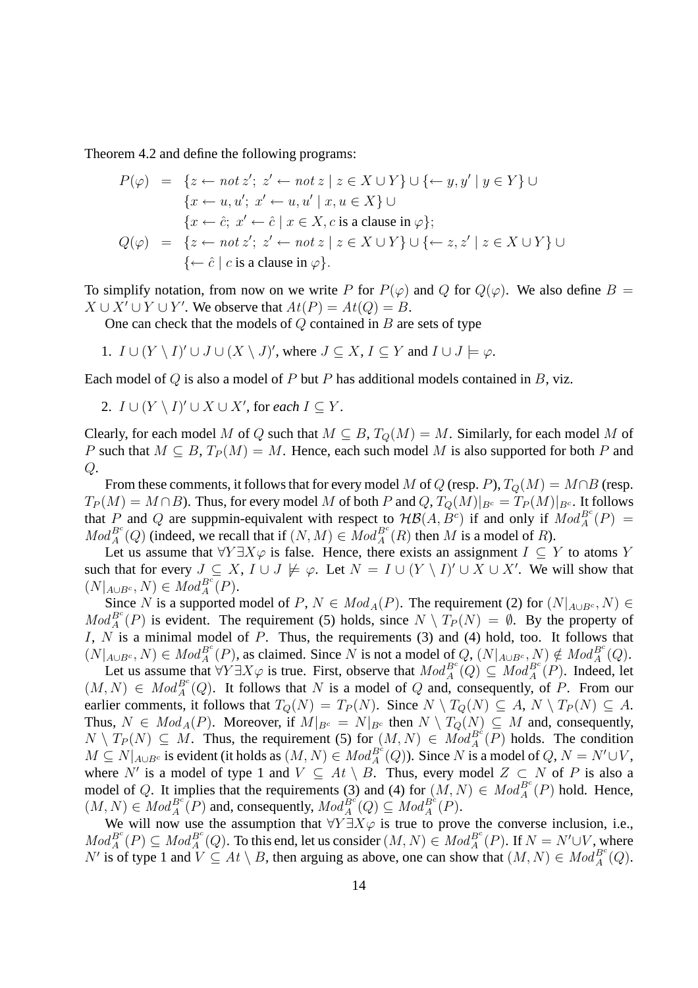Theorem 4.2 and define the following programs:

$$
P(\varphi) = \{ z \leftarrow not \ z'; \ z' \leftarrow not \ z \mid z \in X \cup Y \} \cup \{ \leftarrow y, y' \mid y \in Y \} \cup
$$
  

$$
\{ x \leftarrow u, u'; \ x' \leftarrow u, u' \mid x, u \in X \} \cup
$$
  

$$
\{ x \leftarrow \hat{c}; \ x' \leftarrow \hat{c} \mid x \in X, c \text{ is a clause in } \varphi \};
$$
  

$$
Q(\varphi) = \{ z \leftarrow not \ z'; \ z' \leftarrow not \ z \mid z \in X \cup Y \} \cup \{ \leftarrow z, z' \mid z \in X \cup Y \} \cup
$$
  

$$
\{ \leftarrow \hat{c} \mid c \text{ is a clause in } \varphi \}.
$$

To simplify notation, from now on we write P for  $P(\varphi)$  and Q for  $Q(\varphi)$ . We also define  $B =$  $X \cup X' \cup Y \cup Y'$ . We observe that  $At(P) = At(Q) = B$ .

One can check that the models of  $Q$  contained in  $B$  are sets of type

1. 
$$
I \cup (Y \setminus I)' \cup J \cup (X \setminus J)'
$$
, where  $J \subseteq X$ ,  $I \subseteq Y$  and  $I \cup J \models \varphi$ .

Each model of  $Q$  is also a model of  $P$  but  $P$  has additional models contained in  $B$ , viz.

2.  $I \cup (Y \setminus I)' \cup X \cup X'$ , for *each*  $I \subseteq Y$ .

Clearly, for each model M of Q such that  $M \subseteq B$ ,  $T_Q(M) = M$ . Similarly, for each model M of P such that  $M \subseteq B$ ,  $T_P(M) = M$ . Hence, each such model M is also supported for both P and  $Q$ .

From these comments, it follows that for every model M of Q (resp. P),  $T_O(M) = M \cap B$  (resp.  $T_P(M) = M \cap B$ ). Thus, for every model M of both P and  $Q, T_Q(M)|_{B^c} = T_P(M)|_{B^c}$ . It follows that P and Q are suppmin-equivalent with respect to  $H\mathcal{B}(A, B^c)$  if and only if  $Mod_A^{B^c}(P)$  =  $Mod_A^{B^c}(Q)$  (indeed, we recall that if  $(N, M) \in Mod_A^{B^c}(R)$  then M is a model of R).

Let us assume that  $\forall Y \exists X \varphi$  is false. Hence, there exists an assignment  $I \subseteq Y$  to atoms Y such that for every  $J \subseteq X$ ,  $I \cup J \not\models \varphi$ . Let  $N = I \cup (Y \setminus I)' \cup X \cup X'$ . We will show that  $(N|_{A\cup B^c}, N) \in Mod_A^{B^c}(P).$ 

Since N is a supported model of P,  $N \in Mod_A(P)$ . The requirement (2) for  $(N|_{A\cup B^c}, N) \in$  $Mod_A^{B^c}(P)$  is evident. The requirement (5) holds, since  $N \setminus T_P(N) = \emptyset$ . By the property of I,  $N$  is a minimal model of  $P$ . Thus, the requirements (3) and (4) hold, too. It follows that  $(N|_{A\cup B^c}, N) \in Mod_A^{B^c}(P)$ , as claimed. Since N is not a model of  $Q, (N|_{A\cup B^c}, N) \notin Mod_A^{B^c}(Q)$ .

Let us assume that  $\forall Y \exists X \varphi$  is true. First, observe that  $Mod_A^{B^c}(Q) \subseteq Mod_A^{B^c}(P)$ . Indeed, let  $(M, N) \in Mod_A^{B^c}(Q)$ . It follows that N is a model of Q and, consequently, of P. From our earlier comments, it follows that  $T_Q(N) = T_P(N)$ . Since  $N \setminus T_Q(N) \subseteq A$ ,  $N \setminus T_P(N) \subseteq A$ . Thus,  $N \in Mod_A(P)$ . Moreover, if  $M|_{B^c} = N|_{B^c}$  then  $N \setminus T_Q(N) \subseteq M$  and, consequently,  $N \setminus T_P(N) \subseteq M$ . Thus, the requirement (5) for  $(M, N) \in Mod_A^{B^c}(\overline{P})$  holds. The condition  $M \subseteq N|_{A\cup B^c}$  is evident (it holds as  $(M, N) \in Mod_B^{B^c}(Q)$ ). Since N is a model of  $Q, N = N' \cup V$ , where N' is a model of type 1 and  $V \subseteq At \setminus B$ . Thus, every model  $Z \subset N$  of P is also a model of Q. It implies that the requirements (3) and (4) for  $(M, N) \in Mod_A^{B^c}(P)$  hold. Hence,  $(M, N) \in Mod_A^{B^c}(P)$  and, consequently,  $Mod_A^{B^c}(Q) \subseteq Mod_A^{B^c}(P)$ .

We will now use the assumption that  $\forall Y \exists X \varphi$  is true to prove the converse inclusion, i.e.,  $Mod_A^{B^c}(P) \subseteq Mod_A^{B^c}(Q)$ . To this end, let us consider  $(M, N) \in Mod_A^{B^c}(P)$ . If  $N = N' \cup V$ , where N' is of type 1 and  $V \subseteq At \setminus B$ , then arguing as above, one can show that  $(M, N) \in Mod_A^{B^c}(Q)$ .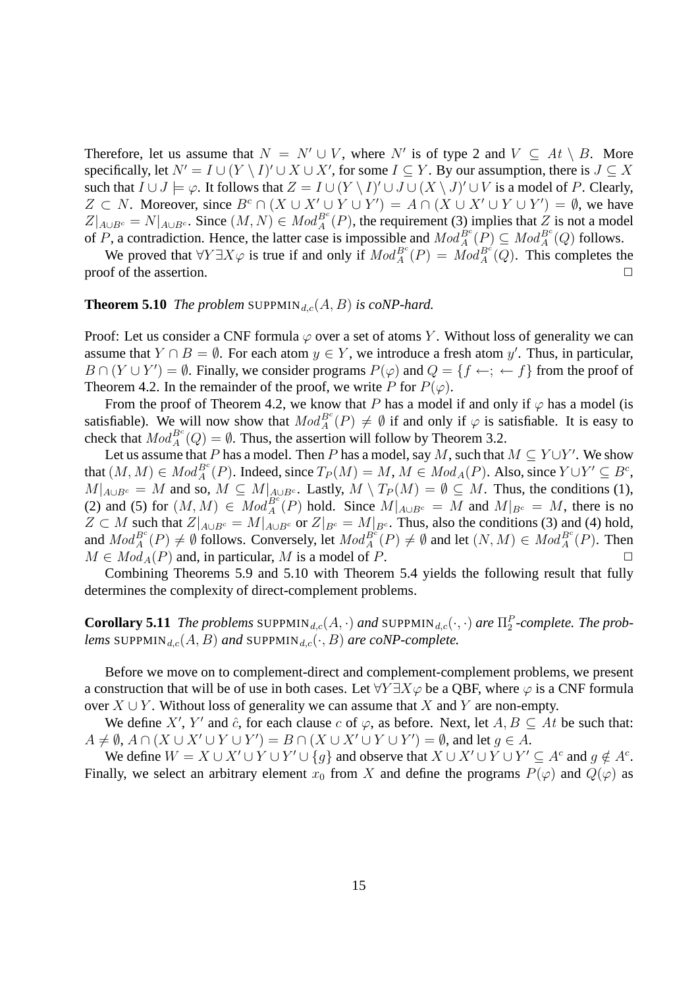Therefore, let us assume that  $N = N' \cup V$ , where N' is of type 2 and  $V \subseteq At \setminus B$ . More specifically, let  $N' = I \cup (Y \setminus I)' \cup X \cup X'$ , for some  $I \subseteq Y$ . By our assumption, there is  $J \subseteq X$ such that  $I \cup J \models \varphi$ . It follows that  $Z = I \cup (Y \setminus I)' \cup J \cup (X \setminus J)' \cup V$  is a model of P. Clearly,  $Z \subset N$ . Moreover, since  $B^c \cap (X \cup X' \cup Y \cup Y') = A \cap (X \cup X' \cup Y \cup Y') = \emptyset$ , we have  $Z|_{A\cup B^c}=N|_{A\cup B^c}$ . Since  $(M, N) \in Mod_A^{B^c}(P)$ , the requirement (3) implies that  $Z$  is not a model of P, a contradiction. Hence, the latter case is impossible and  $Mod_A^{Be}(P) \subseteq Mod_A^{Be}(Q)$  follows.

We proved that  $\forall Y \exists X \varphi$  is true if and only if  $Mod_A^{B^c}(P) = Mod_A^{B^c}(\overline{Q})$ . This completes the proof of the assertion.  $\Box$ 

#### **Theorem 5.10** *The problem* SUPPMIN $_{d,c}(A, B)$  *is coNP-hard.*

Proof: Let us consider a CNF formula  $\varphi$  over a set of atoms Y. Without loss of generality we can assume that  $Y \cap B = \emptyset$ . For each atom  $y \in Y$ , we introduce a fresh atom y'. Thus, in particular,  $B \cap (Y \cup Y') = \emptyset$ . Finally, we consider programs  $P(\varphi)$  and  $Q = \{f \leftarrow; \leftarrow f\}$  from the proof of Theorem 4.2. In the remainder of the proof, we write P for  $P(\varphi)$ .

From the proof of Theorem 4.2, we know that P has a model if and only if  $\varphi$  has a model (is satisfiable). We will now show that  $Mod_A^{B^c}(P) \neq \emptyset$  if and only if  $\varphi$  is satisfiable. It is easy to check that  $Mod_A^{B^c}(Q) = \emptyset$ . Thus, the assertion will follow by Theorem 3.2.

Let us assume that P has a model. Then P has a model, say M, such that  $M \subseteq Y \cup Y'$ . We show that  $(M, M) \in Mod_A^{B^c}(P)$ . Indeed, since  $T_P(M) = M, M \in Mod_A(P)$ . Also, since  $Y \cup Y' \subseteq B^c$ ,  $M|_{A\cup B^c} = M$  and so,  $M \subseteq M|_{A\cup B^c}$ . Lastly,  $M \setminus T_P(M) = \emptyset \subseteq M$ . Thus, the conditions (1), (2) and (5) for  $(M, M) \in Mod_A^{B^c}(P)$  hold. Since  $M|_{A \cup B^c} = M$  and  $M|_{B^c} = M$ , there is no  $Z \subset M$  such that  $Z|_{A\cup B^c} = M|_{A\cup B^c}$  or  $Z|_{B^c} = M|_{B^c}$ . Thus, also the conditions (3) and (4) hold, and  $Mod_A^{B^c}(P) \neq \emptyset$  follows. Conversely, let  $Mod_A^{B^c}(P) \neq \emptyset$  and let  $(N, M) \in Mod_A^{B^c}(P)$ . Then  $M \in Mod_A(P)$  and, in particular, M is a model of P.

Combining Theorems 5.9 and 5.10 with Theorem 5.4 yields the following result that fully determines the complexity of direct-complement problems.

**Corollary 5.11** *The problems*  $\text{suppmin}_{d,c}(A, \cdot)$  *and*  $\text{suppmin}_{d,c}(\cdot, \cdot)$  *are*  $\Pi_2^P$ -complete. The prob*lems* SUPPMIN<sub>d,c</sub>(A, B) and SUPPMIN<sub>d,c</sub>( $\cdot$ , B) are coNP-complete.

Before we move on to complement-direct and complement-complement problems, we present a construction that will be of use in both cases. Let  $\forall Y \exists X \varphi$  be a QBF, where  $\varphi$  is a CNF formula over  $X \cup Y$ . Without loss of generality we can assume that X and Y are non-empty.

We define X', Y' and  $\hat{c}$ , for each clause c of  $\varphi$ , as before. Next, let  $A, B \subseteq At$  be such that:  $A \neq \emptyset$ ,  $A \cap (X \cup X' \cup Y \cup Y') = B \cap (X \cup X' \cup Y \cup Y') = \emptyset$ , and let  $g \in A$ .

We define  $W = X \cup X' \cup Y \cup Y' \cup \{g\}$  and observe that  $X \cup X' \cup Y \cup Y' \subseteq A^c$  and  $g \notin A^c$ . Finally, we select an arbitrary element  $x_0$  from X and define the programs  $P(\varphi)$  and  $Q(\varphi)$  as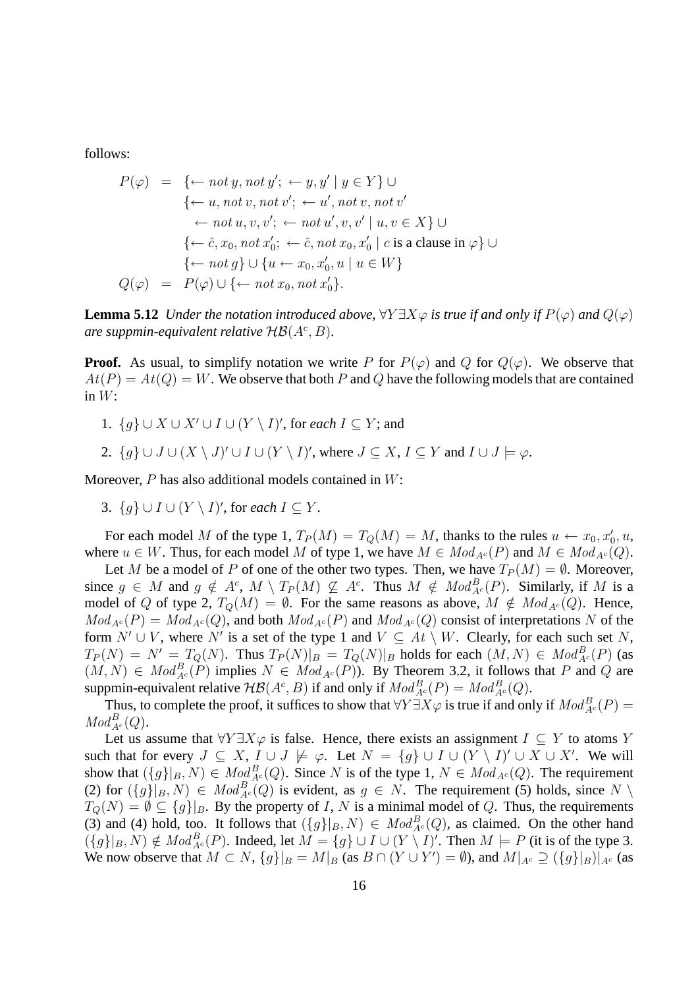follows:

$$
P(\varphi) = \{ \leftarrow not \ y, not \ y'; \leftarrow y, y' \mid y \in Y \} \cup
$$
  

$$
\{ \leftarrow u, not \ v, not \ v'; \leftarrow u', not \ v, not \ v'
$$
  

$$
\leftarrow not \ u, v, v'; \leftarrow not \ u', v, v' \mid u, v \in X \} \cup
$$
  

$$
\{ \leftarrow \hat{c}, x_0, not \ x'_0; \leftarrow \hat{c}, not \ x_0, x'_0 \mid c \ \text{is a clause in } \varphi \} \cup
$$
  

$$
\{ \leftarrow not \ g \} \cup \{ u \leftarrow x_0, x'_0, u \mid u \in W \}
$$
  

$$
Q(\varphi) = P(\varphi) \cup \{ \leftarrow not \ x_0, not \ x'_0 \}.
$$

**Lemma 5.12** *Under the notation introduced above,*  $\forall Y \exists X \varphi$  *is true if and only if*  $P(\varphi)$  *and*  $Q(\varphi)$  $\alpha$  *are suppmin-equivalent relative*  $H\mathcal{B}(A^c, B)$ *.* 

**Proof.** As usual, to simplify notation we write P for  $P(\varphi)$  and Q for  $Q(\varphi)$ . We observe that  $At(P) = At(Q) = W$ . We observe that both P and Q have the following models that are contained in  $W$ :

- 1.  $\{g\} \cup X \cup X' \cup I \cup (Y \setminus I)'$ , for *each*  $I \subseteq Y$ ; and
- 2.  $\{g\} \cup J \cup (X \setminus J)' \cup I \cup (Y \setminus I)'$ , where  $J \subseteq X$ ,  $I \subseteq Y$  and  $I \cup J \models \varphi$ .

Moreover,  $P$  has also additional models contained in  $W$ :

3.  $\{g\} \cup I \cup (Y \setminus I)'$ , for *each*  $I \subseteq Y$ .

For each model M of the type 1,  $T_P(M) = T_Q(M) = M$ , thanks to the rules  $u \leftarrow x_0, x'_0, u$ , where  $u \in W$ . Thus, for each model M of type 1, we have  $M \in Mod_{A^c}(P)$  and  $M \in Mod_{A^c}(Q)$ .

Let M be a model of P of one of the other two types. Then, we have  $T_P(M) = \emptyset$ . Moreover, since  $g \in M$  and  $g \notin A^c$ ,  $M \setminus T_P(M) \nsubseteq A^c$ . Thus  $M \notin Mod_{A^c}^B(P)$ . Similarly, if M is a model of Q of type 2,  $T_O(M) = \emptyset$ . For the same reasons as above,  $M \notin Mod_{A^c}(Q)$ . Hence,  $Mod_{A^c}(P) = Mod_{A^c}(Q)$ , and both  $Mod_{A^c}(P)$  and  $Mod_{A^c}(Q)$  consist of interpretations N of the form  $N' \cup V$ , where N' is a set of the type 1 and  $V \subseteq At \setminus W$ . Clearly, for each such set N,  $T_P(N) = N' = T_Q(N)$ . Thus  $T_P(N)|_B = T_Q(N)|_B$  holds for each  $(M, N) \in Mod_{A^c}^B(P)$  (as  $(M, N) \in Mod_{A^c}^B(P)$  implies  $N \in Mod_{A^c}(P)$ ). By Theorem 3.2, it follows that P and Q are suppmin-equivalent relative  $\mathcal{HB}(A^c, B)$  if and only if  $Mod_{A^c}^B(P) = Mod_{A^c}^B(Q)$ .

Thus, to complete the proof, it suffices to show that  $\forall Y \exists X \varphi$  is true if and only if  $Mod_{A^c}^B(P)$  =  $Mod_{A^c}^B(Q).$ 

Let us assume that  $\forall Y \exists X \varphi$  is false. Hence, there exists an assignment  $I \subseteq Y$  to atoms Y such that for every  $J \subseteq X$ ,  $I \cup J \not\models \varphi$ . Let  $N = \{g\} \cup I \cup (Y \setminus I)' \cup X \cup X'$ . We will show that  $({g}_{B}, N) \in Mod_{A^c}^B(Q)$ . Since N is of the type 1,  $N \in Mod_{A^c}(Q)$ . The requirement (2) for  $(\{g\}|_B, N) \in Mod_{A^c}^B(Q)$  is evident, as  $g \in N$ . The requirement (5) holds, since  $N \setminus$  $T_Q(N) = \emptyset \subseteq \{g\}|_B$ . By the property of I, N is a minimal model of Q. Thus, the requirements (3) and (4) hold, too. It follows that  $({g}_{B} |_{B} , N) \in Mod_{A}^{B}(Q)$ , as claimed. On the other hand  $(\{g\}|_B, N) \notin Mod_{A^c}^B(P)$ . Indeed, let  $M = \{g\} \cup I \cup (Y \setminus I)'$ . Then  $M \models P$  (it is of the type 3. We now observe that  $M \subset N$ ,  $\{g\}|_B = M|_B$  (as  $B \cap (Y \cup Y') = \emptyset$ ), and  $M|_{A^c} \supseteq (\{g\}|_B)|_{A^c}$  (as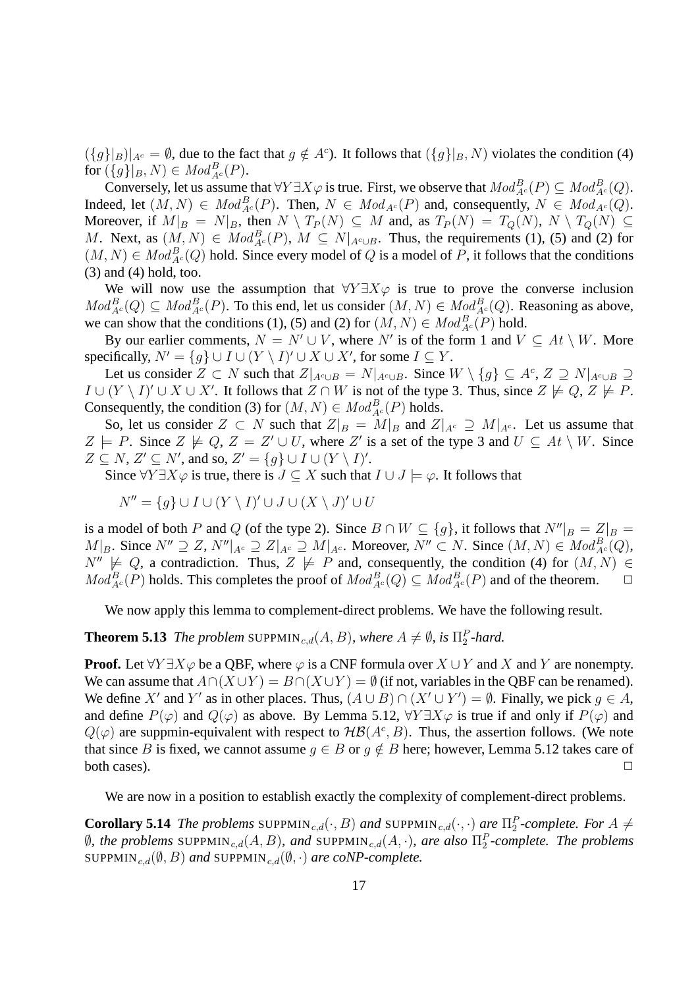$({g}|_B)|_{A^c} = \emptyset$ , due to the fact that  $g \notin A^c$ ). It follows that  $({g}|_B, N)$  violates the condition (4) for  $({g})|_{B}, N) \in Mod_{A^c}^B(P)$ .

Conversely, let us assume that  $\forall Y \exists X \varphi$  is true. First, we observe that  $Mod_{A^c}^B(P) \subseteq Mod_{A^c}^B(Q)$ . Indeed, let  $(M, N) \in Mod_{A^c}^B(P)$ . Then,  $N \in Mod_{A^c}(P)$  and, consequently,  $N \in Mod_{A^c}(Q)$ . Moreover, if  $M|_B = N|_B$ , then  $N \setminus T_P(N) \subseteq M$  and, as  $T_P(N) = T_Q(N)$ ,  $N \setminus T_Q(N) \subseteq$ M. Next, as  $(M, N) \in Mod_{A^c}^B(P)$ ,  $M \subseteq N|_{A^c \cup B}$ . Thus, the requirements (1), (5) and (2) for  $(M, N) \in Mod_{A^c}^B(Q)$  hold. Since every model of Q is a model of P, it follows that the conditions (3) and (4) hold, too.

We will now use the assumption that  $\forall Y \exists X \varphi$  is true to prove the converse inclusion  $Mod_{A^c}^B(Q) \subseteq Mod_{A^c}^B(P)$ . To this end, let us consider  $(M, N) \in Mod_{A^c}^B(Q)$ . Reasoning as above, we can show that the conditions (1), (5) and (2) for  $(M, N) \in Mod_{A^c}^B(P)$  hold.

By our earlier comments,  $N = N' \cup V$ , where N' is of the form 1 and  $V \subseteq At \setminus W$ . More specifically,  $N' = \{g\} \cup I \cup (Y \setminus I)' \cup X \cup X'$ , for some  $I \subseteq Y$ .

Let us consider  $Z \subset N$  such that  $Z|_{A^c \cup B} = N|_{A^c \cup B}$ . Since  $W \setminus \{g\} \subseteq A^c$ ,  $Z \supseteq N|_{A^c \cup B} \supseteq$  $I \cup (Y \setminus I)' \cup X \cup X'$ . It follows that  $Z \cap W$  is not of the type 3. Thus, since  $Z \not\models Q$ ,  $Z \not\models P$ . Consequently, the condition (3) for  $(M, N) \in Mod_{A^c}^B(P)$  holds.

So, let us consider  $Z \subset N$  such that  $Z|_B = M|_B$  and  $Z|_{A^c} \supseteq M|_{A^c}$ . Let us assume that  $Z \models P$ . Since  $Z \not\models Q$ ,  $Z = Z' \cup U$ , where Z' is a set of the type 3 and  $U \subseteq At \setminus W$ . Since  $Z \subseteq N$ ,  $Z' \subseteq N'$ , and so,  $Z' = \{g\} \cup I \cup (Y \setminus I)'$ .

Since  $\forall Y \exists X \varphi$  is true, there is  $J \subset X$  such that  $I \cup J \models \varphi$ . It follows that

$$
N'' = \{ g \} \cup I \cup (Y \setminus I)' \cup J \cup (X \setminus J)' \cup U
$$

is a model of both P and Q (of the type 2). Since  $B \cap W \subseteq \{g\}$ , it follows that  $N''|_B = Z|_B =$  $M|_B$ . Since  $N'' \supseteq Z$ ,  $N''|_{A^c} \supseteq Z|_{A^c} \supseteq M|_{A^c}$ . Moreover,  $N'' \subset N$ . Since  $(M, N) \in Mod_{A^c}^B(Q)$ ,  $N'' \not\models Q$ , a contradiction. Thus,  $Z \not\models P$  and, consequently, the condition (4) for  $(M, N) \in$  $Mod_{A^c}^B(P)$  holds. This completes the proof of  $Mod_{A^c}^B(Q) \subseteq Mod_{A^c}^B(P)$  and of the theorem.  $\Box$ 

We now apply this lemma to complement-direct problems. We have the following result.

**Theorem 5.13** *The problem* SUPPMIN<sub>c,d</sub>( $A, B$ ), where  $A \neq \emptyset$ , is  $\Pi_2^P$ -hard.

**Proof.** Let  $\forall Y \exists X \varphi$  be a QBF, where  $\varphi$  is a CNF formula over  $X \cup Y$  and X and Y are nonempty. We can assume that  $A \cap (X \cup Y) = B \cap (X \cup Y) = \emptyset$  (if not, variables in the QBF can be renamed). We define X' and Y' as in other places. Thus,  $(A \cup B) \cap (X' \cup Y') = \emptyset$ . Finally, we pick  $g \in A$ , and define  $P(\varphi)$  and  $Q(\varphi)$  as above. By Lemma 5.12,  $\forall Y \exists X \varphi$  is true if and only if  $P(\varphi)$  and  $Q(\varphi)$  are suppmin-equivalent with respect to  $H\mathcal{B}(A^c, B)$ . Thus, the assertion follows. (We note that since B is fixed, we cannot assume  $g \in B$  or  $g \notin B$  here; however, Lemma 5.12 takes care of both cases).  $\Box$ 

We are now in a position to establish exactly the complexity of complement-direct problems.

**Corollary 5.14** *The problems* SUPPMIN<sub>c,d</sub>( $\cdot$ , *B*) *and* SUPPMIN<sub>c,d</sub>( $\cdot$ , $\cdot$ ) *are*  $\Pi_2^P$ -complete. For  $A \neq$  $\emptyset$ , the problems SUPPMIN<sub>c,d</sub> $(A, B)$ , and SUPPMIN<sub>c,d</sub> $(A, \cdot)$ , are also  $\Pi_2^P$ -complete. The problems SUPPMIN<sub>c,d</sub>( $(\emptyset, B)$  and SUPPMIN<sub>c,d</sub>( $(\emptyset, \cdot)$  are coNP-complete.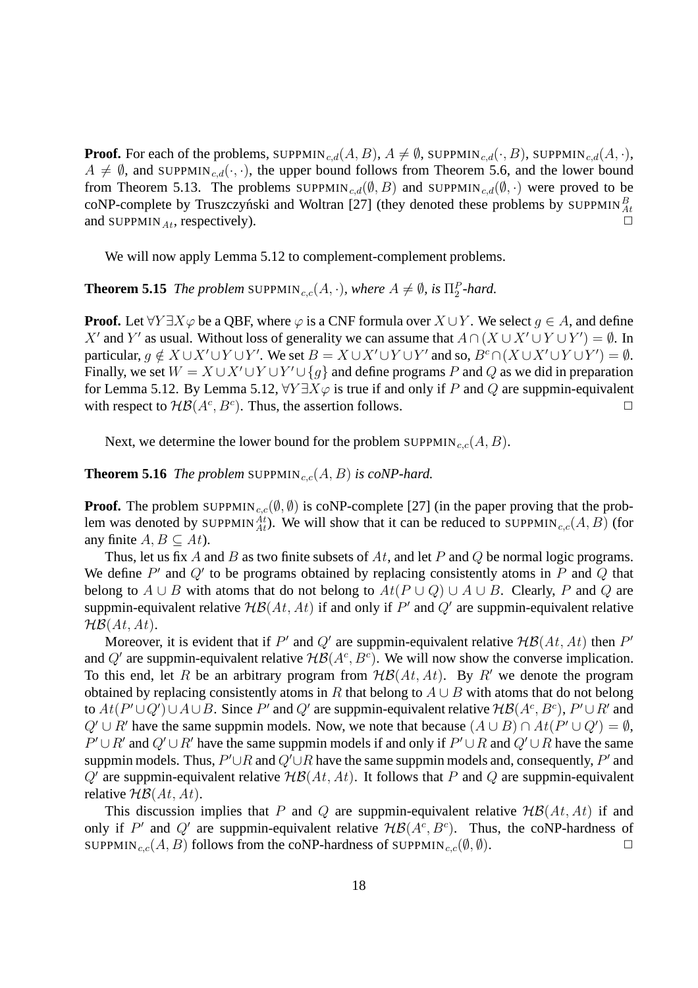**Proof.** For each of the problems, SUPPMIN<sub>c,d</sub> $(A, B)$ ,  $A \neq \emptyset$ , SUPPMIN<sub>c,d</sub> $(\cdot, B)$ , SUPPMIN<sub>c,d</sub> $(A, \cdot)$ ,  $A \neq \emptyset$ , and SUPPMIN<sub>c,d</sub>( $\cdot$ , $\cdot$ ), the upper bound follows from Theorem 5.6, and the lower bound from Theorem 5.13. The problems SUPPMIN<sub>c,d</sub>( $(\emptyset, B)$  and SUPPMIN<sub>c,d</sub>( $(\emptyset, \cdot)$ ) were proved to be coNP-complete by Truszczyński and Woltran [27] (they denoted these problems by SUPPMIN $^B_{At}$ and SUPPMIN<sub>At</sub>, respectively).

We will now apply Lemma 5.12 to complement-complement problems.

**Theorem 5.15** *The problem* SUPPMIN<sub>c,c</sub>( $A$ , $\cdot$ ), where  $A \neq \emptyset$ , is  $\Pi_2^P$ -hard.

**Proof.** Let  $\forall Y \exists X \varphi$  be a QBF, where  $\varphi$  is a CNF formula over  $X \cup Y$ . We select  $q \in A$ , and define X' and Y' as usual. Without loss of generality we can assume that  $A \cap (X \cup X' \cup Y \cup Y') = \emptyset$ . In particular,  $g \notin X \cup X' \cup Y \cup Y'$ . We set  $B = X \cup X' \cup Y \cup Y'$  and so,  $B^c \cap (X \cup X' \cup Y \cup Y') = \emptyset$ . Finally, we set  $W = X \cup X' \cup Y \cup Y' \cup \{g\}$  and define programs P and Q as we did in preparation for Lemma 5.12. By Lemma 5.12,  $\forall Y \exists X \varphi$  is true if and only if P and Q are suppmin-equivalent with respect to  $H\mathcal{B}(A^c, B^c)$ . Thus, the assertion follows.

Next, we determine the lower bound for the problem SUPPMIN<sub>c,c</sub> $(A, B)$ .

**Theorem 5.16** *The problem* SUPPMIN<sub>c,c</sub> $(A, B)$  *is coNP-hard.* 

**Proof.** The problem SUPPMIN<sub>c,c</sub>( $(\emptyset, \emptyset)$ ) is coNP-complete [27] (in the paper proving that the problem was denoted by SUPPMIN $_{At}^{At}$ ). We will show that it can be reduced to SUPPMIN<sub>c,c</sub>(A, B) (for any finite  $A, B \subseteq At$ ).

Thus, let us fix A and B as two finite subsets of  $At$ , and let P and Q be normal logic programs. We define  $P'$  and  $Q'$  to be programs obtained by replacing consistently atoms in  $P$  and  $Q$  that belong to  $A \cup B$  with atoms that do not belong to  $At(P \cup Q) \cup A \cup B$ . Clearly, P and Q are suppmin-equivalent relative  $H\mathcal{B}(At, At)$  if and only if  $P'$  and  $Q'$  are suppmin-equivalent relative  $H\mathcal{B}(At, At).$ 

Moreover, it is evident that if P' and Q' are suppmin-equivalent relative  $H\mathcal{B}(At, At)$  then P' and Q' are suppmin-equivalent relative  $H\mathcal{B}(A^c, B^c)$ . We will now show the converse implication. To this end, let R be an arbitrary program from  $H\mathcal{B}(At, At)$ . By R' we denote the program obtained by replacing consistently atoms in R that belong to  $A \cup B$  with atoms that do not belong to  $At(P' \cup Q') \cup A \cup B$ . Since P' and Q' are suppmin-equivalent relative  $H\mathcal{B}(A^c, B^c)$ ,  $P' \cup R'$  and  $Q' \cup R'$  have the same suppmin models. Now, we note that because  $(A \cup B) \cap At(P' \cup Q') = \emptyset$ ,  $P' \cup R'$  and  $Q' \cup R'$  have the same suppmin models if and only if  $P' \cup R$  and  $Q' \cup R$  have the same suppmin models. Thus,  $P' \cup R$  and  $Q' \cup R$  have the same suppmin models and, consequently,  $P'$  and Q' are suppmin-equivalent relative  $H\mathcal{B}(At, At)$ . It follows that P and Q are suppmin-equivalent relative  $H\mathcal{B}(At, At)$ .

This discussion implies that P and Q are suppmin-equivalent relative  $H\mathcal{B}(At, At)$  if and only if P' and Q' are suppmin-equivalent relative  $H\mathcal{B}(A^c, B^c)$ . Thus, the coNP-hardness of SUPPMIN<sub>c,c</sub>(A, B) follows from the coNP-hardness of SUPPMIN<sub>c,c</sub>( $(\emptyset, \emptyset)$ .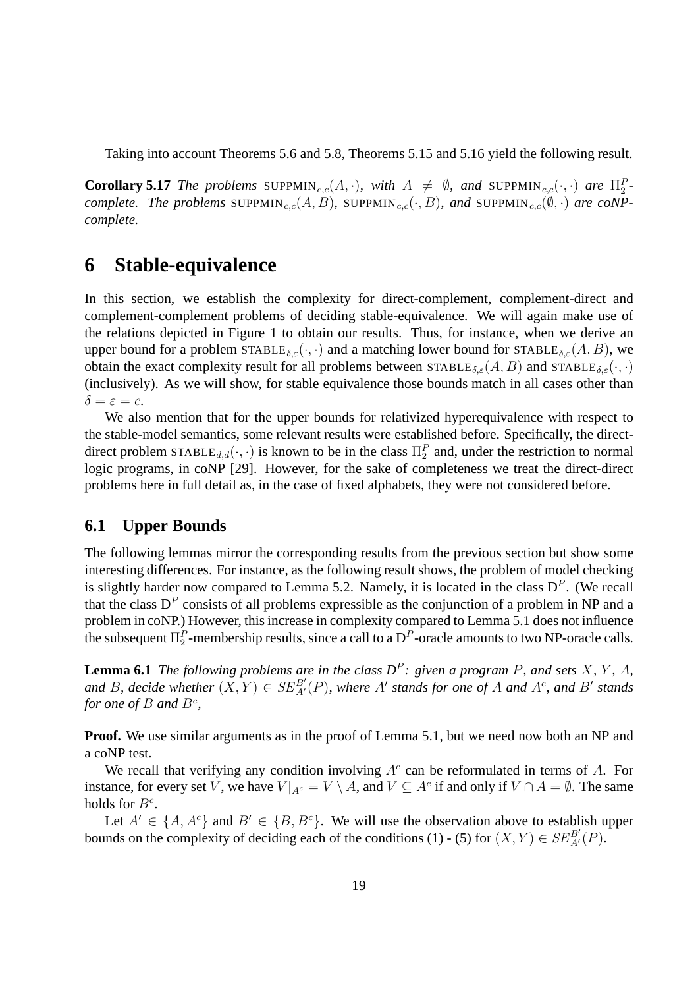Taking into account Theorems 5.6 and 5.8, Theorems 5.15 and 5.16 yield the following result.

**Corollary 5.17** *The problems* SUPPMIN<sub>c,c</sub>(A,·), with  $A \neq \emptyset$ , and SUPPMIN<sub>c,c</sub>(·,·) are  $\Pi_2^P$ *complete. The problems* SUPPMIN<sub>c,c</sub>(A, B), SUPPMIN<sub>c,c</sub>( $\cdot$ , B), and SUPPMIN<sub>c,c</sub>( $\emptyset$ , $\cdot$ ) *are coNPcomplete.*

## **6 Stable-equivalence**

In this section, we establish the complexity for direct-complement, complement-direct and complement-complement problems of deciding stable-equivalence. We will again make use of the relations depicted in Figure 1 to obtain our results. Thus, for instance, when we derive an upper bound for a problem  $STABLE_{\delta,\varepsilon}(\cdot,\cdot)$  and a matching lower bound for  $STABLE_{\delta,\varepsilon}(A, B)$ , we obtain the exact complexity result for all problems between  $\text{STABLE}_{\delta,\varepsilon}(A, B)$  and  $\text{STABLE}_{\delta,\varepsilon}(\cdot, \cdot)$ (inclusively). As we will show, for stable equivalence those bounds match in all cases other than  $\delta = \varepsilon = c$ .

We also mention that for the upper bounds for relativized hyperequivalence with respect to the stable-model semantics, some relevant results were established before. Specifically, the directdirect problem STABLE $_{d,d}(\cdot, \cdot)$  is known to be in the class  $\Pi_2^P$  and, under the restriction to normal logic programs, in coNP [29]. However, for the sake of completeness we treat the direct-direct problems here in full detail as, in the case of fixed alphabets, they were not considered before.

#### **6.1 Upper Bounds**

The following lemmas mirror the corresponding results from the previous section but show some interesting differences. For instance, as the following result shows, the problem of model checking is slightly harder now compared to Lemma 5.2. Namely, it is located in the class  $D<sup>P</sup>$ . (We recall that the class  $D^P$  consists of all problems expressible as the conjunction of a problem in NP and a problem in coNP.) However, this increase in complexity compared to Lemma 5.1 does not influence the subsequent  $\Pi_2^P$ -membership results, since a call to a  $D^P$ -oracle amounts to two NP-oracle calls.

**Lemma 6.1** *The following problems are in the class*  $D^P$ : given a program P, and sets X, Y, A, and B, decide whether  $(X, Y) \in SE^{B'}_{A'}(P)$ , where A' stands for one of A and A<sup>c</sup>, and B' stands *for one of*  $B$  *and*  $B^c$ *,* 

**Proof.** We use similar arguments as in the proof of Lemma 5.1, but we need now both an NP and a coNP test.

We recall that verifying any condition involving  $A<sup>c</sup>$  can be reformulated in terms of A. For instance, for every set V, we have  $V|_{A^c} = V \setminus A$ , and  $V \subseteq A^c$  if and only if  $V \cap A = \emptyset$ . The same holds for  $B^c$ .

Let  $A' \in \{A, A^c\}$  and  $B' \in \{B, B^c\}$ . We will use the observation above to establish upper bounds on the complexity of deciding each of the conditions (1) - (5) for  $(X, Y) \in SE^{B'}_{A'}(P)$ .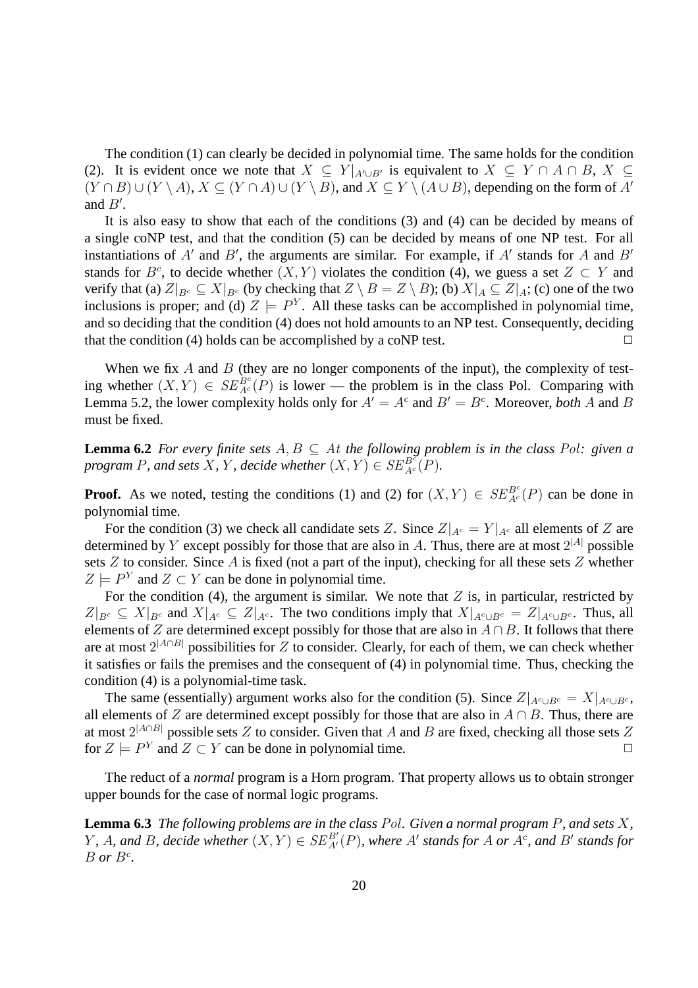The condition (1) can clearly be decided in polynomial time. The same holds for the condition (2). It is evident once we note that  $X \subseteq Y|_{A' \cup B'}$  is equivalent to  $X \subseteq Y \cap A \cap B$ ,  $X \subseteq$  $(Y \cap B) \cup (Y \setminus A), X \subseteq (Y \cap A) \cup (Y \setminus B)$ , and  $X \subseteq Y \setminus (A \cup B)$ , depending on the form of A' and  $B'$ .

It is also easy to show that each of the conditions (3) and (4) can be decided by means of a single coNP test, and that the condition (5) can be decided by means of one NP test. For all instantiations of  $A'$  and  $B'$ , the arguments are similar. For example, if  $A'$  stands for A and  $B'$ stands for  $B^c$ , to decide whether  $(X, Y)$  violates the condition (4), we guess a set  $Z \subset Y$  and verify that (a)  $Z|_{B^c} \subseteq X|_{B^c}$  (by checking that  $Z \setminus B = Z \setminus B$ ); (b)  $X|_A \subseteq Z|_A$ ; (c) one of the two inclusions is proper; and (d)  $Z \models P^Y$ . All these tasks can be accomplished in polynomial time, and so deciding that the condition (4) does not hold amounts to an NP test. Consequently, deciding that the condition (4) holds can be accomplished by a coNP test.  $\Box$ 

When we fix  $A$  and  $B$  (they are no longer components of the input), the complexity of testing whether  $(X, Y) \in SE_{Ac}^{Be}(P)$  is lower — the problem is in the class Pol. Comparing with Lemma 5.2, the lower complexity holds only for  $A' = A^c$  and  $B' = B^c$ . Moreover, *both* A and B must be fixed.

**Lemma 6.2** *For every finite sets*  $A, B \subseteq A$ *t the following problem is in the class Pol: given a program* P, and sets X, Y, decide whether  $(X, Y) \in SE_{Ac}^{Bc}(P)$ .

**Proof.** As we noted, testing the conditions (1) and (2) for  $(X, Y) \in SE_{Ac}^{Bc}(P)$  can be done in polynomial time.

For the condition (3) we check all candidate sets Z. Since  $Z|_{A^c} = Y|_{A^c}$  all elements of Z are determined by Y except possibly for those that are also in A. Thus, there are at most  $2^{|A|}$  possible sets  $Z$  to consider. Since  $A$  is fixed (not a part of the input), checking for all these sets  $Z$  whether  $Z \models P^Y$  and  $Z \subset Y$  can be done in polynomial time.

For the condition (4), the argument is similar. We note that  $Z$  is, in particular, restricted by  $Z|_{B^c} \subseteq X|_{B^c}$  and  $X|_{A^c} \subseteq Z|_{A^c}$ . The two conditions imply that  $X|_{A^c \cup B^c} = Z|_{A^c \cup B^c}$ . Thus, all elements of Z are determined except possibly for those that are also in  $A \cap B$ . It follows that there are at most  $2^{|A \cap B|}$  possibilities for Z to consider. Clearly, for each of them, we can check whether it satisfies or fails the premises and the consequent of (4) in polynomial time. Thus, checking the condition (4) is a polynomial-time task.

The same (essentially) argument works also for the condition (5). Since  $Z|_{A^c \cup B^c} = X|_{A^c \cup B^c}$ , all elements of Z are determined except possibly for those that are also in  $A \cap B$ . Thus, there are at most  $2^{|A \cap B|}$  possible sets  $Z$  to consider. Given that  $A$  and  $B$  are fixed, checking all those sets  $Z$ for  $Z \models P^Y$  and  $Z \subset Y$  can be done in polynomial time.

The reduct of a *normal* program is a Horn program. That property allows us to obtain stronger upper bounds for the case of normal logic programs.

**Lemma 6.3** *The following problems are in the class* Pol*. Given a normal program* P*, and sets* X*,*  $Y$ , A, and B, decide whether  $(X, Y) \in SE^{B'}_{A'}(P)$ , where A' stands for A or A<sup>c</sup>, and B' stands for  $B$  *or*  $B^c$ .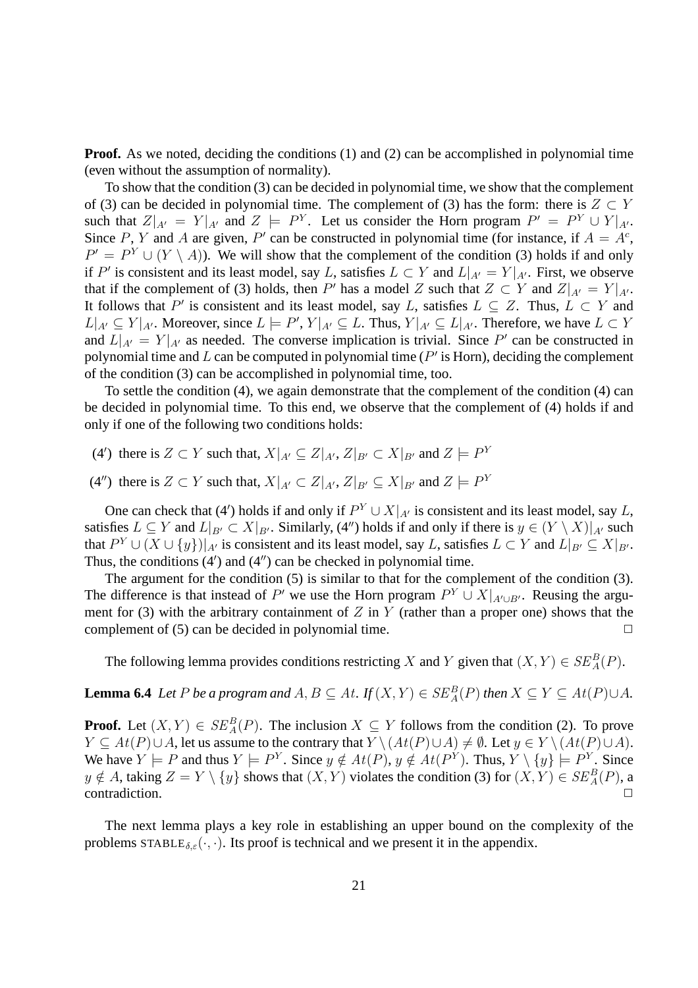**Proof.** As we noted, deciding the conditions (1) and (2) can be accomplished in polynomial time (even without the assumption of normality).

To show that the condition (3) can be decided in polynomial time, we show that the complement of (3) can be decided in polynomial time. The complement of (3) has the form: there is  $Z \subset Y$ such that  $Z|_{A'} = Y|_{A'}$  and  $Z \models P^Y$ . Let us consider the Horn program  $P' = P^Y \cup Y|_{A'}$ . Since P, Y and A are given, P' can be constructed in polynomial time (for instance, if  $A = A<sup>c</sup>$ ,  $P' = P^Y \cup (Y \setminus A)$ . We will show that the complement of the condition (3) holds if and only if P' is consistent and its least model, say L, satisfies  $L \subset Y$  and  $L|_{A'} = Y|_{A'}$ . First, we observe that if the complement of (3) holds, then P' has a model Z such that  $Z \subset Y$  and  $Z|_{A'} = Y|_{A'}$ . It follows that P' is consistent and its least model, say L, satisfies  $L \subseteq Z$ . Thus,  $L \subset Y$  and  $L|_{A'} \subseteq Y|_{A'}$ . Moreover, since  $L \models P', Y|_{A'} \subseteq L$ . Thus,  $Y|_{A'} \subseteq L|_{A'}$ . Therefore, we have  $L \subset Y$ and  $L|_{A'} = Y|_{A'}$  as needed. The converse implication is trivial. Since P' can be constructed in polynomial time and L can be computed in polynomial time ( $P'$  is Horn), deciding the complement of the condition (3) can be accomplished in polynomial time, too.

To settle the condition (4), we again demonstrate that the complement of the condition (4) can be decided in polynomial time. To this end, we observe that the complement of (4) holds if and only if one of the following two conditions holds:

(4') there is  $Z \subset Y$  such that,  $X|_{A'} \subseteq Z|_{A'}, Z|_{B'} \subset X|_{B'}$  and  $Z \models P^Y$ 

(4'') there is  $Z \subset Y$  such that,  $X|_{A'} \subset Z|_{A'}, Z|_{B'} \subseteq X|_{B'}$  and  $Z \models P^Y$ 

One can check that (4') holds if and only if  $P^Y \cup X|_{A'}$  is consistent and its least model, say L, satisfies  $L \subseteq Y$  and  $L|_{B'} \subset X|_{B'}$ . Similarly, (4'') holds if and only if there is  $y \in (Y \setminus X)|_{A'}$  such that  $P^Y \cup (X \cup \{y\})|_{A'}$  is consistent and its least model, say L, satisfies  $L \subset Y$  and  $L|_{B'} \subseteq X|_{B'}$ . Thus, the conditions (4′ ) and (4′′) can be checked in polynomial time.

The argument for the condition (5) is similar to that for the complement of the condition (3). The difference is that instead of P' we use the Horn program  $P^Y \cup X|_{A' \cup B'}$ . Reusing the argument for (3) with the arbitrary containment of  $Z$  in  $Y$  (rather than a proper one) shows that the complement of (5) can be decided in polynomial time.  $\Box$ 

The following lemma provides conditions restricting X and Y given that  $(X, Y) \in SE_A^B(P)$ .

**Lemma 6.4** *Let* P *be a program and*  $A, B \subseteq At$ *.* If  $(X, Y) \in SE_A^B(P)$  *then*  $X \subseteq Y \subseteq At(P) \cup A$ *.* 

**Proof.** Let  $(X, Y) \in SE_A^B(P)$ . The inclusion  $X \subseteq Y$  follows from the condition (2). To prove  $Y \subseteq At(P) \cup A$ , let us assume to the contrary that  $Y \setminus (At(P) \cup A) \neq \emptyset$ . Let  $y \in Y \setminus (At(P) \cup A)$ . We have  $Y \models P$  and thus  $Y \models P^Y$ . Since  $y \notin At(P)$ ,  $y \notin At(P^Y)$ . Thus,  $Y \setminus \{y\} \models P^Y$ . Since  $y \notin A$ , taking  $Z = Y \setminus \{y\}$  shows that  $(X, Y)$  violates the condition (3) for  $(X, Y) \in SE_A^B(P)$ , a  $contradiction.$ 

The next lemma plays a key role in establishing an upper bound on the complexity of the problems  $STABLE_{\delta,\varepsilon}(\cdot,\cdot)$ . Its proof is technical and we present it in the appendix.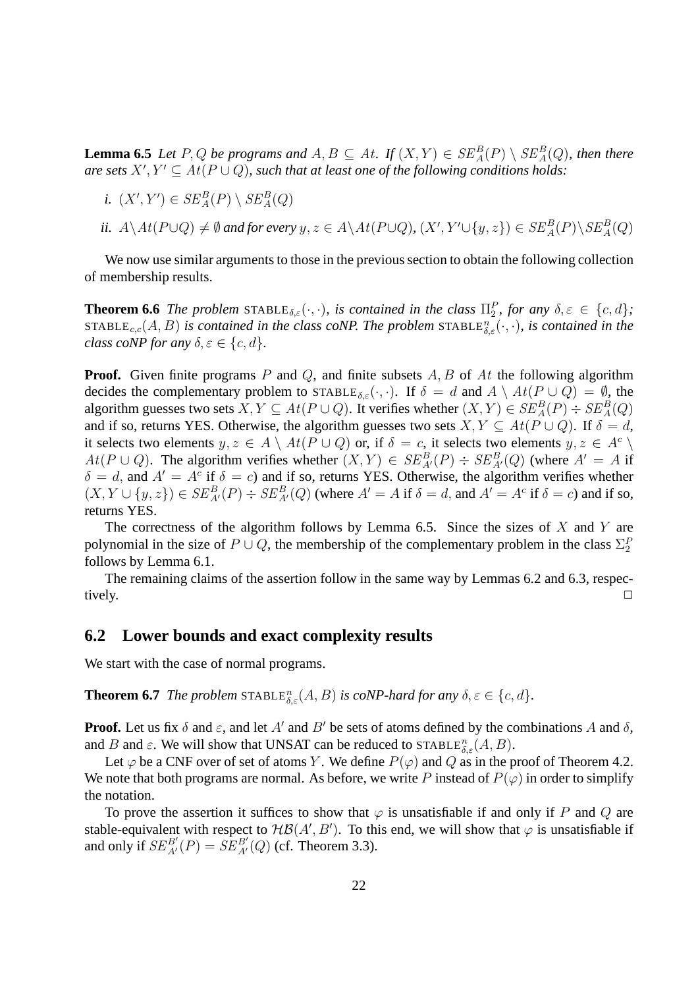**Lemma 6.5** *Let* P, Q *be programs and*  $A, B \subseteq At$ . If  $(X, Y) \in SE_A^B(P) \setminus SE_A^B(Q)$ , then there *are sets*  $X', Y' \subseteq At(P \cup Q)$ , such that at least one of the following conditions holds:

- *i.*  $(X', Y') \in SE_A^B(P) \setminus SE_A^B(Q)$
- *ii.*  $A \setminus At(P \cup Q) \neq \emptyset$  and for every  $y, z \in A \setminus At(P \cup Q)$ ,  $(X', Y' \cup \{y, z\}) \in SE_A^B(P) \setminus SE_A^B(Q)$

We now use similar arguments to those in the previous section to obtain the following collection of membership results.

**Theorem 6.6** *The problem* STABLE<sub> $\delta,\varepsilon$ </sub> $(\cdot, \cdot)$ *, is contained in the class*  $\Pi_2^P$ *, for any*  $\delta,\varepsilon \in \{c,d\}$ *;*  $\texttt{STABLE}_{c,c}(A, B)$  is contained in the class coNP. The problem  $\texttt{STABLE}_{\delta,\varepsilon}^n(\cdot,\cdot)$ , is contained in the *class coNP for any*  $\delta, \varepsilon \in \{c, d\}$ .

**Proof.** Given finite programs  $P$  and  $Q$ , and finite subsets  $A, B$  of  $At$  the following algorithm decides the complementary problem to STABLE<sub>δ,ε</sub>(.,.). If  $\delta = d$  and  $A \setminus At(P \cup Q) = \emptyset$ , the algorithm guesses two sets  $X, Y \subseteq At(P \cup Q)$ . It verifies whether  $(X, Y) \in SE^B_A(P) \div SE^B_A(Q)$ and if so, returns YES. Otherwise, the algorithm guesses two sets  $X, Y \subseteq At(P \cup Q)$ . If  $\delta = d$ , it selects two elements  $y, z \in A \setminus At(P \cup Q)$  or, if  $\delta = c$ , it selects two elements  $y, z \in A^c \setminus$  $At(P\cup Q)$ . The algorithm verifies whether  $(X,Y) \in SE^B_{A'}(P) \div SE^B_{A'}(Q)$  (where  $A' = A$  if  $\delta = d$ , and  $A' = A^c$  if  $\delta = c$ ) and if so, returns YES. Otherwise, the algorithm verifies whether  $(X, Y \cup \{y, z\}) \in SE^B_{A'}(P) \div SE^B_{A'}(Q)$  (where  $A' = A$  if  $\delta = d$ , and  $A' = A^c$  if  $\delta = c$ ) and if so, returns YES.

The correctness of the algorithm follows by Lemma 6.5. Since the sizes of  $X$  and  $Y$  are polynomial in the size of  $P \cup Q$ , the membership of the complementary problem in the class  $\Sigma_2^P$ follows by Lemma 6.1.

The remaining claims of the assertion follow in the same way by Lemmas 6.2 and 6.3, respectively.  $\Box$ 

#### **6.2 Lower bounds and exact complexity results**

We start with the case of normal programs.

**Theorem 6.7** *The problem*  $\text{STABLE}_{\delta,\varepsilon}^n(A, B)$  *is coNP-hard for any*  $\delta, \varepsilon \in \{c, d\}$ *.* 

**Proof.** Let us fix  $\delta$  and  $\varepsilon$ , and let A' and B' be sets of atoms defined by the combinations A and  $\delta$ , and B and  $\varepsilon$ . We will show that UNSAT can be reduced to  $\text{STABLE}_{\delta,\varepsilon}^n(A, B)$ .

Let  $\varphi$  be a CNF over of set of atoms Y. We define  $P(\varphi)$  and Q as in the proof of Theorem 4.2. We note that both programs are normal. As before, we write P instead of  $P(\varphi)$  in order to simplify the notation.

To prove the assertion it suffices to show that  $\varphi$  is unsatisfiable if and only if P and Q are stable-equivalent with respect to  $H\mathcal{B}(A',B')$ . To this end, we will show that  $\varphi$  is unsatisfiable if and only if  $SE^{B'}_{A'}(P) = SE^{B'}_{A'}(Q)$  (cf. Theorem 3.3).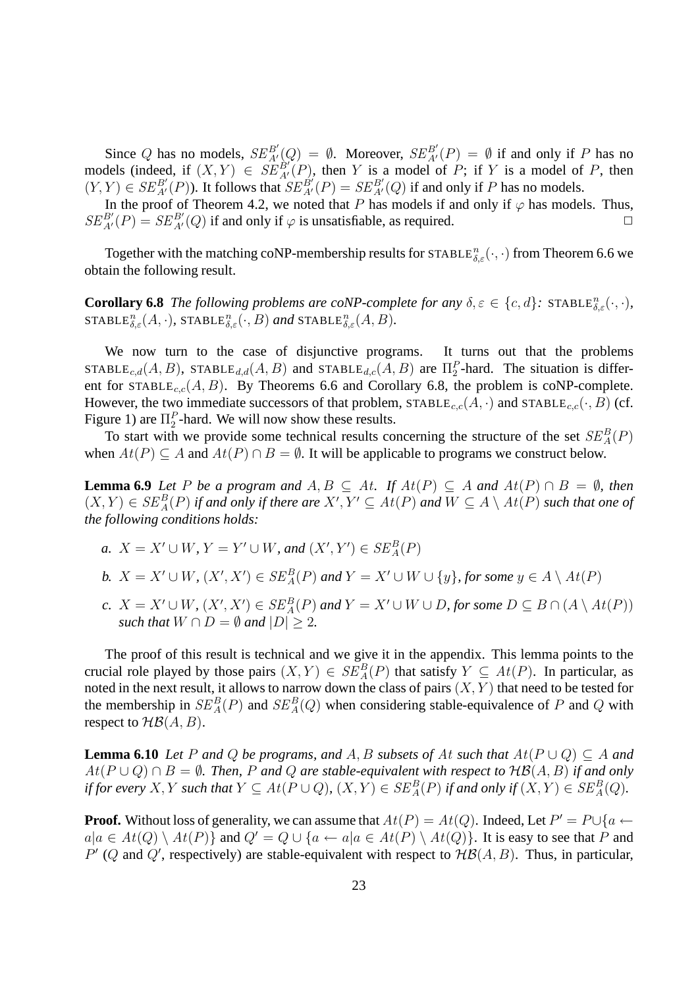Since Q has no models,  $SE^{B'}_{A'}(Q) = \emptyset$ . Moreover,  $SE^{B'}_{A'}(P) = \emptyset$  if and only if P has no models (indeed, if  $(X, Y) \in \widehat{SE}_{A'}^{B'}(P)$ , then Y is a model of P; if Y is a model of P, then  $(Y, Y) \in SE_{A'}^{B'}(P)$ ). It follows that  $SE_{A'}^{B'}(P) = SE_{A'}^{B'}(Q)$  if and only if P has no models.

In the proof of Theorem 4.2, we noted that P has models if and only if  $\varphi$  has models. Thus,  $SE^{B'}_{A'}(P) = SE^{B'}_{A'}(Q)$  if and only if  $\varphi$  is unsatisfiable, as required.

Together with the matching coNP-membership results for  $\text{STABLE}_{\delta,\varepsilon}^n(\cdot,\cdot)$  from Theorem 6.6 we obtain the following result.

**Corollary 6.8** *The following problems are coNP-complete for any*  $\delta, \varepsilon \in \{c, d\}$ : STABLE $_{\delta, \varepsilon}^n(\cdot, \cdot)$ *,*  $\texttt{STABLE}_{\delta,\varepsilon}^n(A,\cdot)$ ,  $\texttt{STABLE}_{\delta,\varepsilon}^n(\cdot,B)$  and  $\texttt{STABLE}_{\delta,\varepsilon}^n(A,B)$ .

We now turn to the case of disjunctive programs. It turns out that the problems STABLE<sub>c,d</sub>(A, B), STABLE<sub>d,d</sub>(A, B) and STABLE<sub>d,c</sub>(A, B) are  $\Pi_2^P$ -hard. The situation is different for  $STABLE_{c,c}(A, B)$ . By Theorems 6.6 and Corollary 6.8, the problem is coNP-complete. However, the two immediate successors of that problem,  $STABLE_{c,c}(A, \cdot)$  and  $STABLE_{c,c}(\cdot, B)$  (cf. Figure 1) are  $\Pi_2^P$ -hard. We will now show these results.

To start with we provide some technical results concerning the structure of the set  $SE_A^B(P)$ when  $At(P) \subset A$  and  $At(P) \cap B = \emptyset$ . It will be applicable to programs we construct below.

**Lemma 6.9** *Let* P *be a program and*  $A, B \subseteq At$ . If  $At(P) \subseteq A$  *and*  $At(P) \cap B = \emptyset$ *, then*  $(X,Y) \in SE_A^B(P)$  if and only if there are  $X', Y' \subseteq At(P)$  and  $W \subseteq A \setminus At(P)$  such that one of *the following conditions holds:*

- *a.*  $X = X' \cup W$ ,  $Y = Y' \cup W$ , and  $(X', Y') \in SE_A^B(P)$
- *b.*  $X = X' \cup W$ ,  $(X', X') \in SE_A^B(P)$  and  $Y = X' \cup W \cup \{y\}$ , for some  $y \in A \setminus At(P)$
- *c.*  $X = X' \cup W$ ,  $(X', X') \in SE_A^B(P)$  and  $Y = X' \cup W \cup D$ , for some  $D \subseteq B \cap (A \setminus At(P))$ *such that*  $W \cap D = \emptyset$  *and*  $|D| > 2$ *.*

The proof of this result is technical and we give it in the appendix. This lemma points to the crucial role played by those pairs  $(X, Y) \in SE_A^B(P)$  that satisfy  $Y \subseteq At(P)$ . In particular, as noted in the next result, it allows to narrow down the class of pairs  $(X, Y)$  that need to be tested for the membership in  $SE_A^B(P)$  and  $SE_A^B(Q)$  when considering stable-equivalence of P and Q with respect to  $H\mathcal{B}(A, B)$ .

**Lemma 6.10** *Let* P and Q *be programs, and* A, B *subsets of* At *such that*  $At(P \cup Q) \subseteq A$  *and*  $At(P ∪ Q) ∩ B = ∅$ *. Then, P and Q are stable-equivalent with respect to*  $H\mathcal{B}(A, B)$  *if and only if for every*  $X, Y$  *such that*  $Y \subseteq At(P \cup Q)$ ,  $(X, Y) \in SE_A^B(P)$  *if and only if*  $(X, Y) \in SE_A^B(Q)$ *.* 

**Proof.** Without loss of generality, we can assume that  $At(P) = At(Q)$ . Indeed, Let  $P' = P \cup \{a \leftarrow b\}$  $a|a \in At(Q) \setminus At(P)$  and  $Q' = Q \cup \{a \leftarrow a|a \in At(P) \setminus At(Q)\}$ . It is easy to see that P and  $P'$  (Q and Q', respectively) are stable-equivalent with respect to  $H\mathcal{B}(A, B)$ . Thus, in particular,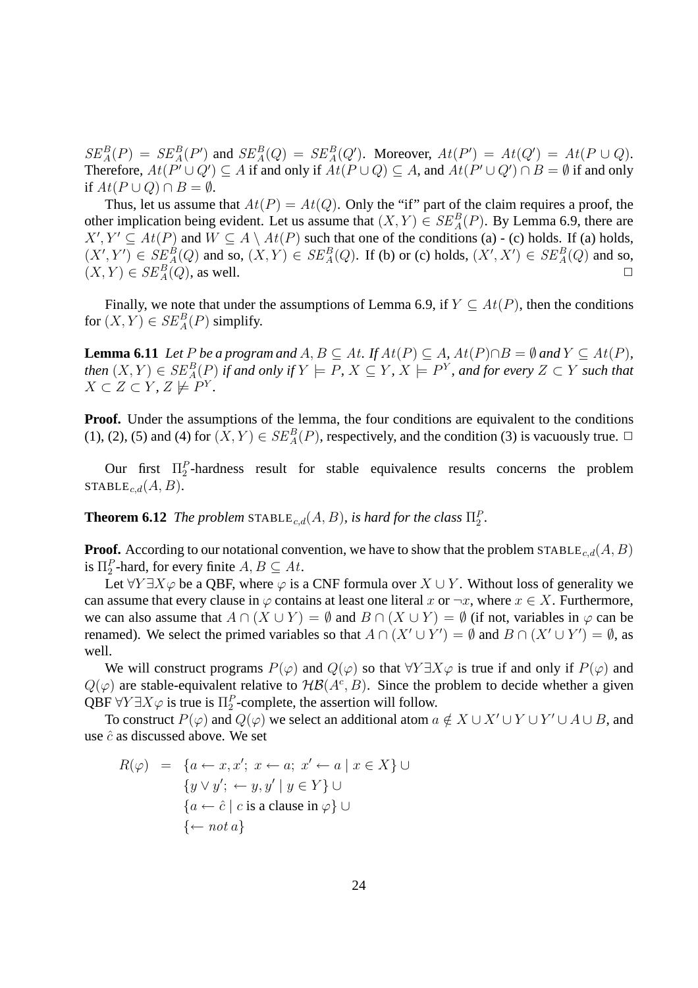$SE_A^B(P) = SE_A^B(P')$  and  $SE_A^B(Q) = SE_A^B(Q')$ . Moreover,  $At(P') = At(Q') = At(P \cup Q)$ . Therefore,  $At(P' \cup Q') \subseteq A$  if and only if  $At(P \cup Q) \subseteq A$ , and  $At(P' \cup Q') \cap B = \emptyset$  if and only if  $At(P \cup Q) \cap B = \emptyset$ .

Thus, let us assume that  $At(P) = At(Q)$ . Only the "if" part of the claim requires a proof, the other implication being evident. Let us assume that  $(X, Y) \in SE_A^B(P)$ . By Lemma 6.9, there are  $X', Y' \subseteq At(P)$  and  $W \subseteq A \setminus At(P)$  such that one of the conditions (a) - (c) holds. If (a) holds,  $(X', Y') \in SE_A^B(Q)$  and so,  $(X, Y) \in SE_A^B(Q)$ . If (b) or (c) holds,  $(X', X') \in SE_A^B(Q)$  and so,  $(X, Y) \in SE_A^B(Q)$ , as well.

Finally, we note that under the assumptions of Lemma 6.9, if  $Y \subseteq At(P)$ , then the conditions for  $(X, Y) \in SE_A^B(P)$  simplify.

**Lemma 6.11** *Let* P *be a program and*  $A, B \subseteq At$ *. If*  $At(P) \subseteq A$ *,*  $At(P) \cap B = \emptyset$  *and*  $Y \subseteq At(P)$ *,*  $A$  *then*  $(X, Y) \in SE_A^B(P)$  *if and only if*  $Y \models P$ *,*  $X \subseteq Y$ *,*  $X \models P^Y$ *, and for every*  $Z \subset Y$  *such that*  $X \subset Z \subset Y$ ,  $Z \not\models P^Y$ .

**Proof.** Under the assumptions of the lemma, the four conditions are equivalent to the conditions (1), (2), (5) and (4) for  $(X, Y) \in SE_A^B(P)$ , respectively, and the condition (3) is vacuously true.  $\Box$ 

Our first  $\Pi_2^P$ -hardness result for stable equivalence results concerns the problem STABLE<sub>c,d</sub> $(A, B)$ .

**Theorem 6.12** *The problem*  $\text{STABLE}_{c,d}(A, B)$ *, is hard for the class*  $\Pi_2^P$ *.* 

**Proof.** According to our notational convention, we have to show that the problem STABLE<sub>c,d</sub>(A, B) is  $\Pi_2^P$ -hard, for every finite  $A, B \subseteq At$ .

Let  $\forall Y \exists X \varphi$  be a QBF, where  $\varphi$  is a CNF formula over  $X \cup Y$ . Without loss of generality we can assume that every clause in  $\varphi$  contains at least one literal x or  $\neg x$ , where  $x \in X$ . Furthermore, we can also assume that  $A \cap (X \cup Y) = \emptyset$  and  $B \cap (X \cup Y) = \emptyset$  (if not, variables in  $\varphi$  can be renamed). We select the primed variables so that  $A \cap (X' \cup Y') = \emptyset$  and  $B \cap (X' \cup Y') = \emptyset$ , as well.

We will construct programs  $P(\varphi)$  and  $Q(\varphi)$  so that  $\forall Y \exists X \varphi$  is true if and only if  $P(\varphi)$  and  $Q(\varphi)$  are stable-equivalent relative to  $H\mathcal{B}(A^c, B)$ . Since the problem to decide whether a given QBF  $\forall Y \exists X \varphi$  is true is  $\Pi_2^P$ -complete, the assertion will follow.

To construct  $P(\varphi)$  and  $Q(\varphi)$  we select an additional atom  $a \notin X \cup X' \cup Y \cup Y' \cup A \cup B$ , and use  $\hat{c}$  as discussed above. We set

$$
R(\varphi) = \{a \leftarrow x, x'; x \leftarrow a; x' \leftarrow a \mid x \in X\} \cup
$$

$$
\{y \vee y'; \leftarrow y, y' \mid y \in Y\} \cup
$$

$$
\{a \leftarrow \hat{c} \mid c \text{ is a clause in } \varphi\} \cup
$$

$$
\{\leftarrow not \ a\}
$$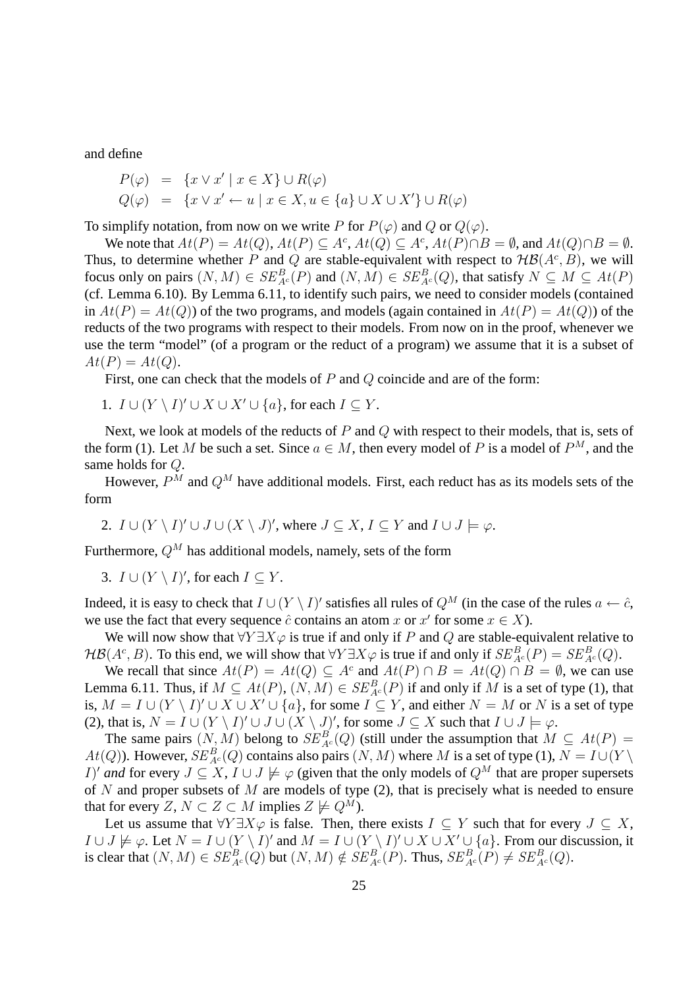and define

$$
P(\varphi) = \{x \lor x' \mid x \in X\} \cup R(\varphi)
$$
  

$$
Q(\varphi) = \{x \lor x' \leftarrow u \mid x \in X, u \in \{a\} \cup X \cup X'\} \cup R(\varphi)
$$

To simplify notation, from now on we write P for  $P(\varphi)$  and Q or  $Q(\varphi)$ .

We note that  $At(P) = At(Q), At(P) \subseteq A^c, At(Q) \subseteq A^c, At(P) \cap B = \emptyset$ , and  $At(Q) \cap B = \emptyset$ . Thus, to determine whether P and Q are stable-equivalent with respect to  $H\mathcal{B}(A^c, B)$ , we will focus only on pairs  $(N, M) \in SE_{A^c}^B(P)$  and  $(N, M) \in SE_{A^c}^B(Q)$ , that satisfy  $N \subseteq M \subseteq At(P)$ (cf. Lemma 6.10). By Lemma 6.11, to identify such pairs, we need to consider models (contained in  $At(P) = At(Q)$  of the two programs, and models (again contained in  $At(P) = At(Q)$ ) of the reducts of the two programs with respect to their models. From now on in the proof, whenever we use the term "model" (of a program or the reduct of a program) we assume that it is a subset of  $At(P) = At(Q).$ 

First, one can check that the models of  $P$  and  $Q$  coincide and are of the form:

1.  $I \cup (Y \setminus I)' \cup X \cup X' \cup \{a\}$ , for each  $I \subseteq Y$ .

Next, we look at models of the reducts of  $P$  and  $Q$  with respect to their models, that is, sets of the form (1). Let M be such a set. Since  $a \in M$ , then every model of P is a model of  $P^M$ , and the same holds for Q.

However,  $P^{M}$  and  $Q^{M}$  have additional models. First, each reduct has as its models sets of the form

2.  $I \cup (Y \setminus I)' \cup J \cup (X \setminus J)'$ , where  $J \subseteq X$ ,  $I \subseteq Y$  and  $I \cup J \models \varphi$ .

Furthermore,  $Q^M$  has additional models, namely, sets of the form

3.  $I \cup (Y \setminus I)'$ , for each  $I \subseteq Y$ .

Indeed, it is easy to check that  $I \cup (Y \setminus I)'$  satisfies all rules of  $Q^M$  (in the case of the rules  $a \leftarrow \hat{c}$ , we use the fact that every sequence  $\hat{c}$  contains an atom x or  $x'$  for some  $x \in X$ ).

We will now show that  $\forall Y \exists X \varphi$  is true if and only if P and Q are stable-equivalent relative to  $\mathcal{HB}(A^c, B)$ . To this end, we will show that  $\forall Y \exists X \varphi$  is true if and only if  $SE_{A^c}^B(P) = SE_{A^c}^B(Q)$ .

We recall that since  $At(P) = At(Q) \subseteq A^c$  and  $At(P) \cap B = At(Q) \cap B = \emptyset$ , we can use Lemma 6.11. Thus, if  $M \subseteq At(P)$ ,  $(N, M) \in SE_{A^c}^B(P)$  if and only if M is a set of type (1), that is,  $M = I \cup (Y \setminus I)' \cup X \cup X' \cup \{a\}$ , for some  $I \subseteq Y$ , and either  $N = M$  or N is a set of type (2), that is,  $N = I \cup (Y \setminus I)' \cup J \cup (X \setminus J)'$ , for some  $J \subseteq X$  such that  $I \cup J \models \varphi$ .

The same pairs  $(N, M)$  belong to  $SE_{A^c}^B(Q)$  (still under the assumption that  $M \subseteq At(P)$  $At(Q)$ ). However,  $SE_{A^c}^B(Q)$  contains also pairs  $(N, M)$  where M is a set of type (1),  $N = I \cup (Y \setminus$ *I)' and* for every  $J \subseteq X$ ,  $I \cup J \not\models \varphi$  (given that the only models of  $Q^M$  that are proper supersets of N and proper subsets of M are models of type  $(2)$ , that is precisely what is needed to ensure that for every  $Z, N \subset Z \subset M$  implies  $Z \not\models Q^M$ ).

Let us assume that  $\forall Y \exists X \varphi$  is false. Then, there exists  $I \subseteq Y$  such that for every  $J \subseteq X$ ,  $I \cup J \not\models \varphi$ . Let  $N = I \cup (Y \setminus I)'$  and  $M = I \cup (Y \setminus I)' \cup X \cup X' \cup \{a\}$ . From our discussion, it is clear that  $(N, M) \in SE_{A^c}^B(Q)$  but  $(N, M) \notin SE_{A^c}^B(P)$ . Thus,  $SE_{A^c}^B(P) \neq SE_{A^c}^B(Q)$ .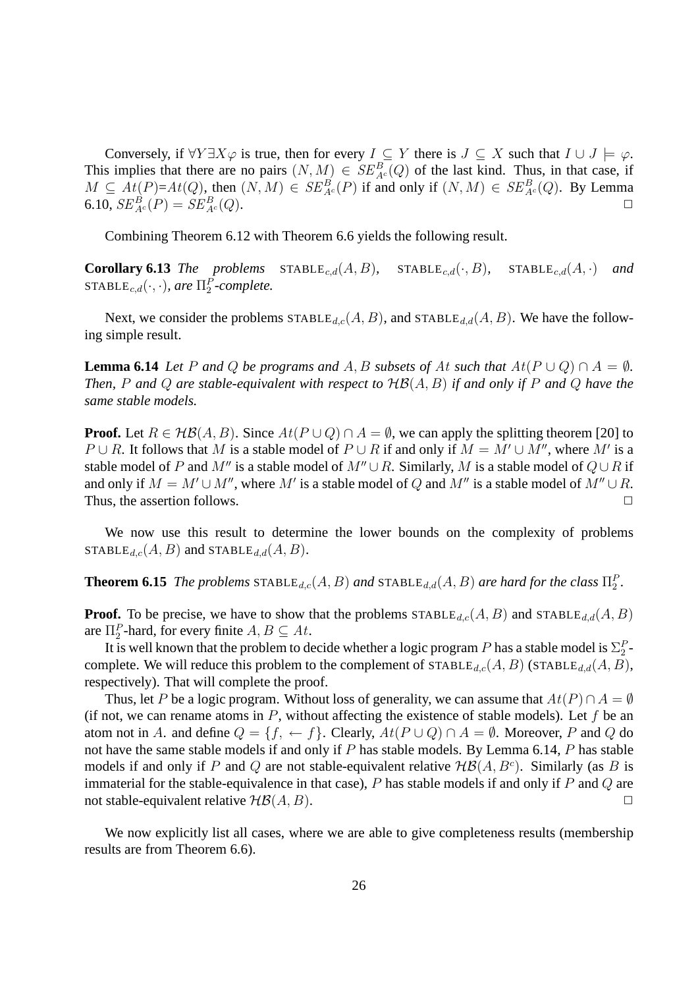Conversely, if  $\forall Y \exists X \varphi$  is true, then for every  $I \subseteq Y$  there is  $J \subseteq X$  such that  $I \cup J \models \varphi$ . This implies that there are no pairs  $(N, M) \in SE_{Ac}^{B}(Q)$  of the last kind. Thus, in that case, if  $M \subseteq At(P)=At(Q)$ , then  $(N, M) \in SE_{A^c}^B(P)$  if and only if  $(N, M) \in SE_{A^c}^B(Q)$ . By Lemma 6.10,  $SE_{A^c}^B(P) = SE_{A^c}^B(Q)$ .

Combining Theorem 6.12 with Theorem 6.6 yields the following result.

**Corollary 6.13** *The problems*  $STABLE_{c,d}(A, B)$ *,*  $STABLE_{c,d}(\cdot, B)$ *,*  $STABLE_{c,d}(A, \cdot)$  *and*  $\texttt{STABLE}_{c,d}(\cdot, \cdot)$ *, are*  $\Pi^P_2$ -complete.

Next, we consider the problems  $\text{STABLE}_{d,c}(A, B)$ , and  $\text{STABLE}_{d,d}(A, B)$ . We have the following simple result.

**Lemma 6.14** *Let* P and Q *be programs and* A, B *subsets of* At *such that*  $At(P \cup Q) \cap A = \emptyset$ . *Then,* P *and* Q *are stable-equivalent with respect to* HB(A, B) *if and only if* P *and* Q *have the same stable models.*

**Proof.** Let  $R \in \mathcal{HB}(A, B)$ . Since  $At(P \cup Q) \cap A = \emptyset$ , we can apply the splitting theorem [20] to  $P \cup R$ . It follows that M is a stable model of  $P \cup R$  if and only if  $M = M' \cup M''$ , where M' is a stable model of P and M'' is a stable model of  $M'' \cup R$ . Similarly, M is a stable model of  $Q \cup R$  if and only if  $M = M' \cup M''$ , where  $M'$  is a stable model of Q and  $M''$  is a stable model of  $M'' \cup R$ . Thus, the assertion follows.  $\Box$ 

We now use this result to determine the lower bounds on the complexity of problems STABLE<sub>d,c</sub>(A, B) and STABLE<sub>d,d</sub>(A, B).

**Theorem 6.15** *The problems*  $\text{STABLE}_{d,c}(A, B)$  *and*  $\text{STABLE}_{d,d}(A, B)$  *are hard for the class*  $\Pi_2^P$ *.* 

**Proof.** To be precise, we have to show that the problems  $\text{STABLE}_{d,c}(A, B)$  and  $\text{STABLE}_{d,d}(A, B)$ are  $\Pi_2^P$ -hard, for every finite  $A, B \subseteq At$ .

It is well known that the problem to decide whether a logic program P has a stable model is  $\Sigma_2^P$ complete. We will reduce this problem to the complement of  $\text{STABLE}_{d,c}(A, B)$  ( $\text{STABLE}_{d,d}(A, B)$ ), respectively). That will complete the proof.

Thus, let P be a logic program. Without loss of generality, we can assume that  $At(P) \cap A = \emptyset$ (if not, we can rename atoms in  $P$ , without affecting the existence of stable models). Let  $f$  be an atom not in A. and define  $Q = \{f, \leftarrow f\}$ . Clearly,  $At(P \cup Q) \cap A = \emptyset$ . Moreover, P and Q do not have the same stable models if and only if  $P$  has stable models. By Lemma 6.14,  $P$  has stable models if and only if P and Q are not stable-equivalent relative  $H\mathcal{B}(A, B^c)$ . Similarly (as B is immaterial for the stable-equivalence in that case),  $P$  has stable models if and only if  $P$  and  $Q$  are not stable-equivalent relative  $H\mathcal{B}(A, B)$ .

We now explicitly list all cases, where we are able to give completeness results (membership results are from Theorem 6.6).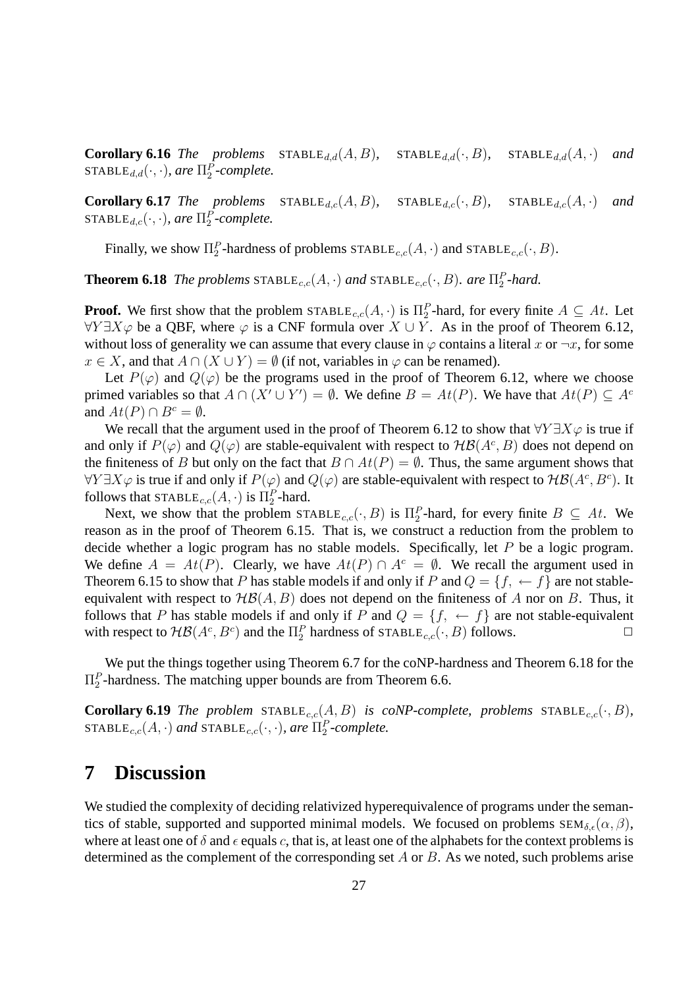**Corollary 6.16** *The problems*  $STABLE_{d,d}(A, B)$ *,*  $STABLE_{d,d}(\cdot, B)$ *,*  $STABLE_{d,d}(A, \cdot)$  *and*  $\texttt{STABLE}_{d,d}(\cdot, \cdot)$ *, are*  $\Pi_2^P$ *-complete.* 

**Corollary 6.17** *The problems*  $\text{STABLE}_{d,c}(A, B)$ ,  $\text{STABLE}_{d,c}(\cdot, B)$ ,  $\text{STABLE}_{d,c}(A, \cdot)$  and  $\texttt{STABLE}_{d,c}(\cdot, \cdot)$ *, are*  $\Pi_2^P$ *-complete.* 

Finally, we show  $\Pi_2^P$ -hardness of problems  $\text{STABLE}_{c,c}(A, \cdot)$  and  $\text{STABLE}_{c,c}(\cdot, B)$ .

**Theorem 6.18** *The problems*  $\text{STABLE}_{c,c}(A, \cdot)$  *and*  $\text{STABLE}_{c,c}(\cdot, B)$ *. are*  $\Pi_2^P$ *-hard.* 

**Proof.** We first show that the problem  $\text{STABLE}_{c,c}(A, \cdot)$  is  $\Pi_2^P$ -hard, for every finite  $A \subseteq At$ . Let  $\forall Y \exists X \varphi$  be a QBF, where  $\varphi$  is a CNF formula over  $X \cup Y$ . As in the proof of Theorem 6.12, without loss of generality we can assume that every clause in  $\varphi$  contains a literal x or  $\neg x$ , for some  $x \in X$ , and that  $A \cap (X \cup Y) = \emptyset$  (if not, variables in  $\varphi$  can be renamed).

Let  $P(\varphi)$  and  $Q(\varphi)$  be the programs used in the proof of Theorem 6.12, where we choose primed variables so that  $A \cap (X' \cup Y') = \emptyset$ . We define  $B = At(P)$ . We have that  $At(P) \subseteq A^c$ and  $At(P) \cap B^c = \emptyset$ .

We recall that the argument used in the proof of Theorem 6.12 to show that  $\forall Y \exists X \varphi$  is true if and only if  $P(\varphi)$  and  $Q(\varphi)$  are stable-equivalent with respect to  $H\mathcal{B}(A^c, B)$  does not depend on the finiteness of B but only on the fact that  $B \cap At(P) = \emptyset$ . Thus, the same argument shows that ∀Y∃X $\varphi$  is true if and only if  $P(\varphi)$  and  $Q(\varphi)$  are stable-equivalent with respect to  $H\mathcal{B}(A^c, B^c)$ . It follows that  $\text{STABLE}_{c,c}(A, \cdot)$  is  $\Pi_2^P$ -hard.

Next, we show that the problem  $\text{STABLE}_{c,c}(\cdot, B)$  is  $\Pi_2^P$ -hard, for every finite  $B \subseteq At$ . We reason as in the proof of Theorem 6.15. That is, we construct a reduction from the problem to decide whether a logic program has no stable models. Specifically, let P be a logic program. We define  $A = At(P)$ . Clearly, we have  $At(P) \cap A^c = \emptyset$ . We recall the argument used in Theorem 6.15 to show that P has stable models if and only if P and  $Q = \{f, \leftarrow f\}$  are not stableequivalent with respect to  $H\mathcal{B}(A, B)$  does not depend on the finiteness of A nor on B. Thus, it follows that P has stable models if and only if P and  $Q = \{f, \leftarrow f\}$  are not stable-equivalent with respect to  $H\mathcal{B}(A^c, B^c)$  and the  $\Pi_2^P$  hardness of STABLE<sub>c,c</sub>( $\cdot$ , B) follows.

We put the things together using Theorem 6.7 for the coNP-hardness and Theorem 6.18 for the  $\Pi_2^P$ -hardness. The matching upper bounds are from Theorem 6.6.

**Corollary 6.19** *The problem*  $STABLE_{c,c}(A, B)$  *is coNP-complete, problems*  $STABLE_{c,c}(\cdot, B)$ *,*  $\texttt{STABLE}_{c,c}(A, \cdot)$  and  $\texttt{STABLE}_{c,c}(\cdot, \cdot)$ *, are*  $\Pi_2^P\text{-complete}$ *.* 

## **7 Discussion**

We studied the complexity of deciding relativized hyperequivalence of programs under the semantics of stable, supported and supported minimal models. We focused on problems  $SEM_{\delta,\epsilon}(\alpha,\beta)$ , where at least one of  $\delta$  and  $\epsilon$  equals c, that is, at least one of the alphabets for the context problems is determined as the complement of the corresponding set  $A$  or  $B$ . As we noted, such problems arise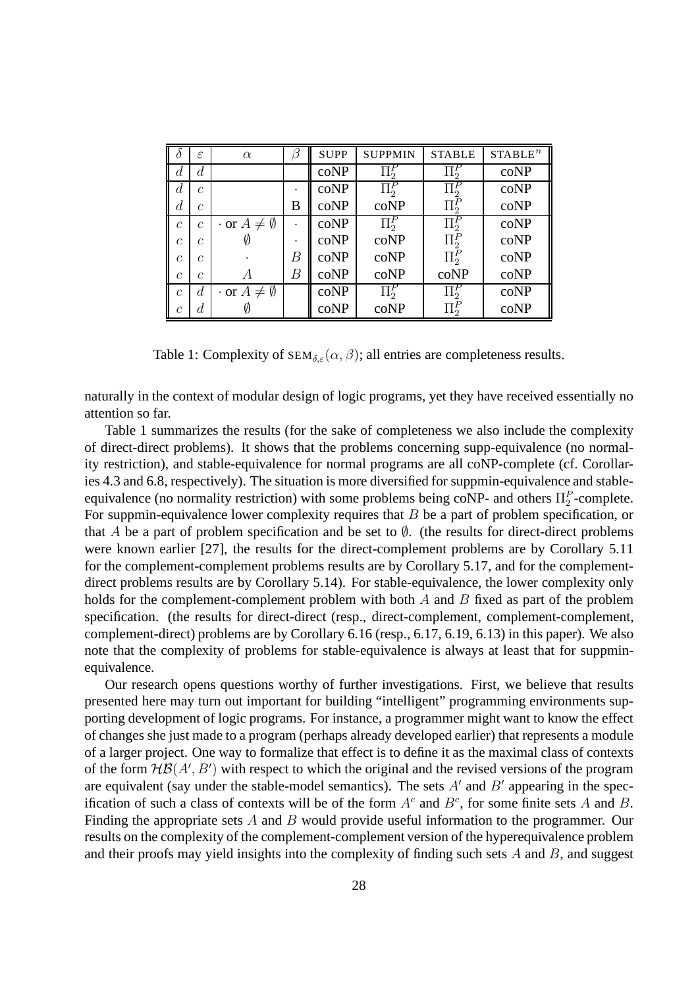|                  | $\epsilon$     | $\alpha$                      | В | <b>SUPP</b> | <b>SUPPMIN</b>         | <b>STABLE</b>        | STABLE <sup>n</sup> |
|------------------|----------------|-------------------------------|---|-------------|------------------------|----------------------|---------------------|
| d.               | $\overline{d}$ |                               |   | coNP        | $\overline{\Pi}{}_2^F$ | $\overline{\Pi}_2^P$ | coNP                |
| $\overline{d}$   | $\mathcal{C}$  |                               |   | coNP        | $\Pi_2^P$              | $\overline{\Pi}^P_2$ | coNP                |
| $\boldsymbol{d}$ | $\mathcal C$   |                               | B | coNP        | coNP                   | $\Pi_2^F$            | coNP                |
| $\overline{c}$   | $\mathcal{C}$  | $\cdot$ or $A \neq \emptyset$ | ٠ | coNP        | $\Pi^P_2$              | $\Pi^P_2$            | coNP                |
| $\mathcal{C}$    | $\mathcal{C}$  | VJ                            |   | coNP        | coNP                   | $\Pi_2^P$            | coNP                |
| $\mathcal C$     | C              |                               | В | coNP        | coNP                   | $\Pi^P_2$            | coNP                |
| $\mathcal C$     | $\mathcal{C}$  | А                             | В | coNP        | coNP                   | coNP                 | coNP                |
| $\overline{c}$   | $\overline{d}$ | $\cdot$ or $A \neq \emptyset$ |   | coNP        | $\overline{\Pi}^P_2$   | $\overline{\Pi}^P_2$ | coNP                |
| C                | d              |                               |   | coNP        | coNP                   | $\Pi_2^F$            | coNP                |

Table 1: Complexity of  $SEM_{\delta,\varepsilon}(\alpha,\beta)$ ; all entries are completeness results.

naturally in the context of modular design of logic programs, yet they have received essentially no attention so far.

Table 1 summarizes the results (for the sake of completeness we also include the complexity of direct-direct problems). It shows that the problems concerning supp-equivalence (no normality restriction), and stable-equivalence for normal programs are all coNP-complete (cf. Corollaries 4.3 and 6.8, respectively). The situation is more diversified for suppmin-equivalence and stableequivalence (no normality restriction) with some problems being coNP- and others  $\Pi_2^P$ -complete. For suppmin-equivalence lower complexity requires that  $B$  be a part of problem specification, or that A be a part of problem specification and be set to  $\emptyset$ . (the results for direct-direct problems were known earlier [27], the results for the direct-complement problems are by Corollary 5.11 for the complement-complement problems results are by Corollary 5.17, and for the complementdirect problems results are by Corollary 5.14). For stable-equivalence, the lower complexity only holds for the complement-complement problem with both  $A$  and  $B$  fixed as part of the problem specification. (the results for direct-direct (resp., direct-complement, complement-complement, complement-direct) problems are by Corollary 6.16 (resp., 6.17, 6.19, 6.13) in this paper). We also note that the complexity of problems for stable-equivalence is always at least that for suppminequivalence.

Our research opens questions worthy of further investigations. First, we believe that results presented here may turn out important for building "intelligent" programming environments supporting development of logic programs. For instance, a programmer might want to know the effect of changes she just made to a program (perhaps already developed earlier) that represents a module of a larger project. One way to formalize that effect is to define it as the maximal class of contexts of the form  $H\mathcal{B}(A',B')$  with respect to which the original and the revised versions of the program are equivalent (say under the stable-model semantics). The sets  $A'$  and  $B'$  appearing in the specification of such a class of contexts will be of the form  $A<sup>c</sup>$  and  $B<sup>c</sup>$ , for some finite sets A and B. Finding the appropriate sets A and B would provide useful information to the programmer. Our results on the complexity of the complement-complement version of the hyperequivalence problem and their proofs may yield insights into the complexity of finding such sets  $A$  and  $B$ , and suggest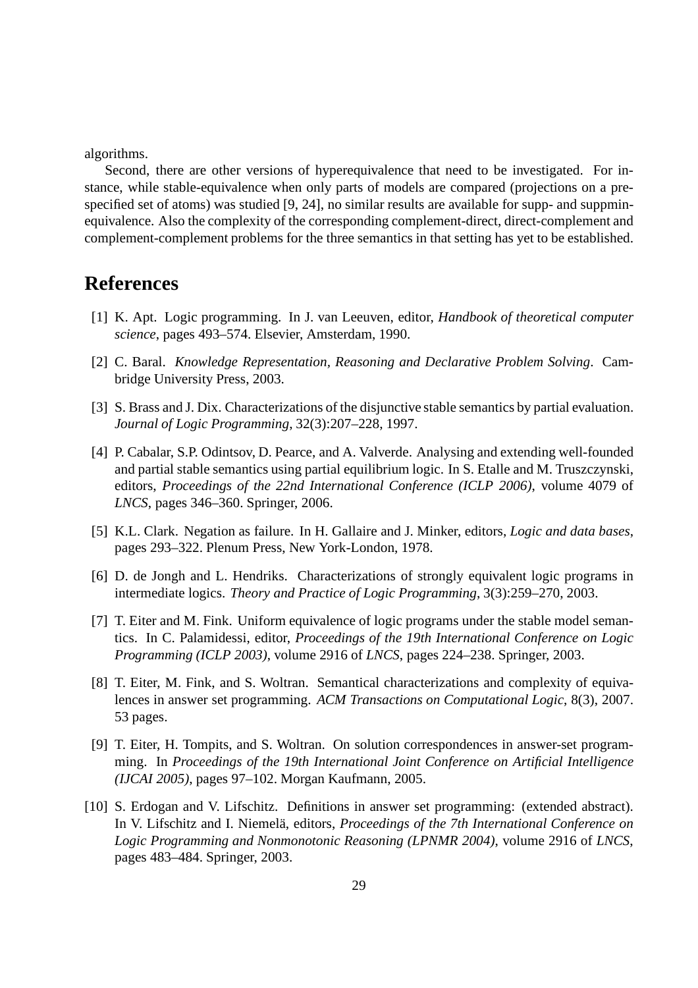algorithms.

Second, there are other versions of hyperequivalence that need to be investigated. For instance, while stable-equivalence when only parts of models are compared (projections on a prespecified set of atoms) was studied [9, 24], no similar results are available for supp- and suppminequivalence. Also the complexity of the corresponding complement-direct, direct-complement and complement-complement problems for the three semantics in that setting has yet to be established.

## **References**

- [1] K. Apt. Logic programming. In J. van Leeuven, editor, *Handbook of theoretical computer science*, pages 493–574. Elsevier, Amsterdam, 1990.
- [2] C. Baral. *Knowledge Representation, Reasoning and Declarative Problem Solving*. Cambridge University Press, 2003.
- [3] S. Brass and J. Dix. Characterizations of the disjunctive stable semantics by partial evaluation. *Journal of Logic Programming*, 32(3):207–228, 1997.
- [4] P. Cabalar, S.P. Odintsov, D. Pearce, and A. Valverde. Analysing and extending well-founded and partial stable semantics using partial equilibrium logic. In S. Etalle and M. Truszczynski, editors, *Proceedings of the 22nd International Conference (ICLP 2006)*, volume 4079 of *LNCS*, pages 346–360. Springer, 2006.
- [5] K.L. Clark. Negation as failure. In H. Gallaire and J. Minker, editors, *Logic and data bases*, pages 293–322. Plenum Press, New York-London, 1978.
- [6] D. de Jongh and L. Hendriks. Characterizations of strongly equivalent logic programs in intermediate logics. *Theory and Practice of Logic Programming*, 3(3):259–270, 2003.
- [7] T. Eiter and M. Fink. Uniform equivalence of logic programs under the stable model semantics. In C. Palamidessi, editor, *Proceedings of the 19th International Conference on Logic Programming (ICLP 2003)*, volume 2916 of *LNCS*, pages 224–238. Springer, 2003.
- [8] T. Eiter, M. Fink, and S. Woltran. Semantical characterizations and complexity of equivalences in answer set programming. *ACM Transactions on Computational Logic*, 8(3), 2007. 53 pages.
- [9] T. Eiter, H. Tompits, and S. Woltran. On solution correspondences in answer-set programming. In *Proceedings of the 19th International Joint Conference on Artificial Intelligence (IJCAI 2005)*, pages 97–102. Morgan Kaufmann, 2005.
- [10] S. Erdogan and V. Lifschitz. Definitions in answer set programming: (extended abstract). In V. Lifschitz and I. Niemelä, editors, *Proceedings of the 7th International Conference on Logic Programming and Nonmonotonic Reasoning (LPNMR 2004)*, volume 2916 of *LNCS*, pages 483–484. Springer, 2003.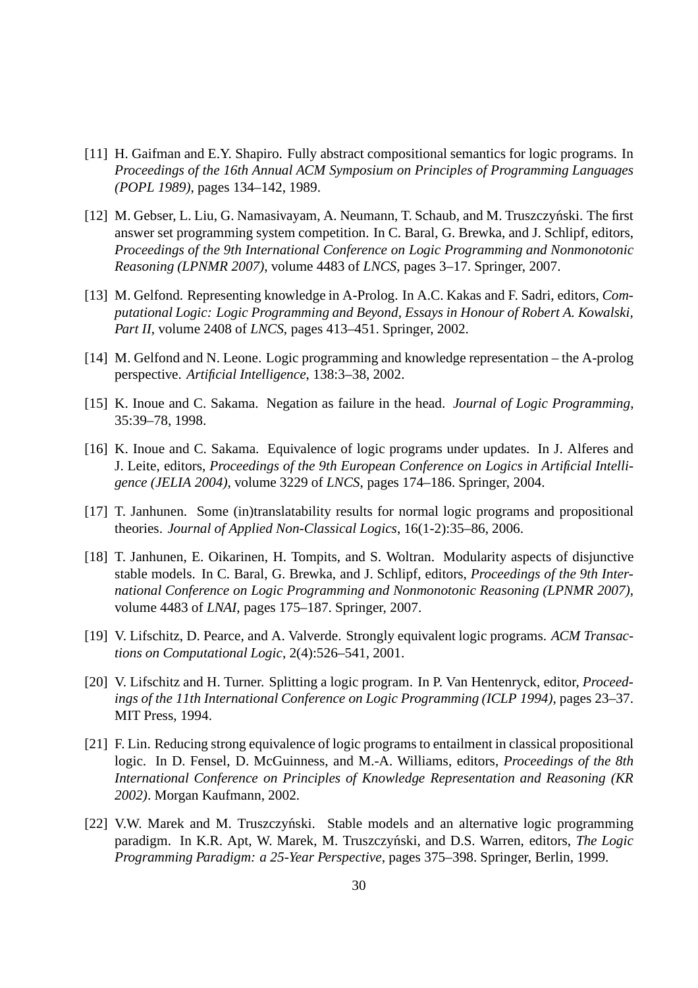- [11] H. Gaifman and E.Y. Shapiro. Fully abstract compositional semantics for logic programs. In *Proceedings of the 16th Annual ACM Symposium on Principles of Programming Languages (POPL 1989)*, pages 134–142, 1989.
- [12] M. Gebser, L. Liu, G. Namasivayam, A. Neumann, T. Schaub, and M. Truszczyński. The first answer set programming system competition. In C. Baral, G. Brewka, and J. Schlipf, editors, *Proceedings of the 9th International Conference on Logic Programming and Nonmonotonic Reasoning (LPNMR 2007)*, volume 4483 of *LNCS*, pages 3–17. Springer, 2007.
- [13] M. Gelfond. Representing knowledge in A-Prolog. In A.C. Kakas and F. Sadri, editors, *Computational Logic: Logic Programming and Beyond, Essays in Honour of Robert A. Kowalski, Part II*, volume 2408 of *LNCS*, pages 413–451. Springer, 2002.
- [14] M. Gelfond and N. Leone. Logic programming and knowledge representation the A-prolog perspective. *Artificial Intelligence*, 138:3–38, 2002.
- [15] K. Inoue and C. Sakama. Negation as failure in the head. *Journal of Logic Programming*, 35:39–78, 1998.
- [16] K. Inoue and C. Sakama. Equivalence of logic programs under updates. In J. Alferes and J. Leite, editors, *Proceedings of the 9th European Conference on Logics in Artificial Intelligence (JELIA 2004)*, volume 3229 of *LNCS*, pages 174–186. Springer, 2004.
- [17] T. Janhunen. Some (in)translatability results for normal logic programs and propositional theories. *Journal of Applied Non-Classical Logics*, 16(1-2):35–86, 2006.
- [18] T. Janhunen, E. Oikarinen, H. Tompits, and S. Woltran. Modularity aspects of disjunctive stable models. In C. Baral, G. Brewka, and J. Schlipf, editors, *Proceedings of the 9th International Conference on Logic Programming and Nonmonotonic Reasoning (LPNMR 2007)*, volume 4483 of *LNAI*, pages 175–187. Springer, 2007.
- [19] V. Lifschitz, D. Pearce, and A. Valverde. Strongly equivalent logic programs. *ACM Transactions on Computational Logic*, 2(4):526–541, 2001.
- [20] V. Lifschitz and H. Turner. Splitting a logic program. In P. Van Hentenryck, editor, *Proceedings of the 11th International Conference on Logic Programming (ICLP 1994)*, pages 23–37. MIT Press, 1994.
- [21] F. Lin. Reducing strong equivalence of logic programs to entailment in classical propositional logic. In D. Fensel, D. McGuinness, and M.-A. Williams, editors, *Proceedings of the 8th International Conference on Principles of Knowledge Representation and Reasoning (KR 2002)*. Morgan Kaufmann, 2002.
- [22] V.W. Marek and M. Truszczyński. Stable models and an alternative logic programming paradigm. In K.R. Apt, W. Marek, M. Truszczyński, and D.S. Warren, editors, *The Logic Programming Paradigm: a 25-Year Perspective*, pages 375–398. Springer, Berlin, 1999.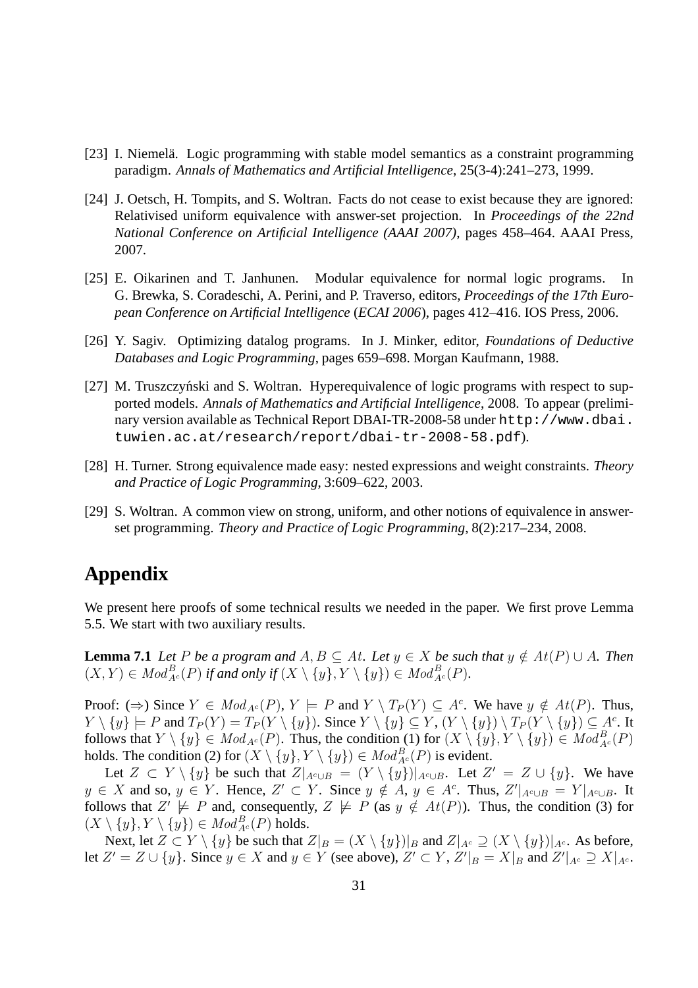- [23] I. Niemelä. Logic programming with stable model semantics as a constraint programming paradigm. *Annals of Mathematics and Artificial Intelligence*, 25(3-4):241–273, 1999.
- [24] J. Oetsch, H. Tompits, and S. Woltran. Facts do not cease to exist because they are ignored: Relativised uniform equivalence with answer-set projection. In *Proceedings of the 22nd National Conference on Artificial Intelligence (AAAI 2007)*, pages 458–464. AAAI Press, 2007.
- [25] E. Oikarinen and T. Janhunen. Modular equivalence for normal logic programs. In G. Brewka, S. Coradeschi, A. Perini, and P. Traverso, editors, *Proceedings of the 17th European Conference on Artificial Intelligence* (*ECAI 2006*), pages 412–416. IOS Press, 2006.
- [26] Y. Sagiv. Optimizing datalog programs. In J. Minker, editor, *Foundations of Deductive Databases and Logic Programming*, pages 659–698. Morgan Kaufmann, 1988.
- [27] M. Truszczyński and S. Woltran. Hyperequivalence of logic programs with respect to supported models. *Annals of Mathematics and Artificial Intelligence*, 2008. To appear (preliminary version available as Technical Report DBAI-TR-2008-58 under http://www.dbai. tuwien.ac.at/research/report/dbai-tr-2008-58.pdf).
- [28] H. Turner. Strong equivalence made easy: nested expressions and weight constraints. *Theory and Practice of Logic Programming*, 3:609–622, 2003.
- [29] S. Woltran. A common view on strong, uniform, and other notions of equivalence in answerset programming. *Theory and Practice of Logic Programming*, 8(2):217–234, 2008.

## **Appendix**

We present here proofs of some technical results we needed in the paper. We first prove Lemma 5.5. We start with two auxiliary results.

**Lemma 7.1** *Let* P *be a program and*  $A, B \subseteq At$ *. Let*  $y \in X$  *be such that*  $y \notin At(P) \cup A$ *. Then*  $(X,Y) \in Mod_{A^c}^B(P)$  if and only if  $(X \setminus \{y\}, Y \setminus \{y\}) \in Mod_{A^c}^B(P)$ .

Proof:  $(\Rightarrow)$  Since  $Y \in Mod_{A^c}(P)$ ,  $Y \models P$  and  $Y \setminus T_P(Y) \subseteq A^c$ . We have  $y \notin At(P)$ . Thus,  $Y \setminus \{y\} \models P$  and  $T_P(Y) = T_P(Y \setminus \{y\})$ . Since  $Y \setminus \{y\} \subseteq Y$ ,  $(Y \setminus \{y\}) \setminus T_P(Y \setminus \{y\}) \subseteq A^c$ . It follows that  $Y \setminus \{y\} \in Mod_{A^c}(P)$ . Thus, the condition (1) for  $(X \setminus \{y\}, Y \setminus \{y\}) \in Mod_{A^c}(P)$ holds. The condition (2) for  $(X \setminus \{y\}, Y \setminus \{y\}) \in Mod_{A^c}^B(P)$  is evident.

Let  $Z \subset Y \setminus \{y\}$  be such that  $Z|_{A^c \cup B} = (Y \setminus \{y\})|_{A^c \cup B}$ . Let  $Z' = Z \cup \{y\}$ . We have  $y \in X$  and so,  $y \in Y$ . Hence,  $Z' \subset Y$ . Since  $y \notin A$ ,  $y \in A^c$ . Thus,  $Z'|_{A^c \cup B} = Y|_{A^c \cup B}$ . It follows that  $Z' \not\models P$  and, consequently,  $Z \not\models P$  (as  $y \notin At(P)$ ). Thus, the condition (3) for  $(X \setminus \{y\}, Y \setminus \{y\}) \in Mod_{A^c}^B(P)$  holds.

Next, let  $Z \subset Y \setminus \{y\}$  be such that  $Z|_B = (X \setminus \{y\})|_B$  and  $Z|_{A^c} \supseteq (X \setminus \{y\})|_{A^c}$ . As before, let  $Z' = Z \cup \{y\}$ . Since  $y \in X$  and  $y \in Y$  (see above),  $Z' \subset Y$ ,  $Z'|_{B} = X|_{B}$  and  $Z'|_{A^c} \supseteq X|_{A^c}$ .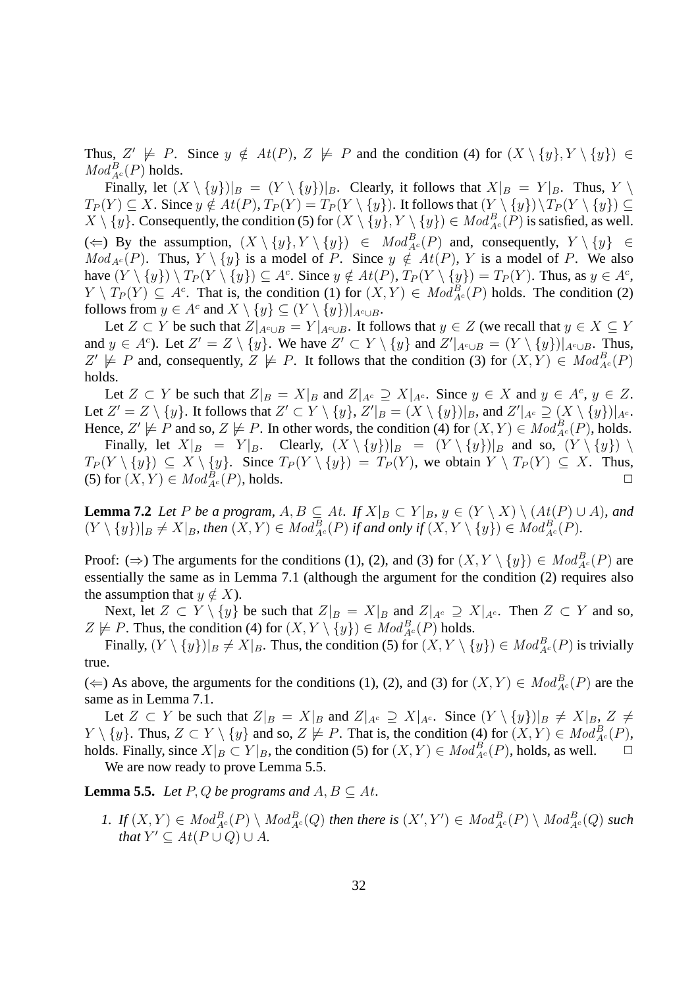Thus,  $Z' \not\models P$ . Since  $y \notin At(P)$ ,  $Z \not\models P$  and the condition (4) for  $(X \setminus \{y\}, Y \setminus \{y\}) \in$  $Mod_{A^c}^B(P)$  holds.

Finally, let  $(X \setminus \{y\})|_B = (Y \setminus \{y\})|_B$ . Clearly, it follows that  $X|_B = Y|_B$ . Thus,  $Y \setminus$  $T_P(Y) \subseteq X$ . Since  $y \notin At(P)$ ,  $T_P(Y) = T_P(Y \setminus \{y\})$ . It follows that  $(Y \setminus \{y\}) \setminus T_P(Y \setminus \{y\}) \subseteq$  $X \setminus \{y\}$ . Consequently, the condition (5) for  $(X \setminus \{y\}, Y \setminus \{y\}) \in Mod_{A^c}^B(P)$  is satisfied, as well. (  $\Leftarrow$  ) By the assumption,  $(X \setminus \{y\}, Y \setminus \{y\})$  ∈  $Mod_{A^c}^B(P)$  and, consequently,  $Y \setminus \{y\}$  ∈  $Mod_{A^c}(P)$ . Thus,  $Y \setminus \{y\}$  is a model of P. Since  $y \notin At(P)$ , Y is a model of P. We also have  $(Y \setminus \{y\}) \setminus T_P(Y \setminus \{y\}) \subseteq A^c$ . Since  $y \notin At(P)$ ,  $T_P(Y \setminus \{y\}) = T_P(Y)$ . Thus, as  $y \in A^c$ ,  $Y \setminus T_P(Y) \subseteq A^c$ . That is, the condition (1) for  $(X, Y) \in Mod_{A^c}^B(P)$  holds. The condition (2) follows from  $y \in A^c$  and  $X \setminus \{y\} \subseteq (Y \setminus \{y\})|_{A^c \cup B}$ .

Let  $Z \subset Y$  be such that  $Z|_{A^c \cup B} = Y|_{A^c \cup B}$ . It follows that  $y \in Z$  (we recall that  $y \in X \subseteq Y$ and  $y \in A^c$ ). Let  $Z' = Z \setminus \{y\}$ . We have  $Z' \subset Y \setminus \{y\}$  and  $Z'|_{A^c \cup B} = (Y \setminus \{y\})|_{A^c \cup B}$ . Thus,  $Z' \not\models P$  and, consequently,  $Z \not\models P$ . It follows that the condition (3) for  $(X,Y) \in Mod_{A^c}^B(P)$ holds.

Let  $Z \subset Y$  be such that  $Z|_B = X|_B$  and  $Z|_{A^c} \supseteq X|_{A^c}$ . Since  $y \in X$  and  $y \in A^c$ ,  $y \in Z$ . Let  $Z'=Z\setminus \{y\}$ . It follows that  $Z'\subset Y\setminus \{y\}, Z'|_B=(X\setminus \{y\})|_B$ , and  $Z'|_{A^c}\supseteq (X\setminus \{y\})|_{A^c}$ . Hence,  $Z' \not\models P$  and so,  $Z \not\models P$ . In other words, the condition (4) for  $(X, Y) \in Mod_{A^c}^B(P)$ , holds. Finally, let  $X|_B = Y|_B$ . Clearly,  $(X \setminus \{y\})|_B = (Y \setminus \{y\})|_B$  and so,  $(Y \setminus \{y\}) \setminus$ 

 $T_P(Y \setminus \{y\}) \subseteq X \setminus \{y\}.$  Since  $T_P(Y \setminus \{y\}) = T_P(Y)$ , we obtain  $Y \setminus T_P(Y) \subseteq X$ . Thus, (5) for  $(X, Y) \in Mod_{A^c}^B(P)$ , holds.

**Lemma 7.2** *Let* P *be a program,*  $A, B \subseteq At$ *. If*  $X|_B \subset Y|_B$ ,  $y \in (Y \setminus X) \setminus (At(P) \cup A)$ *, and*  $(Y \setminus \{y\})|_B \neq X|_B$ , then  $(X, Y) \in Mod_{A^c}^B(P)$  if and only if  $(X, Y \setminus \{y\}) \in Mod_{A^c}^B(P)$ .

Proof: ( $\Rightarrow$ ) The arguments for the conditions (1), (2), and (3) for  $(X, Y \setminus \{y\}) \in Mod_{A^c}^B(P)$  are essentially the same as in Lemma 7.1 (although the argument for the condition (2) requires also the assumption that  $y \notin X$ ).

Next, let  $Z \subset Y \setminus \{y\}$  be such that  $Z|_B = X|_B$  and  $Z|_{A^c} \supseteq X|_{A^c}$ . Then  $Z \subset Y$  and so,  $Z \not\models P$ . Thus, the condition (4) for  $(X, Y \setminus \{y\}) \in Mod_{A^c}^B(P)$  holds.

Finally,  $(Y \setminus \{y\})|_B \neq X|_B$ . Thus, the condition (5) for  $(X, Y \setminus \{y\}) \in Mod_{A^c}^B(P)$  is trivially true.

(  $\Leftarrow$  ) As above, the arguments for the conditions (1), (2), and (3) for  $(X, Y) \in Mod_{A^c}^B(P)$  are the same as in Lemma 7.1.

Let  $Z \subset Y$  be such that  $Z|_{B} = X|_{B}$  and  $Z|_{A^c} \supseteq X|_{A^c}$ . Since  $(Y \setminus \{y\})|_{B} \neq X|_{B} Z \neq \emptyset$  $Y \setminus \{y\}$ . Thus,  $Z \subset Y \setminus \{y\}$  and so,  $Z \not\models P$ . That is, the condition (4) for  $(X, Y) \in Mod_{A^c}^B(P)$ , holds. Finally, since  $X|_B \subset Y|_B$ , the condition (5) for  $(X, Y) \in Mod_{A^c}^B(P)$ , holds, as well.  $\Box$ 

We are now ready to prove Lemma 5.5.

**Lemma 5.5.** *Let*  $P$ ,  $Q$  *be programs and*  $A$ ,  $B \subseteq At$ *.* 

1. If  $(X,Y) \in Mod_{A^c}^B(P) \setminus Mod_{A^c}^B(Q)$  then there is  $(X',Y') \in Mod_{A^c}^B(P) \setminus Mod_{A^c}^B(Q)$  such *that*  $Y' \subseteq At(P \cup Q) \cup A$ *.*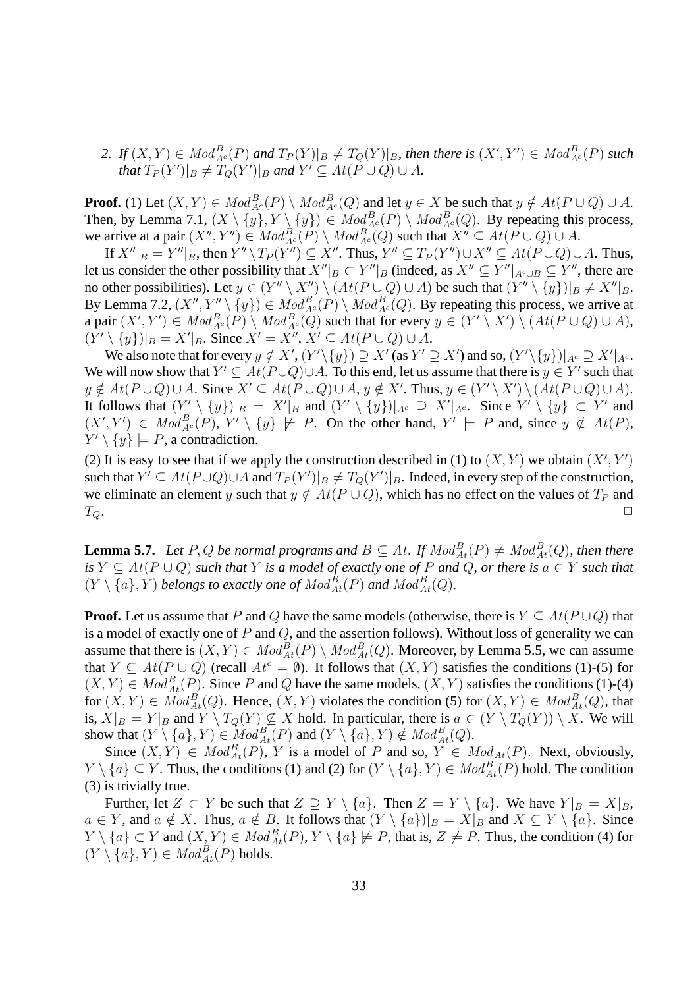2. If  $(X,Y) \in Mod_{A^c}^B(P)$  and  $T_P(Y)|_B \neq T_Q(Y)|_B$ , then there is  $(X',Y') \in Mod_{A^c}^B(P)$  such *that*  $T_P(Y')|_B \neq T_Q(Y')|_B$  and  $Y' \subseteq At(P \cup Q) \cup A$ .

**Proof.** (1) Let  $(X, Y) \in Mod_{A^c}^B(P) \setminus Mod_{A^c}^B(Q)$  and let  $y \in X$  be such that  $y \notin At(P \cup Q) \cup A$ . Then, by Lemma 7.1,  $(X \setminus \{y\}, Y \setminus \{y\}) \in Mod_{A^c}^B(P) \setminus Mod_{A^c}^B(Q)$ . By repeating this process, we arrive at a pair  $(X'', Y'') \in Mod_{A^c}^B(P) \setminus Mod_{A^c}^B(Q)$  such that  $X'' \subseteq At(P \cup Q) \cup A$ .

If  $X''|_B = Y''|_B$ , then  $Y'' \setminus T_P(Y'') \subseteq X''$ . Thus,  $Y'' \subseteq T_P(Y'') \cup X'' \subseteq At(P \cup Q) \cup A$ . Thus, let us consider the other possibility that  $X''|_B \subset Y''|_B$  (indeed, as  $X'' \subseteq Y''|_{A^c \cup B} \subseteq Y''$ , there are no other possibilities). Let  $y \in (Y'' \setminus X'') \setminus (At(P \cup Q) \cup A)$  be such that  $(Y'' \setminus \{y\})|_B \neq X''|_B$ . By Lemma 7.2,  $(X'', Y'' \setminus \{y\}) \in Mod_{A^c}^B(P) \setminus Mod_{A^c}^B(Q)$ . By repeating this process, we arrive at a pair  $(X', Y') \in Mod_{A^c}^B(P) \setminus Mod_{A^c}^B(Q)$  such that for every  $y \in (Y' \setminus X') \setminus (At(P \cup Q) \cup A)$ ,  $(Y' \setminus \{y\})|_{B} = X'|_{B}$ . Since  $X' = X''$ ,  $X' \subseteq At(P \cup Q) \cup A$ .

We also note that for every  $y \notin X', (Y' \setminus \{y\}) \supseteq X'$  (as  $Y' \supseteq X'$ ) and so,  $(Y' \setminus \{y\})|_{A^c} \supseteq X'|_{A^c}$ . We will now show that  $Y' \subseteq At(P \cup Q) \cup A$ . To this end, let us assume that there is  $y \in Y'$  such that  $y \notin At(P \cup Q) \cup A$ . Since  $X' \subseteq At(P \cup Q) \cup A$ ,  $y \notin X'$ . Thus,  $y \in (Y' \setminus X') \setminus (At(P \cup Q) \cup A)$ . It follows that  $(Y' \setminus \{y\})|_B = X'|_B$  and  $(Y' \setminus \{y\})|_{A^c} \supseteq X'|_{A^c}$ . Since  $Y' \setminus \{y\} \subset Y'$  and  $(X', Y') \in Mod_{A^c}^B(P), Y' \setminus \{y\} \not\models P$ . On the other hand,  $Y' \models P$  and, since  $y \notin At(P)$ ,  $Y' \setminus \{y\} \models P$ , a contradiction.

(2) It is easy to see that if we apply the construction described in (1) to  $(X, Y)$  we obtain  $(X', Y')$ such that  $Y' \subseteq At(P \cup Q) \cup A$  and  $T_P(Y')|_B \neq T_Q(Y')|_B$ . Indeed, in every step of the construction, we eliminate an element y such that  $y \notin At(P \cup Q)$ , which has no effect on the values of  $T_P$  and  $T_Q$ .

**Lemma 5.7.** Let P, Q be normal programs and  $B \subseteq At$ . If  $Mod_{At}^{B}(P) \neq Mod_{At}^{B}(Q)$ , then there *is*  $Y \subseteq At(P \cup Q)$  *such that* Y *is a model of exactly one of* P *and* Q, *or there is*  $a \in Y$  *such that*  $(Y \setminus \{a\}, Y)$  *belongs to exactly one of*  $Mod_{At}^{B}(P)$  *and*  $Mod_{At}^{B}(Q)$ *.* 

**Proof.** Let us assume that P and Q have the same models (otherwise, there is  $Y \subseteq At(P \cup Q)$  that is a model of exactly one of  $P$  and  $Q$ , and the assertion follows). Without loss of generality we can assume that there is  $(X, Y) \in Mod_{At}^{B}(P) \setminus Mod_{At}^{B}(Q)$ . Moreover, by Lemma 5.5, we can assume that  $Y \subseteq At(P \cup Q)$  (recall  $At^c = \emptyset$ ). It follows that  $(X, Y)$  satisfies the conditions (1)-(5) for  $(X, Y) \in Mod_{At}^{B}(P)$ . Since P and Q have the same models,  $(X, Y)$  satisfies the conditions (1)-(4) for  $(X, Y) \in Mod_{At}^{B}(Q)$ . Hence,  $(X, Y)$  violates the condition (5) for  $(X, Y) \in Mod_{At}^{B}(Q)$ , that is,  $X|_B = Y|_B$  and  $Y \setminus T_Q(Y) \not\subseteq X$  hold. In particular, there is  $a \in (Y \setminus T_Q(Y)) \setminus X$ . We will show that  $(Y \setminus \{a\}, Y) \in Mod_{At}^{B}(P)$  and  $(Y \setminus \{a\}, Y) \notin Mod_{At}^{B}(Q)$ .

Since  $(X, Y) \in Mod_{At}^{B}(P)$ , Y is a model of P and so,  $Y \in Mod_{At}(P)$ . Next, obviously,  $Y \setminus \{a\} \subseteq Y$ . Thus, the conditions (1) and (2) for  $(Y \setminus \{a\}, Y) \in Mod_{At}^{B}(P)$  hold. The condition (3) is trivially true.

Further, let  $Z \subset Y$  be such that  $Z \supseteq Y \setminus \{a\}$ . Then  $Z = Y \setminus \{a\}$ . We have  $Y|_{B} = X|_{B}$ ,  $a \in Y$ , and  $a \notin X$ . Thus,  $a \notin B$ . It follows that  $(Y \setminus \{a\})|_B = X|_B$  and  $X \subseteq Y \setminus \{a\}$ . Since  $Y \setminus \{a\} \subset Y$  and  $(X, Y) \in Mod_{At}^{B}(P), Y \setminus \{a\} \not\models P$ , that is,  $Z \not\models P$ . Thus, the condition (4) for  $(Y \setminus \{a\}, Y) \in Mod_{At}^{B}(P)$  holds.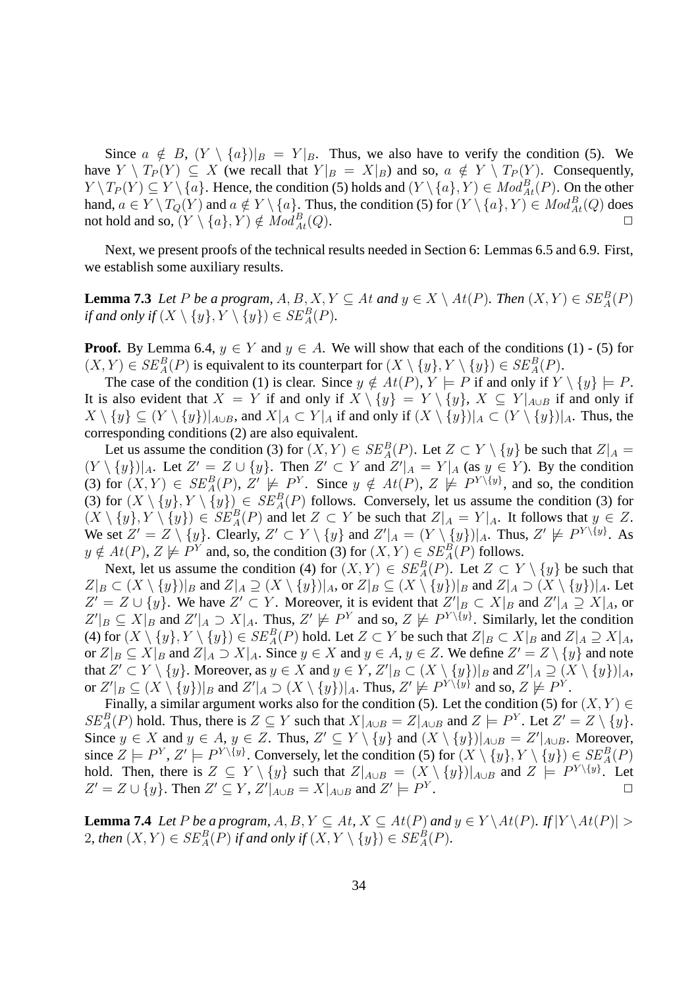Since  $a \notin B$ ,  $(Y \setminus \{a\})|_{B} = Y|_{B}$ . Thus, we also have to verify the condition (5). We have  $Y \setminus T_P(Y) \subseteq X$  (we recall that  $Y|_B = X|_B$ ) and so,  $a \notin Y \setminus T_P(Y)$ . Consequently,  $Y \setminus T_P(Y) \subseteq Y \setminus \{a\}$ . Hence, the condition (5) holds and  $(Y \setminus \{a\}, Y) \in Mod_{At}^B(P)$ . On the other hand,  $a \in Y \setminus T_Q(Y)$  and  $a \notin Y \setminus \{a\}$ . Thus, the condition (5) for  $(Y \setminus \{a\}, Y) \in Mod_{At}^B(Q)$  does not hold and so,  $(Y \setminus \{a\}, Y) \notin Mod_{At}^{B}(Q)$ .  $A_t(Q).$ 

Next, we present proofs of the technical results needed in Section 6: Lemmas 6.5 and 6.9. First, we establish some auxiliary results.

**Lemma 7.3** *Let* P *be a program,*  $A, B, X, Y \subseteq At$  *and*  $y \in X \setminus At(P)$ *. Then*  $(X, Y) \in SE_A^B(P)$ *if and only if*  $(X \setminus \{y\}, Y \setminus \{y\}) \in SE_A^B(P)$ *.* 

**Proof.** By Lemma 6.4,  $y \in Y$  and  $y \in A$ . We will show that each of the conditions (1) - (5) for  $(X,Y) \in SE_A^B(P)$  is equivalent to its counterpart for  $(X \setminus \{y\}, Y \setminus \{y\}) \in SE_A^B(P)$ .

The case of the condition (1) is clear. Since  $y \notin At(P), Y \models P$  if and only if  $Y \setminus \{y\} \models P$ . It is also evident that  $X = Y$  if and only if  $X \setminus \{y\} = Y \setminus \{y\}$ ,  $X \subseteq Y|_{A\cup B}$  if and only if  $X \setminus \{y\} \subseteq (Y \setminus \{y\})|_{A\cup B}$ , and  $X|_A \subset Y|_A$  if and only if  $(X \setminus \{y\})|_A \subset (Y \setminus \{y\})|_A$ . Thus, the corresponding conditions (2) are also equivalent.

Let us assume the condition (3) for  $(X, Y) \in SE_A^B(P)$ . Let  $Z \subset Y \setminus \{y\}$  be such that  $Z|_A =$  $(Y \setminus \{y\})|_A$ . Let  $Z' = Z \cup \{y\}$ . Then  $Z' \subset Y$  and  $Z'|_A = Y|_A$  (as  $y \in Y$ ). By the condition (3) for  $(X, Y) \in SE_A^B(P)$ ,  $Z' \not\models P^Y$ . Since  $y \notin At(P)$ ,  $Z \not\models P^{Y \setminus \{y\}}$ , and so, the condition (3) for  $(X \setminus \{y\}, Y \setminus \{y\}) \in SE_A^B(P)$  follows. Conversely, let us assume the condition (3) for  $(X \setminus \{y\}, Y \setminus \{y\}) \in SE_A^B(P)$  and let  $Z \subset Y$  be such that  $Z|_A = Y|_A$ . It follows that  $y \in Z$ . We set  $Z' = Z \setminus \{y\}$ . Clearly,  $Z' \subset Y \setminus \{y\}$  and  $Z'|_{A} = (Y \setminus \{y\})|_{A}$ . Thus,  $Z' \not\models P^{Y \setminus \{y\}}$ . As  $y \notin At(P), Z \not\models P^Y$  and, so, the condition (3) for  $(X, Y) \in SE_A^B(P)$  follows.

Next, let us assume the condition (4) for  $(X, Y) \in SE_A^B(P)$ . Let  $Z \subset Y \setminus \{y\}$  be such that  $Z|_B \subset (X \setminus \{y\})|_B$  and  $Z|_A \supseteq (X \setminus \{y\})|_A$ , or  $Z|_B \subseteq (X \setminus \{y\})|_B$  and  $Z|_A \supseteq (X \setminus \{y\})|_A$ . Let  $Z' = Z \cup \{y\}$ . We have  $Z' \subset Y$ . Moreover, it is evident that  $Z'|_B \subset X|_B$  and  $Z'|_A \supseteq X|_A$ , or  $Z'|_B \subseteq X|_B$  and  $Z'|_A \supset X|_A$ . Thus,  $Z' \not\models P^Y$  and so,  $Z \not\models P^{Y\setminus \{y\}}$ . Similarly, let the condition (4) for  $(X \setminus \{y\}, Y \setminus \{y\}) \in SE_A^B(P)$  hold. Let  $Z \subset Y$  be such that  $Z|_B \subset X|_B$  and  $Z|_A \supseteq X|_A$ , or  $Z|_B \subseteq X|_B$  and  $Z|_A \supset X|_A$ . Since  $y \in X$  and  $y \in A$ ,  $y \in Z$ . We define  $Z' = Z \setminus \{y\}$  and note that  $Z' \subset Y \setminus \{y\}$ . Moreover, as  $y \in X$  and  $y \in Y$ ,  $Z'|_B \subset (X \setminus \{y\})|_B$  and  $Z'|_A \supseteq (X \setminus \{y\})|_A$ , or  $Z'|_B\subseteq (X\setminus \{y\})|_B$  and  $Z'|_A\supset (X\setminus \{y\})|_A$ . Thus,  $Z'\not\models P^{Y\setminus \{y\}}$  and so,  $Z\not\models P^Y$ .

Finally, a similar argument works also for the condition (5). Let the condition (5) for  $(X, Y) \in$  $SE_A^B(P)$  hold. Thus, there is  $Z \subseteq Y$  such that  $X|_{A \cup B} = Z|_{A \cup B}$  and  $Z \models P^Y$ . Let  $Z' = Z \setminus \{y\}$ . Since  $y \in X$  and  $y \in A$ ,  $y \in Z$ . Thus,  $Z' \subseteq Y \setminus \{y\}$  and  $(X \setminus \{y\})|_{A \cup B} = Z'|_{A \cup B}$ . Moreover, since  $Z \models P^Y, Z' \models P^{Y \setminus \{y\}}$ . Conversely, let the condition (5) for  $(X \setminus \{y\}, Y \setminus \{y\}) \in SE_A^B(P)$ hold. Then, there is  $Z \subseteq Y \setminus \{y\}$  such that  $Z|_{A\cup B} = (X \setminus \{y\})|_{A\cup B}$  and  $Z \models P^{Y \setminus \{y\}}$ . Let  $Z' = Z \cup \{y\}$ . Then  $Z' \subseteq Y$ ,  $Z'|_{A \cup B} = X|_{A \cup B}$  and  $Z' \models P^Y$  $\blacksquare$ 

**Lemma 7.4** *Let* P *be a program,*  $A, B, Y \subseteq At$ ,  $X \subseteq At(P)$  *and*  $y \in Y \setminus At(P)$ *.* If  $|Y \setminus At(P)| >$ 2, then  $(X, Y) \in SE_A^B(P)$  if and only if  $(X, Y \setminus \{y\}) \in SE_A^B(P)$ .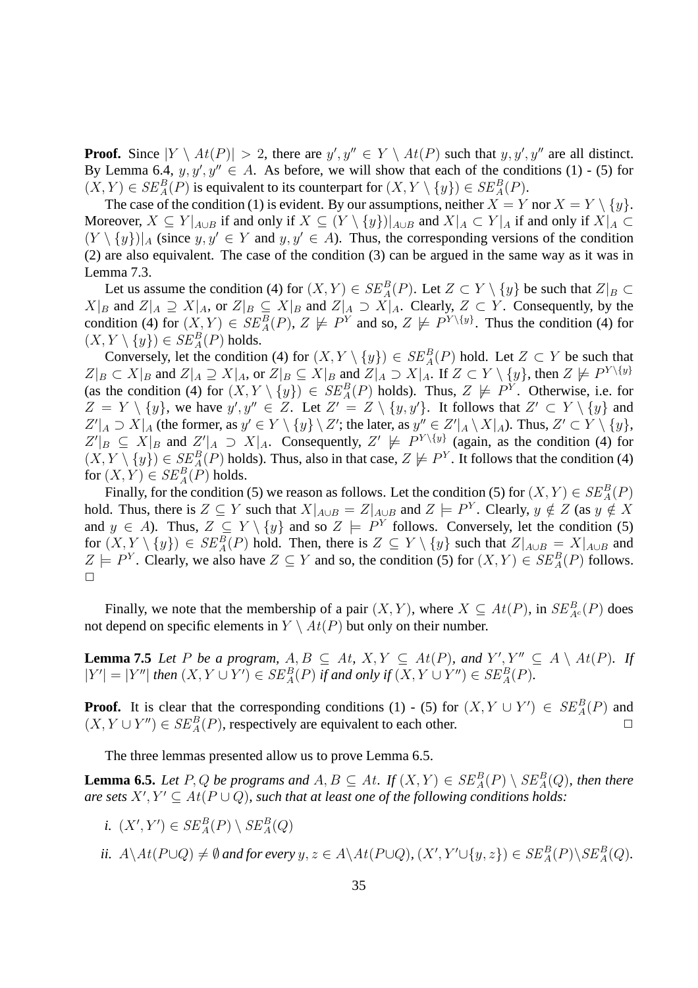**Proof.** Since  $|Y \setminus At(P)| > 2$ , there are  $y', y'' \in Y \setminus At(P)$  such that  $y, y', y''$  are all distinct. By Lemma 6.4,  $y, y', y'' \in A$ . As before, we will show that each of the conditions (1) - (5) for  $(X, Y) \in SE_A^B(P)$  is equivalent to its counterpart for  $(X, Y \setminus \{y\}) \in SE_A^B(P)$ .

The case of the condition (1) is evident. By our assumptions, neither  $X = Y$  nor  $X = Y \setminus \{y\}$ . Moreover,  $X \subseteq Y|_{A\cup B}$  if and only if  $X \subseteq (Y \setminus \{y\})|_{A\cup B}$  and  $X|_{A} \subset Y|_{A}$  if and only if  $X|_{A} \subset Y$  $(Y \setminus \{y\})|_A$  (since  $y, y' \in Y$  and  $y, y' \in A$ ). Thus, the corresponding versions of the condition (2) are also equivalent. The case of the condition (3) can be argued in the same way as it was in Lemma 7.3.

Let us assume the condition (4) for  $(X, Y) \in SE_A^B(P)$ . Let  $Z \subset Y \setminus \{y\}$  be such that  $Z|_B \subset$  $X|_B$  and  $Z|_A \supseteq X|_A$ , or  $Z|_B \subseteq X|_B$  and  $Z|_A \supseteq X|_A$ . Clearly,  $Z \subset Y$ . Consequently, by the condition (4) for  $(X, Y) \in SE_A^B(P)$ ,  $Z \not\models P^Y$  and so,  $Z \not\models P^{Y \setminus \{y\}}$ . Thus the condition (4) for  $(X, Y \setminus \{y\}) \in SE_A^B(P)$  holds.

Conversely, let the condition (4) for  $(X, Y \setminus \{y\}) \in SE_A^B(P)$  hold. Let  $Z \subset Y$  be such that  $Z|_B \subset X|_B$  and  $Z|_A \supseteq X|_A$ , or  $Z|_B \subseteq X|_B$  and  $Z|_A \supseteq X|_A$ . If  $Z \subset Y \setminus \{y\}$ , then  $Z \not\models P^{Y \setminus \{y\}}$ (as the condition (4) for  $(X, Y \setminus \{y\}) \in SE_A^B(P)$  holds). Thus,  $Z \not\models P^Y$ . Otherwise, i.e. for  $Z = Y \setminus \{y\}$ , we have  $y', y'' \in Z$ . Let  $Z' = Z \setminus \{y, y'\}$ . It follows that  $Z' \subset Y \setminus \{y\}$  and  $Z'|_A \supset X|_A$  (the former, as  $y' \in Y \setminus \{y\} \setminus Z'$ ; the later, as  $y'' \in Z'|_A \setminus X|_A$ ). Thus,  $Z' \subset Y \setminus \{y\}$ ,  $Z'|_B \subseteq X|_B$  and  $Z'|_A \supset X|_A$ . Consequently,  $Z' \not\models P^{Y\setminus\{y\}}$  (again, as the condition (4) for  $(X, Y \setminus \{y\}) \in SE_A^B(P)$  holds). Thus, also in that case,  $Z \not\models P^Y$ . It follows that the condition (4) for  $(X, Y) \in SE_A^B(P)$  holds.

Finally, for the condition (5) we reason as follows. Let the condition (5) for  $(X, Y) \in SE_A^B(P)$ hold. Thus, there is  $Z \subseteq Y$  such that  $X|_{A \cup B} = Z|_{A \cup B}$  and  $Z \models P^Y$ . Clearly,  $y \notin Z$  (as  $y \notin X$ and  $y \in A$ ). Thus,  $Z \subseteq Y \setminus \{y\}$  and so  $Z \models P^Y$  follows. Conversely, let the condition (5) for  $(X, Y \setminus \{y\}) \in SE_A^B(P)$  hold. Then, there is  $Z \subseteq Y \setminus \{y\}$  such that  $Z|_{A \cup B} = X|_{A \cup B}$  and  $Z \models P^Y$ . Clearly, we also have  $Z \subseteq Y$  and so, the condition (5) for  $(X, Y) \in SE_A^B(P)$  follows.  $\Box$ 

Finally, we note that the membership of a pair  $(X, Y)$ , where  $X \subseteq At(P)$ , in  $SE_{Ac}^{B}(P)$  does not depend on specific elements in  $Y \setminus At(P)$  but only on their number.

**Lemma 7.5** *Let* P *be a program,*  $A, B \subseteq At$ ,  $X, Y \subseteq At(P)$ *, and*  $Y', Y'' \subseteq A \setminus At(P)$ *. If*  $|Y'| = |Y''|$  then  $(X, Y \cup Y') \in SE_A^B(P)$  if and only if  $(X, Y \cup Y'') \in SE_A^B(P)$ *.* 

**Proof.** It is clear that the corresponding conditions (1) - (5) for  $(X, Y \cup Y') \in SE_A^B(P)$  and  $(X, Y \cup Y'') \in SE_A^B(P)$ , respectively are equivalent to each other.

The three lemmas presented allow us to prove Lemma 6.5.

**Lemma 6.5.** *Let*  $P, Q$  *be programs and*  $A, B \subseteq At$ . If  $(X, Y) \in SE_A^B(P) \setminus SE_A^B(Q)$ , then there *are sets*  $X', Y' \subseteq At(P \cup Q)$ , such that at least one of the following conditions holds:

- *i.*  $(X', Y') \in SE_A^B(P) \setminus SE_A^B(Q)$
- *ii.*  $A \setminus At(P \cup Q) \neq \emptyset$  and for every  $y, z \in A \setminus At(P \cup Q)$ ,  $(X', Y' \cup \{y, z\}) \in SE_A^B(P) \setminus SE_A^B(Q)$ .